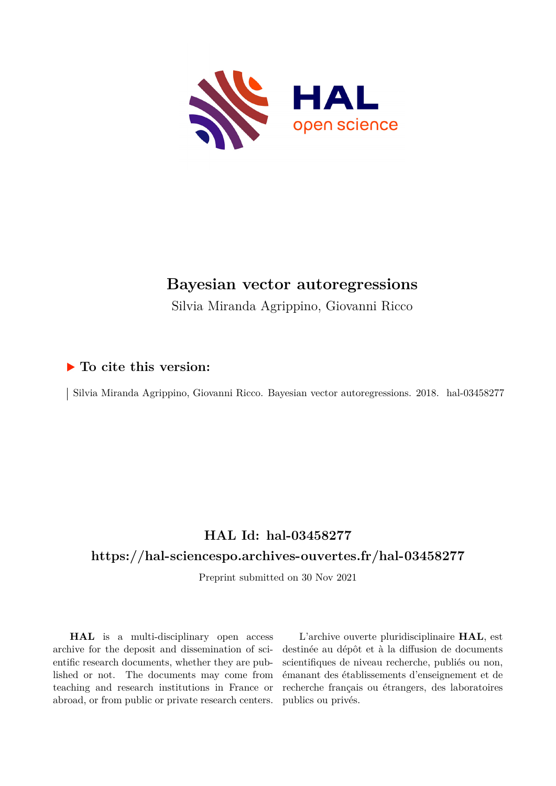

## **Bayesian vector autoregressions**

Silvia Miranda Agrippino, Giovanni Ricco

### **To cite this version:**

Silvia Miranda Agrippino, Giovanni Ricco. Bayesian vector autoregressions. 2018. hal-03458277

## **HAL Id: hal-03458277**

## **<https://hal-sciencespo.archives-ouvertes.fr/hal-03458277>**

Preprint submitted on 30 Nov 2021

**HAL** is a multi-disciplinary open access archive for the deposit and dissemination of scientific research documents, whether they are published or not. The documents may come from teaching and research institutions in France or abroad, or from public or private research centers.

L'archive ouverte pluridisciplinaire **HAL**, est destinée au dépôt et à la diffusion de documents scientifiques de niveau recherche, publiés ou non, émanant des établissements d'enseignement et de recherche français ou étrangers, des laboratoires publics ou privés.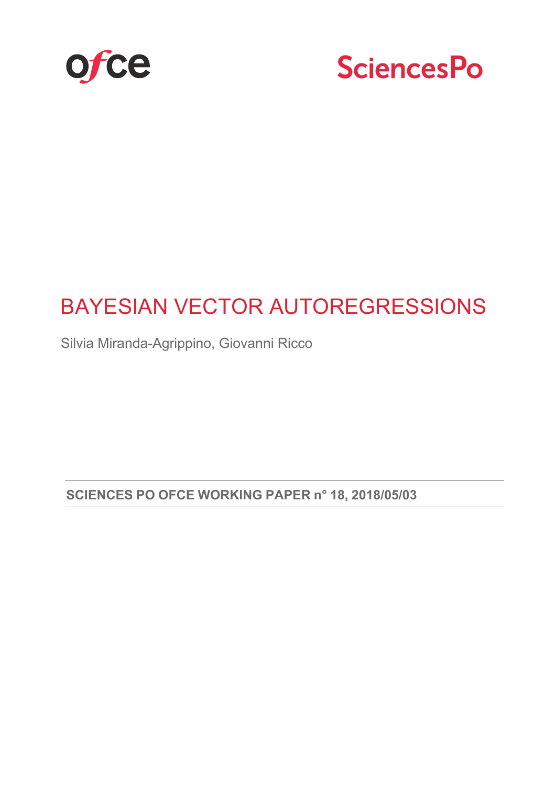



## BAYESIAN VECTOR AUTOREGRESSIONS

Silvia Miranda-Agrippino, Giovanni Ricco

**SCIENCES PO OFCE WORKING PAPER n° 18, 2018/05/03**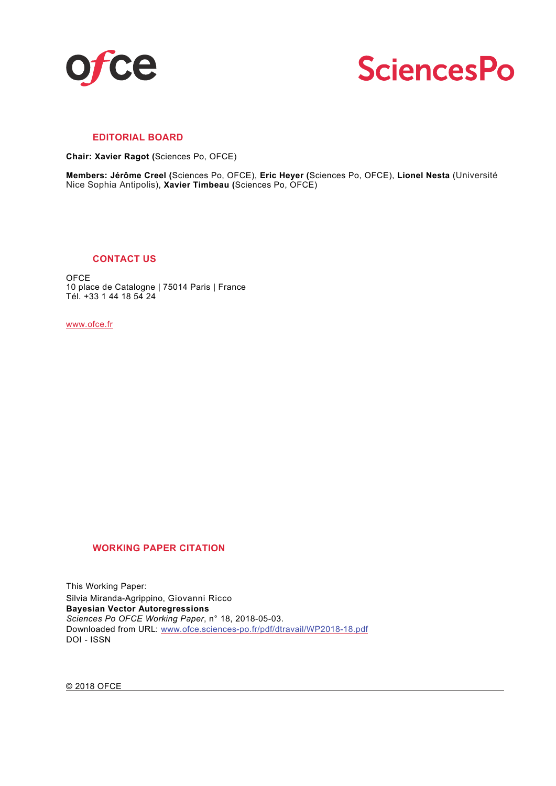



#### **EDITORIAL BOARD**

**Chair: Xavier Ragot (**Sciences Po, OFCE)

**Members: Jérôme Creel (**Sciences Po, OFCE), **Eric Heyer (**Sciences Po, OFCE), **Lionel Nesta** (Université Nice Sophia Antipolis), **Xavier Timbeau (**Sciences Po, OFCE)

#### **CONTACT US**

**OFCE** 10 place de Catalogne | 75014 Paris | France Tél. +33 1 44 18 54 24

www.ofce.fr

#### **WORKING PAPER CITATION**

This Working Paper: Silvia Miranda-Agrippino, Giovanni Ricco **Bayesian Vector Autoregressions** *Sciences Po OFCE Working Paper*, n° 18, 2018-05-03. Downloaded from URL: www.ofce.sciences-po.fr/pdf/dtravail/WP2018-18.pdf DOI - ISSN

© 2018 OFCE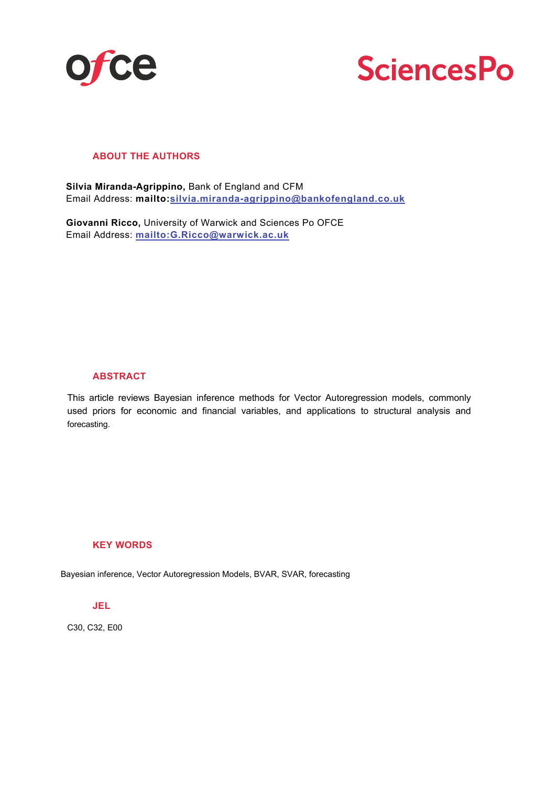

# **SciencesPo**

#### **ABOUT THE AUTHORS**

**Silvia Miranda-Agrippino,** Bank of England and CFM Email Address: **mailto:silvia.miranda-agrippino@bankofengland.co.uk**

**Giovanni Ricco,** University of Warwick and Sciences Po OFCE Email Address: **mailto:G.Ricco@warwick.ac.uk** 

#### **ABSTRACT**

This article reviews Bayesian inference methods for Vector Autoregression models, commonly used priors for economic and financial variables, and applications to structural analysis and forecasting.

#### **KEY WORDS**

Bayesian inference, Vector Autoregression Models, BVAR, SVAR, forecasting

#### **JEL**

C30, C32, E00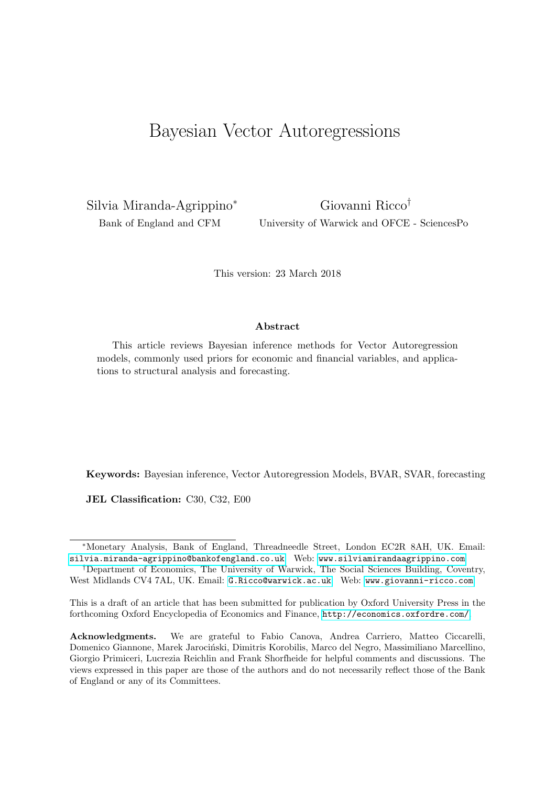## Bayesian Vector Autoregressions

Silvia Miranda-Agrippino<sup>∗</sup> Bank of England and CFM

Giovanni Ricco† University of Warwick and OFCE - SciencesPo

This version: 23 March 2018

#### Abstract

This article reviews Bayesian inference methods for Vector Autoregression models, commonly used priors for economic and financial variables, and applications to structural analysis and forecasting.

Keywords: Bayesian inference, Vector Autoregression Models, BVAR, SVAR, forecasting

JEL Classification: C30, C32, E00

<sup>∗</sup>Monetary Analysis, Bank of England, Threadneedle Street, London EC2R 8AH, UK. Email: [silvia.miranda-agrippino@bankofengland.co.uk](mailto:silvia.miranda-agrippino@bankofengland.co.uk) Web: <www.silviamirandaagrippino.com>

<sup>†</sup>Department of Economics, The University of Warwick, The Social Sciences Building, Coventry, West Midlands CV4 7AL, UK. Email: [G.Ricco@warwick.ac.uk](mailto:G.Ricco@warwick.ac.uk) Web: <www.giovanni-ricco.com>

This is a draft of an article that has been submitted for publication by Oxford University Press in the forthcoming Oxford Encyclopedia of Economics and Finance, <http://economics.oxfordre.com/>.

Acknowledgments. We are grateful to Fabio Canova, Andrea Carriero, Matteo Ciccarelli, Domenico Giannone, Marek Jarociński, Dimitris Korobilis, Marco del Negro, Massimiliano Marcellino, Giorgio Primiceri, Lucrezia Reichlin and Frank Shorfheide for helpful comments and discussions. The views expressed in this paper are those of the authors and do not necessarily reflect those of the Bank of England or any of its Committees.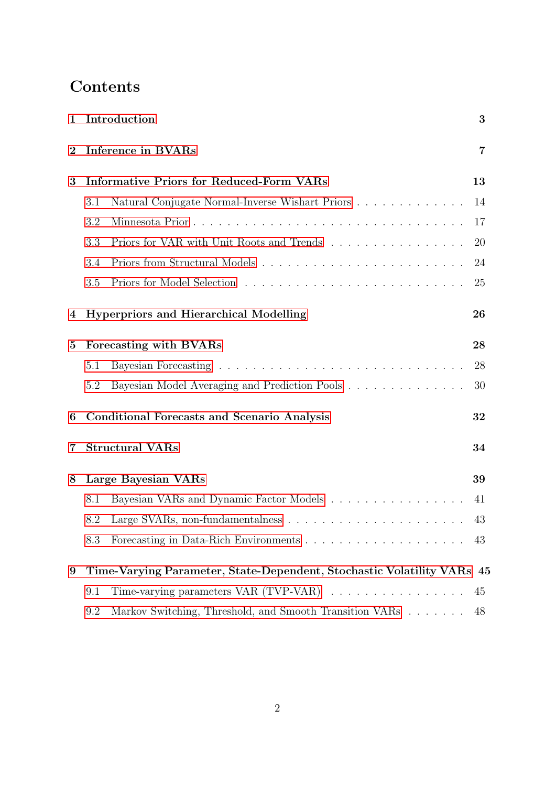## Contents

| $\mathbf{1}$    |                                                                        | Introduction                                             | 3              |
|-----------------|------------------------------------------------------------------------|----------------------------------------------------------|----------------|
| $\overline{2}$  | <b>Inference in BVARs</b>                                              |                                                          | $\overline{7}$ |
| 3               | <b>Informative Priors for Reduced-Form VARs</b>                        |                                                          | 13             |
|                 | 3.1                                                                    | Natural Conjugate Normal-Inverse Wishart Priors          | 14             |
|                 | 3.2                                                                    |                                                          | 17             |
|                 | 3.3                                                                    | Priors for VAR with Unit Roots and Trends                | <b>20</b>      |
|                 | 3.4                                                                    |                                                          | 24             |
|                 | 3.5                                                                    |                                                          | 25             |
| 4               |                                                                        | <b>Hyperpriors and Hierarchical Modelling</b>            | 26             |
| $\mathbf{5}$    | Forecasting with BVARs                                                 |                                                          | 28             |
|                 | 5.1                                                                    |                                                          | 28             |
|                 | 5.2                                                                    | Bayesian Model Averaging and Prediction Pools            | 30             |
| 6               |                                                                        | <b>Conditional Forecasts and Scenario Analysis</b><br>32 |                |
| 7               |                                                                        | <b>Structural VARs</b>                                   | 34             |
| 8               | Large Bayesian VARs                                                    |                                                          | 39             |
|                 | 8.1                                                                    | Bayesian VARs and Dynamic Factor Models                  | 41             |
|                 | 8.2                                                                    |                                                          | 43             |
|                 | 8.3                                                                    |                                                          |                |
| $9\phantom{.0}$ | Time-Varying Parameter, State-Dependent, Stochastic Volatility VARs 45 |                                                          |                |
|                 | 9.1                                                                    |                                                          | 45             |
|                 | $9.2\,$                                                                | Markov Switching, Threshold, and Smooth Transition VARs  | 48             |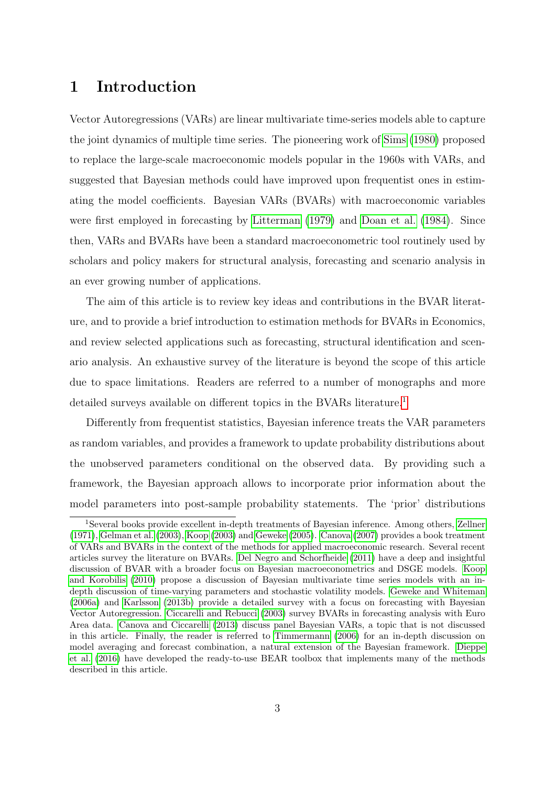## 1 Introduction

Vector Autoregressions (VARs) are linear multivariate time-series models able to capture the joint dynamics of multiple time series. The pioneering work of Sims (1980) proposed to replace the large-scale macroeconomic models popular in the 1960s with VARs, and suggested that Bayesian methods could have improved upon frequentist ones in estimating the model coefficients. Bayesian VARs (BVARs) with macroeconomic variables were first employed in forecasting by Litterman (1979) and Doan et al. (1984). Since then, VARs and BVARs have been a standard macroeconometric tool routinely used by scholars and policy makers for structural analysis, forecasting and scenario analysis in an ever growing number of applications.

The aim of this article is to review key ideas and contributions in the BVAR literature, and to provide a brief introduction to estimation methods for BVARs in Economics, and review selected applications such as forecasting, structural identification and scenario analysis. An exhaustive survey of the literature is beyond the scope of this article due to space limitations. Readers are referred to a number of monographs and more detailed surveys available on different topics in the BVARs literature.<sup>1</sup>

Differently from frequentist statistics, Bayesian inference treats the VAR parameters as random variables, and provides a framework to update probability distributions about the unobserved parameters conditional on the observed data. By providing such a framework, the Bayesian approach allows to incorporate prior information about the model parameters into post-sample probability statements. The 'prior' distributions

<sup>1</sup>Several books provide excellent in-depth treatments of Bayesian inference. Among others, Zellner (1971), Gelman et al. (2003), Koop (2003) and Geweke (2005). Canova (2007) provides a book treatment of VARs and BVARs in the context of the methods for applied macroeconomic research. Several recent articles survey the literature on BVARs. Del Negro and Schorfheide (2011) have a deep and insightful discussion of BVAR with a broader focus on Bayesian macroeconometrics and DSGE models. Koop and Korobilis (2010) propose a discussion of Bayesian multivariate time series models with an indepth discussion of time-varying parameters and stochastic volatility models. Geweke and Whiteman (2006a) and Karlsson (2013b) provide a detailed survey with a focus on forecasting with Bayesian Vector Autoregression. Ciccarelli and Rebucci (2003) survey BVARs in forecasting analysis with Euro Area data. Canova and Ciccarelli (2013) discuss panel Bayesian VARs, a topic that is not discussed in this article. Finally, the reader is referred to Timmermann (2006) for an in-depth discussion on model averaging and forecast combination, a natural extension of the Bayesian framework. Dieppe et al. (2016) have developed the ready-to-use BEAR toolbox that implements many of the methods described in this article.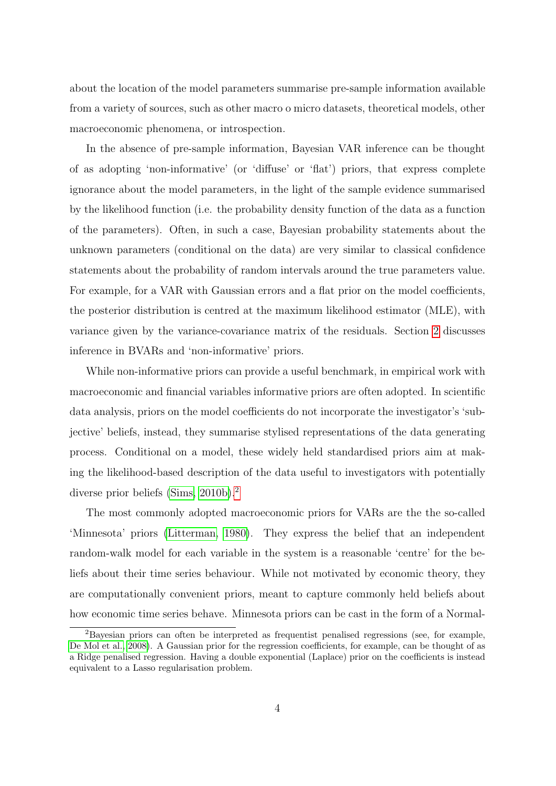about the location of the model parameters summarise pre-sample information available from a variety of sources, such as other macro o micro datasets, theoretical models, other macroeconomic phenomena, or introspection.

In the absence of pre-sample information, Bayesian VAR inference can be thought of as adopting 'non-informative' (or 'diffuse' or 'flat') priors, that express complete ignorance about the model parameters, in the light of the sample evidence summarised by the likelihood function (i.e. the probability density function of the data as a function of the parameters). Often, in such a case, Bayesian probability statements about the unknown parameters (conditional on the data) are very similar to classical confidence statements about the probability of random intervals around the true parameters value. For example, for a VAR with Gaussian errors and a flat prior on the model coefficients, the posterior distribution is centred at the maximum likelihood estimator (MLE), with variance given by the variance-covariance matrix of the residuals. Section 2 discusses inference in BVARs and 'non-informative' priors.

While non-informative priors can provide a useful benchmark, in empirical work with macroeconomic and financial variables informative priors are often adopted. In scientific data analysis, priors on the model coefficients do not incorporate the investigator's 'subjective' beliefs, instead, they summarise stylised representations of the data generating process. Conditional on a model, these widely held standardised priors aim at making the likelihood-based description of the data useful to investigators with potentially diverse prior beliefs (Sims, 2010b).2

The most commonly adopted macroeconomic priors for VARs are the the so-called 'Minnesota' priors (Litterman, 1980). They express the belief that an independent random-walk model for each variable in the system is a reasonable 'centre' for the beliefs about their time series behaviour. While not motivated by economic theory, they are computationally convenient priors, meant to capture commonly held beliefs about how economic time series behave. Minnesota priors can be cast in the form of a Normal-

<sup>2</sup>Bayesian priors can often be interpreted as frequentist penalised regressions (see, for example, De Mol et al., 2008). A Gaussian prior for the regression coefficients, for example, can be thought of as a Ridge penalised regression. Having a double exponential (Laplace) prior on the coefficients is instead equivalent to a Lasso regularisation problem.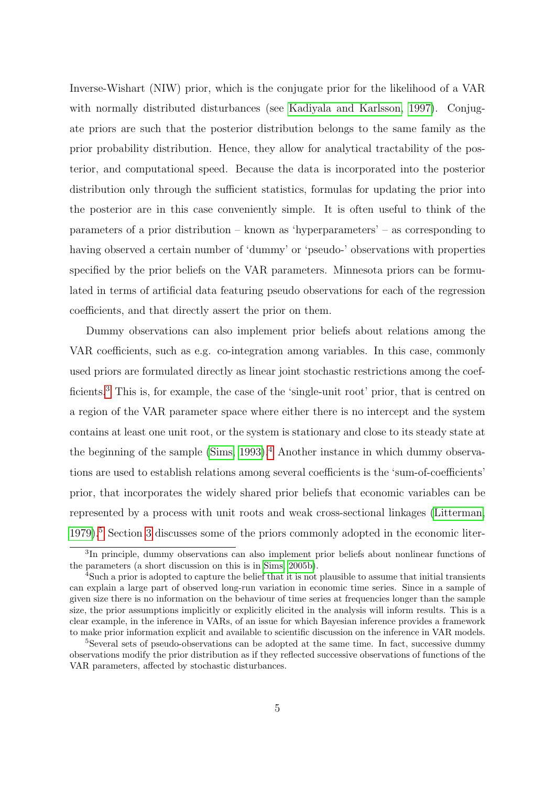Inverse-Wishart (NIW) prior, which is the conjugate prior for the likelihood of a VAR with normally distributed disturbances (see Kadiyala and Karlsson, 1997). Conjugate priors are such that the posterior distribution belongs to the same family as the prior probability distribution. Hence, they allow for analytical tractability of the posterior, and computational speed. Because the data is incorporated into the posterior distribution only through the sufficient statistics, formulas for updating the prior into the posterior are in this case conveniently simple. It is often useful to think of the parameters of a prior distribution – known as 'hyperparameters' – as corresponding to having observed a certain number of 'dummy' or 'pseudo-' observations with properties specified by the prior beliefs on the VAR parameters. Minnesota priors can be formulated in terms of artificial data featuring pseudo observations for each of the regression coefficients, and that directly assert the prior on them.

Dummy observations can also implement prior beliefs about relations among the VAR coefficients, such as e.g. co-integration among variables. In this case, commonly used priors are formulated directly as linear joint stochastic restrictions among the coefficients.<sup>3</sup> This is, for example, the case of the 'single-unit root' prior, that is centred on a region of the VAR parameter space where either there is no intercept and the system contains at least one unit root, or the system is stationary and close to its steady state at the beginning of the sample  $(Sims, 1993)$ .<sup>4</sup> Another instance in which dummy observations are used to establish relations among several coefficients is the 'sum-of-coefficients' prior, that incorporates the widely shared prior beliefs that economic variables can be represented by a process with unit roots and weak cross-sectional linkages (Litterman, 1979).5 Section 3 discusses some of the priors commonly adopted in the economic liter-

<sup>&</sup>lt;sup>3</sup>In principle, dummy observations can also implement prior beliefs about nonlinear functions of the parameters (a short discussion on this is in Sims, 2005b).

<sup>&</sup>lt;sup>4</sup>Such a prior is adopted to capture the belief that it is not plausible to assume that initial transients can explain a large part of observed long-run variation in economic time series. Since in a sample of given size there is no information on the behaviour of time series at frequencies longer than the sample size, the prior assumptions implicitly or explicitly elicited in the analysis will inform results. This is a clear example, in the inference in VARs, of an issue for which Bayesian inference provides a framework to make prior information explicit and available to scientific discussion on the inference in VAR models.

<sup>&</sup>lt;sup>5</sup>Several sets of pseudo-observations can be adopted at the same time. In fact, successive dummy observations modify the prior distribution as if they reflected successive observations of functions of the VAR parameters, affected by stochastic disturbances.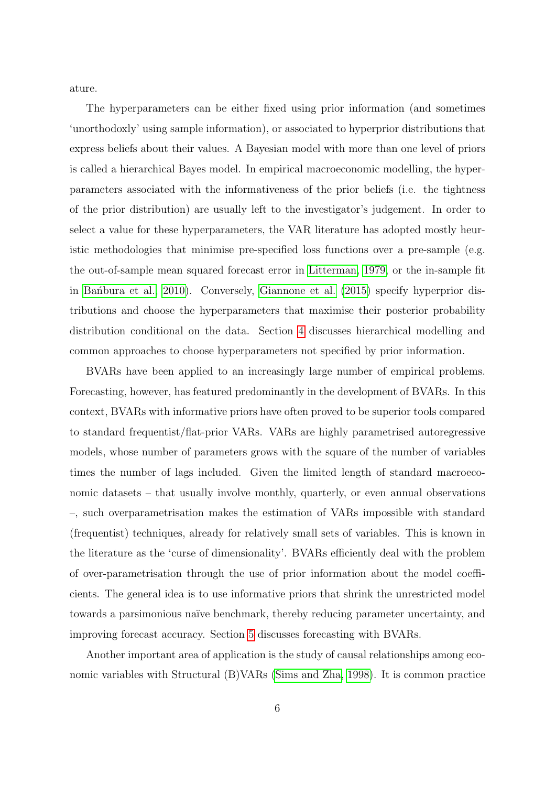ature.

The hyperparameters can be either fixed using prior information (and sometimes 'unorthodoxly' using sample information), or associated to hyperprior distributions that express beliefs about their values. A Bayesian model with more than one level of priors is called a hierarchical Bayes model. In empirical macroeconomic modelling, the hyperparameters associated with the informativeness of the prior beliefs (i.e. the tightness of the prior distribution) are usually left to the investigator's judgement. In order to select a value for these hyperparameters, the VAR literature has adopted mostly heuristic methodologies that minimise pre-specified loss functions over a pre-sample (e.g. the out-of-sample mean squared forecast error in Litterman, 1979, or the in-sample fit in Bantbura et al., 2010). Conversely, Giannone et al. (2015) specify hyperprior distributions and choose the hyperparameters that maximise their posterior probability distribution conditional on the data. Section 4 discusses hierarchical modelling and common approaches to choose hyperparameters not specified by prior information.

BVARs have been applied to an increasingly large number of empirical problems. Forecasting, however, has featured predominantly in the development of BVARs. In this context, BVARs with informative priors have often proved to be superior tools compared to standard frequentist/flat-prior VARs. VARs are highly parametrised autoregressive models, whose number of parameters grows with the square of the number of variables times the number of lags included. Given the limited length of standard macroeconomic datasets – that usually involve monthly, quarterly, or even annual observations –, such overparametrisation makes the estimation of VARs impossible with standard (frequentist) techniques, already for relatively small sets of variables. This is known in the literature as the 'curse of dimensionality'. BVARs efficiently deal with the problem of over-parametrisation through the use of prior information about the model coefficients. The general idea is to use informative priors that shrink the unrestricted model towards a parsimonious na¨ıve benchmark, thereby reducing parameter uncertainty, and improving forecast accuracy. Section 5 discusses forecasting with BVARs.

Another important area of application is the study of causal relationships among economic variables with Structural (B)VARs (Sims and Zha, 1998). It is common practice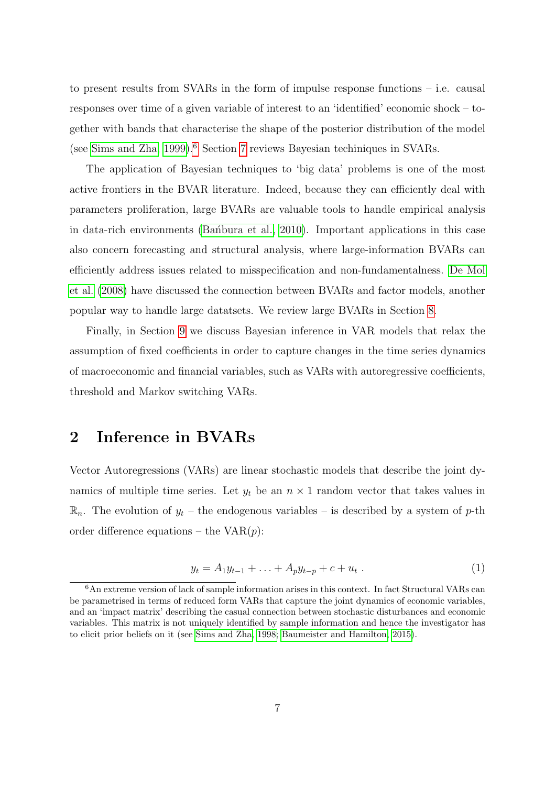to present results from SVARs in the form of impulse response functions – i.e. causal responses over time of a given variable of interest to an 'identified' economic shock – together with bands that characterise the shape of the posterior distribution of the model (see Sims and Zha, 1999).6 Section 7 reviews Bayesian techiniques in SVARs.

The application of Bayesian techniques to 'big data' problems is one of the most active frontiers in the BVAR literature. Indeed, because they can efficiently deal with parameters proliferation, large BVARs are valuable tools to handle empirical analysis in data-rich environments (Ban<sup>t</sup>bura et al., 2010). Important applications in this case also concern forecasting and structural analysis, where large-information BVARs can efficiently address issues related to misspecification and non-fundamentalness. De Mol et al. (2008) have discussed the connection between BVARs and factor models, another popular way to handle large datatsets. We review large BVARs in Section 8.

Finally, in Section 9 we discuss Bayesian inference in VAR models that relax the assumption of fixed coefficients in order to capture changes in the time series dynamics of macroeconomic and financial variables, such as VARs with autoregressive coefficients, threshold and Markov switching VARs.

## 2 Inference in BVARs

Vector Autoregressions (VARs) are linear stochastic models that describe the joint dynamics of multiple time series. Let  $y_t$  be an  $n \times 1$  random vector that takes values in  $\mathbb{R}_n$ . The evolution of  $y_t$  – the endogenous variables – is described by a system of p-th order difference equations – the  $VAR(p)$ :

$$
y_t = A_1 y_{t-1} + \ldots + A_p y_{t-p} + c + u_t \ . \tag{1}
$$

<sup>6</sup>An extreme version of lack of sample information arises in this context. In fact Structural VARs can be parametrised in terms of reduced form VARs that capture the joint dynamics of economic variables, and an 'impact matrix' describing the casual connection between stochastic disturbances and economic variables. This matrix is not uniquely identified by sample information and hence the investigator has to elicit prior beliefs on it (see Sims and Zha, 1998; Baumeister and Hamilton, 2015).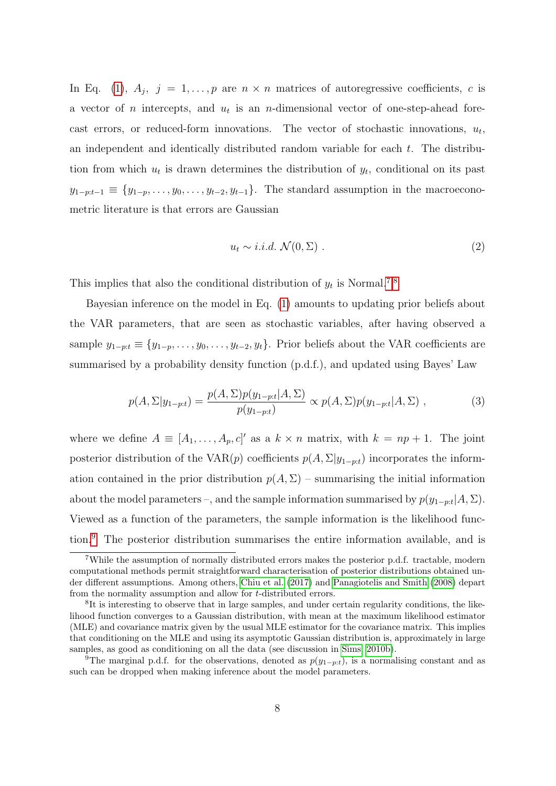In Eq. (1),  $A_j$ ,  $j = 1, ..., p$  are  $n \times n$  matrices of autoregressive coefficients, c is a vector of *n* intercepts, and  $u_t$  is an *n*-dimensional vector of one-step-ahead forecast errors, or reduced-form innovations. The vector of stochastic innovations,  $u_t$ , an independent and identically distributed random variable for each t. The distribution from which  $u_t$  is drawn determines the distribution of  $y_t$ , conditional on its past  $y_{1-p:t-1} \equiv \{y_{1-p}, \ldots, y_0, \ldots, y_{t-2}, y_{t-1}\}.$  The standard assumption in the macroeconometric literature is that errors are Gaussian

$$
u_t \sim i.i.d. \mathcal{N}(0, \Sigma) . \tag{2}
$$

This implies that also the conditional distribution of  $y_t$  is Normal.<sup>7,8</sup>

Bayesian inference on the model in Eq. (1) amounts to updating prior beliefs about the VAR parameters, that are seen as stochastic variables, after having observed a sample  $y_{1-p:t} \equiv \{y_{1-p}, \ldots, y_0, \ldots, y_{t-2}, y_t\}$ . Prior beliefs about the VAR coefficients are summarised by a probability density function (p.d.f.), and updated using Bayes' Law

$$
p(A, \Sigma | y_{1-p:t}) = \frac{p(A, \Sigma)p(y_{1-p:t}|A, \Sigma)}{p(y_{1-p:t})} \propto p(A, \Sigma)p(y_{1-p:t}|A, \Sigma) ,
$$
 (3)

where we define  $A \equiv [A_1, \ldots, A_p, c]'$  as a  $k \times n$  matrix, with  $k = np + 1$ . The joint posterior distribution of the VAR(p) coefficients  $p(A, \Sigma | y_{1-p:t})$  incorporates the information contained in the prior distribution  $p(A, \Sigma)$  – summarising the initial information about the model parameters –, and the sample information summarised by  $p(y_{1-p:t}|A, \Sigma)$ . Viewed as a function of the parameters, the sample information is the likelihood function.9 The posterior distribution summarises the entire information available, and is

<sup>7</sup>While the assumption of normally distributed errors makes the posterior p.d.f. tractable, modern computational methods permit straightforward characterisation of posterior distributions obtained under different assumptions. Among others, Chiu et al. (2017) and Panagiotelis and Smith (2008) depart from the normality assumption and allow for t-distributed errors.

<sup>&</sup>lt;sup>8</sup>It is interesting to observe that in large samples, and under certain regularity conditions, the likelihood function converges to a Gaussian distribution, with mean at the maximum likelihood estimator (MLE) and covariance matrix given by the usual MLE estimator for the covariance matrix. This implies that conditioning on the MLE and using its asymptotic Gaussian distribution is, approximately in large samples, as good as conditioning on all the data (see discussion in Sims, 2010b).

<sup>&</sup>lt;sup>9</sup>The marginal p.d.f. for the observations, denoted as  $p(y_{1-p:t})$ , is a normalising constant and as such can be dropped when making inference about the model parameters.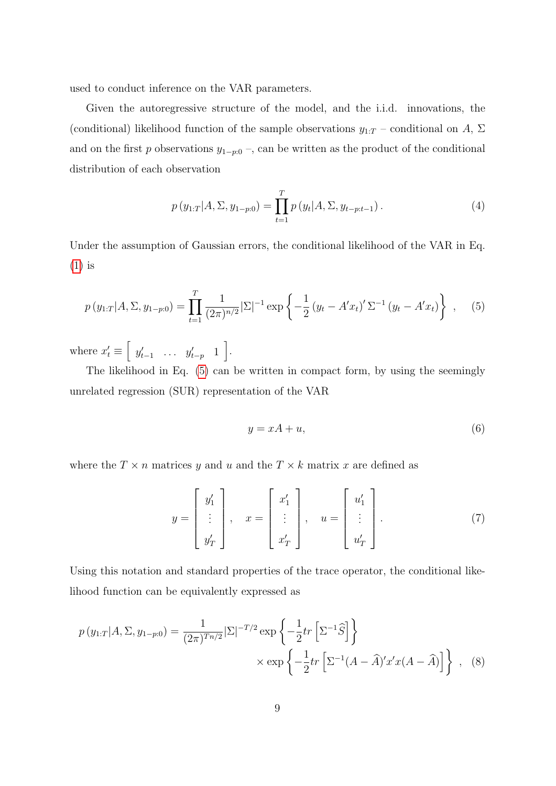used to conduct inference on the VAR parameters.

Given the autoregressive structure of the model, and the i.i.d. innovations, the (conditional) likelihood function of the sample observations  $y_{1:T}$  – conditional on A,  $\Sigma$ and on the first p observations  $y_{1-p:0}$ , can be written as the product of the conditional distribution of each observation

$$
p(y_{1:T}|A,\Sigma,y_{1-p:0}) = \prod_{t=1}^{T} p(y_t|A,\Sigma,y_{t-p:t-1}).
$$
\n(4)

Under the assumption of Gaussian errors, the conditional likelihood of the VAR in Eq. (1) is

$$
p(y_{1:T}|A,\Sigma,y_{1-p:0}) = \prod_{t=1}^{T} \frac{1}{(2\pi)^{n/2}} |\Sigma|^{-1} \exp\left\{-\frac{1}{2}(y_t - A'x_t)' \Sigma^{-1} (y_t - A'x_t)\right\}, \quad (5)
$$

where  $x'_t \equiv \begin{bmatrix} y'_{t-1} & \dots & y'_{t-p} & 1 \end{bmatrix}$ .

The likelihood in Eq. (5) can be written in compact form, by using the seemingly unrelated regression (SUR) representation of the VAR

$$
y = xA + u,\tag{6}
$$

where the  $T \times n$  matrices y and u and the  $T \times k$  matrix x are defined as

$$
y = \begin{bmatrix} y_1' \\ \vdots \\ y_T' \end{bmatrix}, \quad x = \begin{bmatrix} x_1' \\ \vdots \\ x_T' \end{bmatrix}, \quad u = \begin{bmatrix} u_1' \\ \vdots \\ u_T' \end{bmatrix}.
$$
 (7)

Using this notation and standard properties of the trace operator, the conditional likelihood function can be equivalently expressed as

$$
p(y_{1:T}|A,\Sigma,y_{1-p:0}) = \frac{1}{(2\pi)^{Tn/2}}|\Sigma|^{-T/2} \exp\left\{-\frac{1}{2}tr\left[\Sigma^{-1}\widehat{S}\right]\right\}
$$

$$
\times \exp\left\{-\frac{1}{2}tr\left[\Sigma^{-1}(A-\widehat{A})'x'x(A-\widehat{A})\right]\right\}, \quad (8)
$$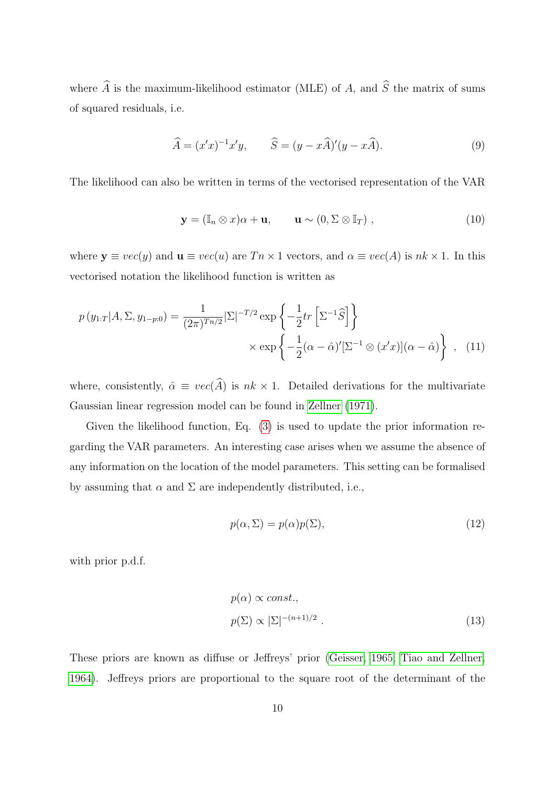where  $\widehat{A}$  is the maximum-likelihood estimator (MLE) of A, and  $\widehat{S}$  the matrix of sums of squared residuals, i.e.

$$
\widehat{A} = (x'x)^{-1}x'y, \qquad \widehat{S} = (y - x\widehat{A})'(y - x\widehat{A}).
$$
\n(9)

The likelihood can also be written in terms of the vectorised representation of the VAR

$$
\mathbf{y} = (\mathbb{I}_n \otimes x)\alpha + \mathbf{u}, \qquad \mathbf{u} \sim (0, \Sigma \otimes \mathbb{I}_T), \qquad (10)
$$

where  $y \equiv vec(y)$  and  $u \equiv vec(u)$  are  $T n \times 1$  vectors, and  $\alpha \equiv vec(A)$  is  $nk \times 1$ . In this vectorised notation the likelihood function is written as

$$
p(y_{1:T}|A,\Sigma,y_{1-p:0}) = \frac{1}{(2\pi)^{Tn/2}}|\Sigma|^{-T/2} \exp\left\{-\frac{1}{2}tr\left[\Sigma^{-1}\widehat{S}\right]\right\}
$$

$$
\times \exp\left\{-\frac{1}{2}(\alpha-\widehat{\alpha})'[\Sigma^{-1}\otimes(x'x)](\alpha-\widehat{\alpha})\right\}, \quad (11)
$$

where, consistently,  $\hat{\alpha} \equiv vec(\hat{A})$  is  $nk \times 1$ . Detailed derivations for the multivariate Gaussian linear regression model can be found in Zellner (1971).

Given the likelihood function, Eq. (3) is used to update the prior information regarding the VAR parameters. An interesting case arises when we assume the absence of any information on the location of the model parameters. This setting can be formalised by assuming that  $\alpha$  and  $\Sigma$  are independently distributed, i.e.,

$$
p(\alpha, \Sigma) = p(\alpha)p(\Sigma),\tag{12}
$$

with prior p.d.f.

$$
p(\alpha) \propto const.,
$$
  
\n
$$
p(\Sigma) \propto |\Sigma|^{-(n+1)/2}.
$$
\n(13)

These priors are known as diffuse or Jeffreys' prior (Geisser, 1965; Tiao and Zellner, 1964). Jeffreys priors are proportional to the square root of the determinant of the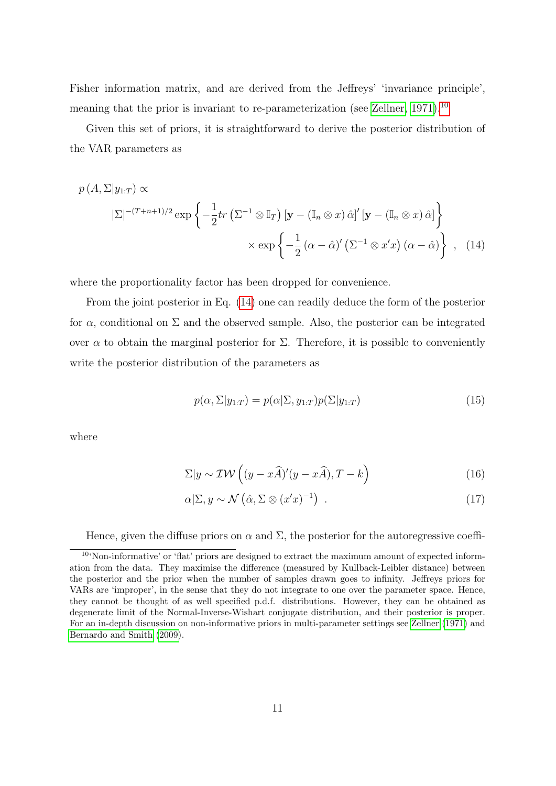Fisher information matrix, and are derived from the Jeffreys' 'invariance principle', meaning that the prior is invariant to re-parameterization (see Zellner, 1971).<sup>10</sup>

Given this set of priors, it is straightforward to derive the posterior distribution of the VAR parameters as

$$
p(A, \Sigma | y_{1:T}) \propto
$$
\n
$$
|\Sigma|^{-(T+n+1)/2} \exp \left\{ -\frac{1}{2} tr \left( \Sigma^{-1} \otimes \mathbb{I}_T \right) \left[ \mathbf{y} - \left( \mathbb{I}_n \otimes x \right) \hat{\alpha} \right]' \left[ \mathbf{y} - \left( \mathbb{I}_n \otimes x \right) \hat{\alpha} \right] \right\}
$$
\n
$$
\times \exp \left\{ -\frac{1}{2} \left( \alpha - \hat{\alpha} \right)' \left( \Sigma^{-1} \otimes x' x \right) \left( \alpha - \hat{\alpha} \right) \right\} , \quad (14)
$$

where the proportionality factor has been dropped for convenience.

From the joint posterior in Eq. (14) one can readily deduce the form of the posterior for  $\alpha$ , conditional on  $\Sigma$  and the observed sample. Also, the posterior can be integrated over α to obtain the marginal posterior for  $\Sigma$ . Therefore, it is possible to conveniently write the posterior distribution of the parameters as

$$
p(\alpha, \Sigma | y_{1:T}) = p(\alpha | \Sigma, y_{1:T}) p(\Sigma | y_{1:T})
$$
\n(15)

where

$$
\Sigma|y \sim \mathcal{IW}\left((y - x\widehat{A})(y - x\widehat{A}), T - k\right) \tag{16}
$$

$$
\alpha|\Sigma, y \sim \mathcal{N}\left(\hat{\alpha}, \Sigma \otimes (x'x)^{-1}\right) \tag{17}
$$

Hence, given the diffuse priors on  $\alpha$  and  $\Sigma$ , the posterior for the autoregressive coeffi-

<sup>10</sup>'Non-informative' or 'flat' priors are designed to extract the maximum amount of expected information from the data. They maximise the difference (measured by Kullback-Leibler distance) between the posterior and the prior when the number of samples drawn goes to infinity. Jeffreys priors for VARs are 'improper', in the sense that they do not integrate to one over the parameter space. Hence, they cannot be thought of as well specified p.d.f. distributions. However, they can be obtained as degenerate limit of the Normal-Inverse-Wishart conjugate distribution, and their posterior is proper. For an in-depth discussion on non-informative priors in multi-parameter settings see Zellner (1971) and Bernardo and Smith (2009).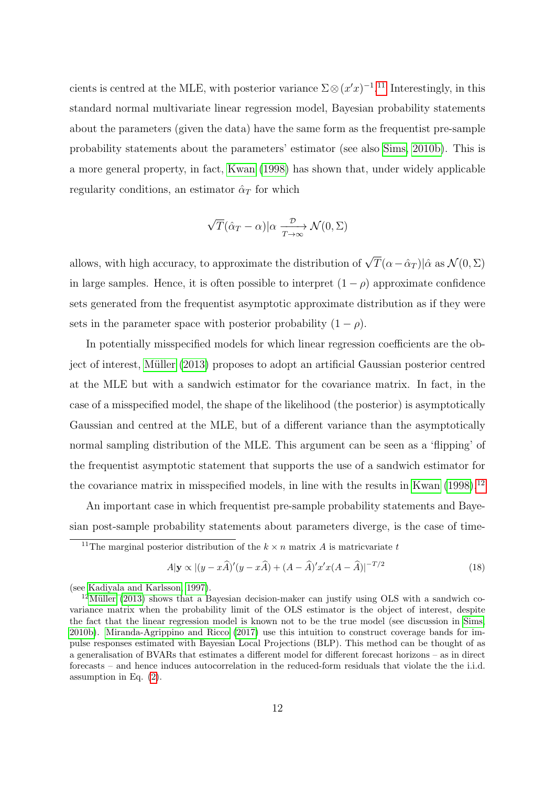cients is centred at the MLE, with posterior variance  $\Sigma \otimes (x'x)^{-1}$ .<sup>11</sup> Interestingly, in this standard normal multivariate linear regression model, Bayesian probability statements about the parameters (given the data) have the same form as the frequentist pre-sample probability statements about the parameters' estimator (see also Sims, 2010b). This is a more general property, in fact, Kwan (1998) has shown that, under widely applicable regularity conditions, an estimator  $\hat{\alpha}_T$  for which

$$
\sqrt{T}(\hat{\alpha}_T - \alpha) | \alpha \xrightarrow[T \to \infty]{\mathcal{D}} \mathcal{N}(0, \Sigma)
$$

allows, with high accuracy, to approximate the distribution of  $\sqrt{T}(\alpha - \hat{\alpha}_T)|\hat{\alpha}$  as  $\mathcal{N}(0, \Sigma)$ in large samples. Hence, it is often possible to interpret  $(1 - \rho)$  approximate confidence sets generated from the frequentist asymptotic approximate distribution as if they were sets in the parameter space with posterior probability  $(1 - \rho)$ .

In potentially misspecified models for which linear regression coefficients are the object of interest, Müller (2013) proposes to adopt an artificial Gaussian posterior centred at the MLE but with a sandwich estimator for the covariance matrix. In fact, in the case of a misspecified model, the shape of the likelihood (the posterior) is asymptotically Gaussian and centred at the MLE, but of a different variance than the asymptotically normal sampling distribution of the MLE. This argument can be seen as a 'flipping' of the frequentist asymptotic statement that supports the use of a sandwich estimator for the covariance matrix in misspecified models, in line with the results in Kwan  $(1998).<sup>12</sup>$ 

An important case in which frequentist pre-sample probability statements and Bayesian post-sample probability statements about parameters diverge, is the case of time-

$$
A|\mathbf{y} \propto |(y - x\widehat{A})'(y - x\widehat{A}) + (A - \widehat{A})'x'x(A - \widehat{A})|^{-T/2}
$$
\n(18)

<sup>&</sup>lt;sup>11</sup>The marginal posterior distribution of the  $k \times n$  matrix A is matricularized to

<sup>(</sup>see Kadiyala and Karlsson, 1997).

 $12$ Müller (2013) shows that a Bayesian decision-maker can justify using OLS with a sandwich covariance matrix when the probability limit of the OLS estimator is the object of interest, despite the fact that the linear regression model is known not to be the true model (see discussion in Sims, 2010b). Miranda-Agrippino and Ricco (2017) use this intuition to construct coverage bands for impulse responses estimated with Bayesian Local Projections (BLP). This method can be thought of as a generalisation of BVARs that estimates a different model for different forecast horizons – as in direct forecasts – and hence induces autocorrelation in the reduced-form residuals that violate the the i.i.d. assumption in Eq. (2).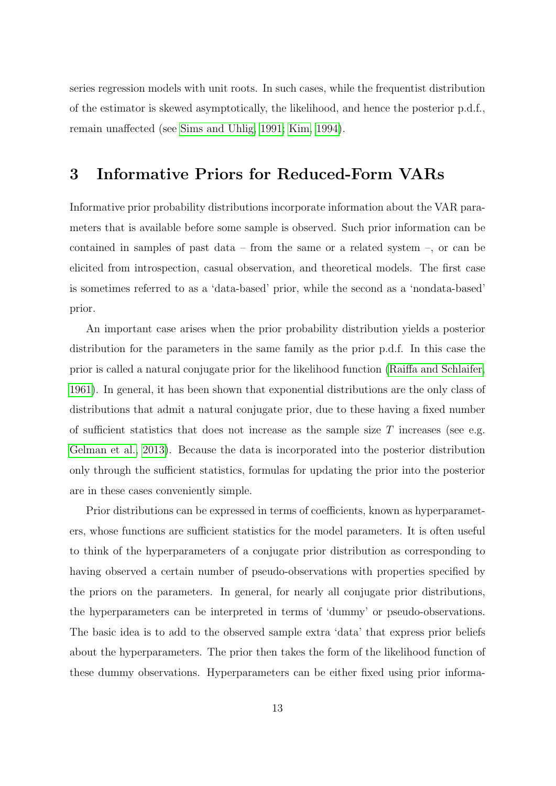series regression models with unit roots. In such cases, while the frequentist distribution of the estimator is skewed asymptotically, the likelihood, and hence the posterior p.d.f., remain unaffected (see Sims and Uhlig, 1991; Kim, 1994).

## 3 Informative Priors for Reduced-Form VARs

Informative prior probability distributions incorporate information about the VAR parameters that is available before some sample is observed. Such prior information can be contained in samples of past data – from the same or a related system –, or can be elicited from introspection, casual observation, and theoretical models. The first case is sometimes referred to as a 'data-based' prior, while the second as a 'nondata-based' prior.

An important case arises when the prior probability distribution yields a posterior distribution for the parameters in the same family as the prior p.d.f. In this case the prior is called a natural conjugate prior for the likelihood function (Raiffa and Schlaifer, 1961). In general, it has been shown that exponential distributions are the only class of distributions that admit a natural conjugate prior, due to these having a fixed number of sufficient statistics that does not increase as the sample size  $T$  increases (see e.g. Gelman et al., 2013). Because the data is incorporated into the posterior distribution only through the sufficient statistics, formulas for updating the prior into the posterior are in these cases conveniently simple.

Prior distributions can be expressed in terms of coefficients, known as hyperparameters, whose functions are sufficient statistics for the model parameters. It is often useful to think of the hyperparameters of a conjugate prior distribution as corresponding to having observed a certain number of pseudo-observations with properties specified by the priors on the parameters. In general, for nearly all conjugate prior distributions, the hyperparameters can be interpreted in terms of 'dummy' or pseudo-observations. The basic idea is to add to the observed sample extra 'data' that express prior beliefs about the hyperparameters. The prior then takes the form of the likelihood function of these dummy observations. Hyperparameters can be either fixed using prior informa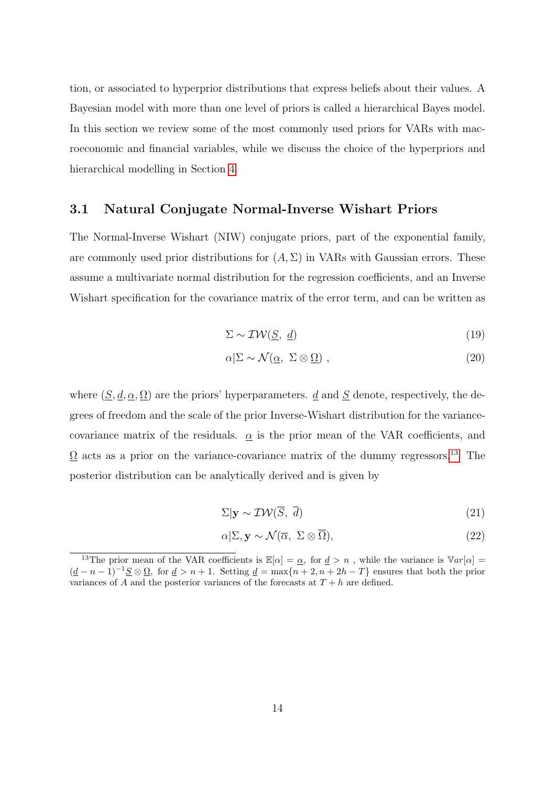tion, or associated to hyperprior distributions that express beliefs about their values. A Bayesian model with more than one level of priors is called a hierarchical Bayes model. In this section we review some of the most commonly used priors for VARs with macroeconomic and financial variables, while we discuss the choice of the hyperpriors and hierarchical modelling in Section 4.

#### 3.1 Natural Conjugate Normal-Inverse Wishart Priors

The Normal-Inverse Wishart (NIW) conjugate priors, part of the exponential family, are commonly used prior distributions for  $(A, \Sigma)$  in VARs with Gaussian errors. These assume a multivariate normal distribution for the regression coefficients, and an Inverse Wishart specification for the covariance matrix of the error term, and can be written as

$$
\Sigma \sim \mathcal{IW}(\underline{S}, \underline{d}) \tag{19}
$$

$$
\alpha|\Sigma \sim \mathcal{N}(\underline{\alpha}, \ \Sigma \otimes \underline{\Omega}) \ , \tag{20}
$$

where  $(S, d, \alpha, \Omega)$  are the priors' hyperparameters. d and S denote, respectively, the degrees of freedom and the scale of the prior Inverse-Wishart distribution for the variancecovariance matrix of the residuals.  $\alpha$  is the prior mean of the VAR coefficients, and  $\Omega$  acts as a prior on the variance-covariance matrix of the dummy regressors.<sup>13</sup> The posterior distribution can be analytically derived and is given by

$$
\Sigma|\mathbf{y} \sim \mathcal{IW}(\overline{S}, \overline{d})\tag{21}
$$

$$
\alpha|\Sigma, \mathbf{y} \sim \mathcal{N}(\overline{\alpha}, \ \Sigma \otimes \overline{\Omega}), \tag{22}
$$

<sup>&</sup>lt;sup>13</sup>The prior mean of the VAR coefficients is  $\mathbb{E}[\alpha] = \underline{\alpha}$ , for  $\underline{d} > n$ , while the variance is  $\mathbb{V}ar[\alpha] =$  $(\underline{d}-n-1)^{-1}\underline{S}\otimes \underline{\Omega}$ , for  $\underline{d} > n+1$ . Setting  $\underline{d} = \max\{n+2, n+2h-T\}$  ensures that both the prior variances of A and the posterior variances of the forecasts at  $T + h$  are defined.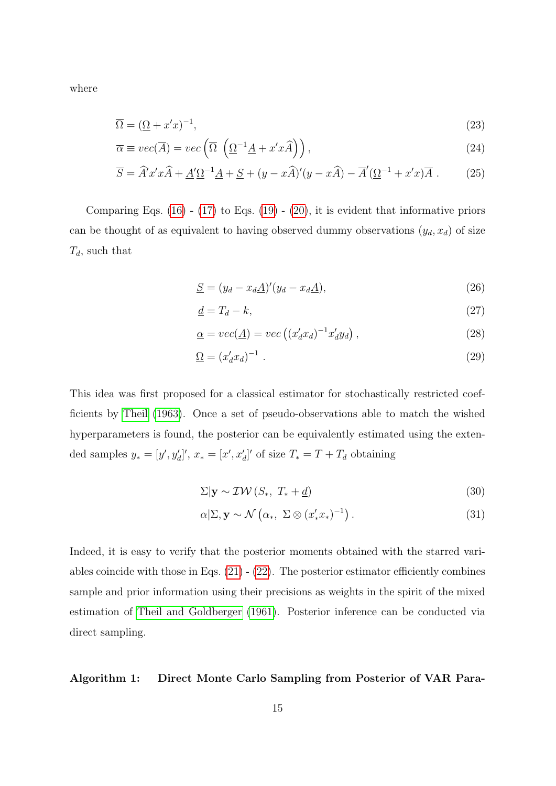where

$$
\overline{\Omega} = (\underline{\Omega} + x'x)^{-1},\tag{23}
$$

$$
\overline{\alpha} \equiv vec(\overline{A}) = vec\left(\overline{\Omega} \left(\underline{\Omega}^{-1} \underline{A} + x' x \widehat{A}\right)\right), \tag{24}
$$

$$
\overline{S} = \widehat{A}'x'x\widehat{A} + \underline{A}'\underline{\Omega}^{-1}\underline{A} + \underline{S} + (y - x\widehat{A})'(y - x\widehat{A}) - \overline{A}'(\underline{\Omega}^{-1} + x'x)\overline{A} . \tag{25}
$$

Comparing Eqs.  $(16)$  -  $(17)$  to Eqs.  $(19)$  -  $(20)$ , it is evident that informative priors can be thought of as equivalent to having observed dummy observations  $(y_d, x_d)$  of size  $T_d$ , such that

$$
\underline{S} = (y_d - x_d \underline{A})'(y_d - x_d \underline{A}),\tag{26}
$$

$$
\underline{d} = T_d - k,\tag{27}
$$

$$
\underline{\alpha} = vec(\underline{A}) = vec((x'_d x_d)^{-1} x'_d y_d), \qquad (28)
$$

$$
\underline{\Omega} = (x'_d x_d)^{-1} \tag{29}
$$

This idea was first proposed for a classical estimator for stochastically restricted coefficients by Theil (1963). Once a set of pseudo-observations able to match the wished hyperparameters is found, the posterior can be equivalently estimated using the extended samples  $y_* = [y', y'_d]'$ ,  $x_* = [x', x'_d]'$  of size  $T_* = T + T_d$  obtaining

$$
\Sigma|\mathbf{y} \sim \mathcal{IW}(S_*, T_* + \underline{d}) \tag{30}
$$

$$
\alpha|\Sigma, \mathbf{y} \sim \mathcal{N}\left(\alpha_*, \ \Sigma \otimes (x_*'x_*)^{-1}\right). \tag{31}
$$

Indeed, it is easy to verify that the posterior moments obtained with the starred variables coincide with those in Eqs.  $(21)$  -  $(22)$ . The posterior estimator efficiently combines sample and prior information using their precisions as weights in the spirit of the mixed estimation of Theil and Goldberger (1961). Posterior inference can be conducted via direct sampling.

#### Algorithm 1: Direct Monte Carlo Sampling from Posterior of VAR Para-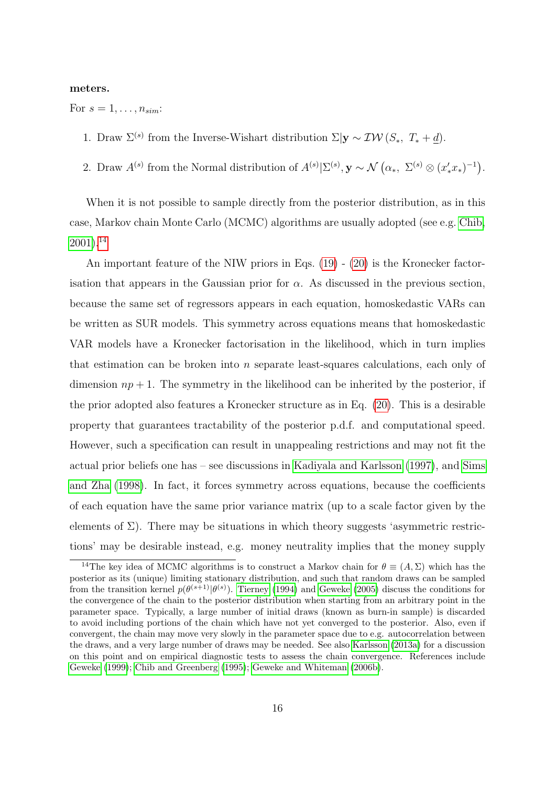#### meters.

For  $s = 1, \ldots, n_{sim}$ :

- 1. Draw  $\Sigma^{(s)}$  from the Inverse-Wishart distribution  $\Sigma|\mathbf{y} \sim \mathcal{IW}(S_*, T_* + \underline{d}).$
- 2. Draw  $A^{(s)}$  from the Normal distribution of  $A^{(s)}\vert \Sigma^{(s)}, \mathbf{y} \sim \mathcal{N}(\alpha_*, \Sigma^{(s)} \otimes (x_*^{\prime} x_*)^{-1}).$

When it is not possible to sample directly from the posterior distribution, as in this case, Markov chain Monte Carlo (MCMC) algorithms are usually adopted (see e.g. Chib,  $2001$ ).<sup>14</sup>

An important feature of the NIW priors in Eqs. (19) - (20) is the Kronecker factorisation that appears in the Gaussian prior for  $\alpha$ . As discussed in the previous section, because the same set of regressors appears in each equation, homoskedastic VARs can be written as SUR models. This symmetry across equations means that homoskedastic VAR models have a Kronecker factorisation in the likelihood, which in turn implies that estimation can be broken into  $n$  separate least-squares calculations, each only of dimension  $np + 1$ . The symmetry in the likelihood can be inherited by the posterior, if the prior adopted also features a Kronecker structure as in Eq. (20). This is a desirable property that guarantees tractability of the posterior p.d.f. and computational speed. However, such a specification can result in unappealing restrictions and may not fit the actual prior beliefs one has – see discussions in Kadiyala and Karlsson (1997), and Sims and Zha (1998). In fact, it forces symmetry across equations, because the coefficients of each equation have the same prior variance matrix (up to a scale factor given by the elements of  $\Sigma$ ). There may be situations in which theory suggests 'asymmetric restrictions' may be desirable instead, e.g. money neutrality implies that the money supply

<sup>&</sup>lt;sup>14</sup>The key idea of MCMC algorithms is to construct a Markov chain for  $\theta \equiv (A, \Sigma)$  which has the posterior as its (unique) limiting stationary distribution, and such that random draws can be sampled from the transition kernel  $p(\theta^{(s+1)}|\theta^{(s)})$ . Tierney (1994) and Geweke (2005) discuss the conditions for the convergence of the chain to the posterior distribution when starting from an arbitrary point in the parameter space. Typically, a large number of initial draws (known as burn-in sample) is discarded to avoid including portions of the chain which have not yet converged to the posterior. Also, even if convergent, the chain may move very slowly in the parameter space due to e.g. autocorrelation between the draws, and a very large number of draws may be needed. See also Karlsson (2013a) for a discussion on this point and on empirical diagnostic tests to assess the chain convergence. References include Geweke (1999); Chib and Greenberg (1995); Geweke and Whiteman (2006b).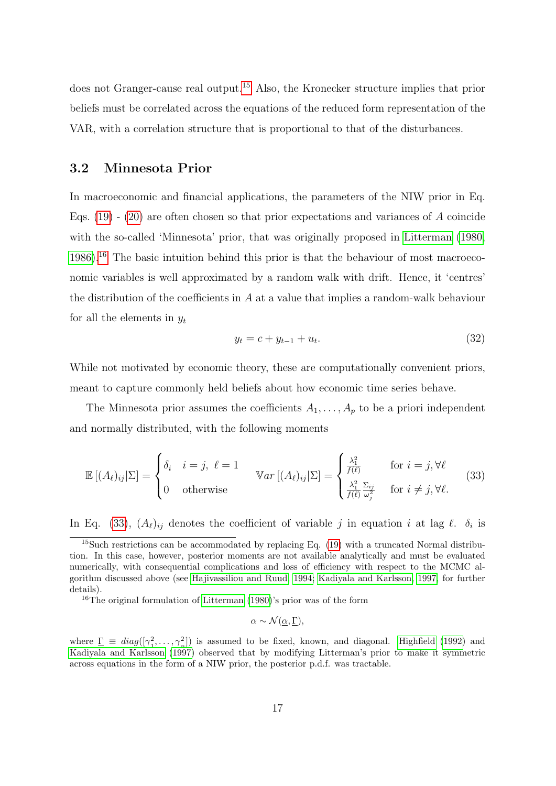does not Granger-cause real output.15 Also, the Kronecker structure implies that prior beliefs must be correlated across the equations of the reduced form representation of the VAR, with a correlation structure that is proportional to that of the disturbances.

#### 3.2 Minnesota Prior

In macroeconomic and financial applications, the parameters of the NIW prior in Eq. Eqs.  $(19)$  -  $(20)$  are often chosen so that prior expectations and variances of A coincide with the so-called 'Minnesota' prior, that was originally proposed in Litterman (1980, 1986).<sup>16</sup> The basic intuition behind this prior is that the behaviour of most macroeconomic variables is well approximated by a random walk with drift. Hence, it 'centres' the distribution of the coefficients in  $A$  at a value that implies a random-walk behaviour for all the elements in  $y_t$ 

$$
y_t = c + y_{t-1} + u_t. \t\t(32)
$$

While not motivated by economic theory, these are computationally convenient priors, meant to capture commonly held beliefs about how economic time series behave.

The Minnesota prior assumes the coefficients  $A_1, \ldots, A_p$  to be a priori independent and normally distributed, with the following moments

$$
\mathbb{E}[(A_{\ell})_{ij}|\Sigma] = \begin{cases} \delta_i & i = j, \ \ell = 1 \\ 0 & \text{otherwise} \end{cases} \quad \text{Var}[(A_{\ell})_{ij}|\Sigma] = \begin{cases} \frac{\lambda_1^2}{f(\ell)} & \text{for } i = j, \forall \ell \\ \frac{\lambda_1^2}{f(\ell)} \frac{\Sigma_{ij}}{\omega_j^2} & \text{for } i \neq j, \forall \ell. \end{cases} (33)
$$

In Eq. (33),  $(A_\ell)_{ij}$  denotes the coefficient of variable j in equation i at lag  $\ell$ .  $\delta_i$  is

<sup>16</sup>The original formulation of Litterman (1980)'s prior was of the form

$$
\alpha \sim \mathcal{N}(\underline{\alpha}, \underline{\Gamma}),
$$

where  $\underline{\Gamma} \equiv diag([\gamma_1^2$  $\left( \frac{2}{n}, \ldots, \frac{2}{n} \right)$  is assumed to be fixed, known, and diagonal. Highfield (1992) and Kadiyala and Karlsson (1997) observed that by modifying Litterman's prior to make it symmetric across equations in the form of a NIW prior, the posterior p.d.f. was tractable.

<sup>&</sup>lt;sup>15</sup>Such restrictions can be accommodated by replacing Eq.  $(19)$  with a truncated Normal distribution. In this case, however, posterior moments are not available analytically and must be evaluated numerically, with consequential complications and loss of efficiency with respect to the MCMC algorithm discussed above (see Hajivassiliou and Ruud, 1994; Kadiyala and Karlsson, 1997, for further details).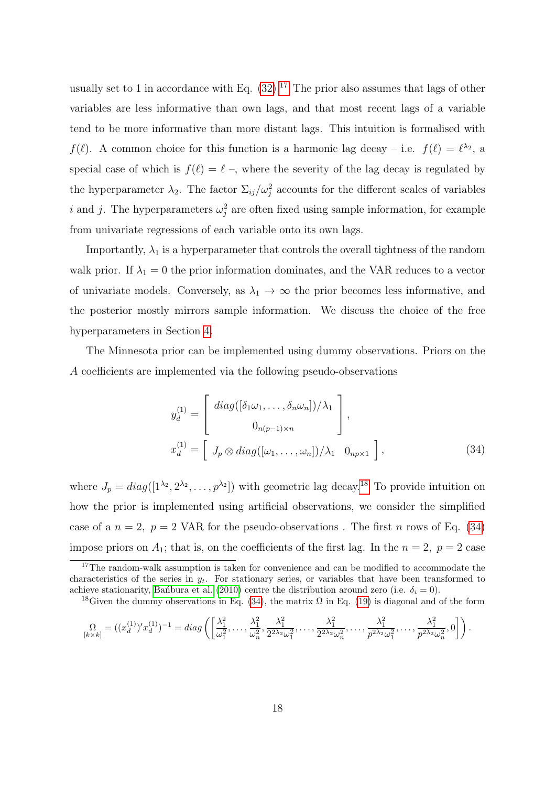usually set to 1 in accordance with Eq.  $(32)$ .<sup>17</sup> The prior also assumes that lags of other variables are less informative than own lags, and that most recent lags of a variable tend to be more informative than more distant lags. This intuition is formalised with  $f(\ell)$ . A common choice for this function is a harmonic lag decay – i.e.  $f(\ell) = \ell^{\lambda_2}$ , a special case of which is  $f(\ell) = \ell$ , where the severity of the lag decay is regulated by the hyperparameter  $\lambda_2$ . The factor  $\Sigma_{ij}/\omega_j^2$  accounts for the different scales of variables i and j. The hyperparameters  $\omega_j^2$  are often fixed using sample information, for example from univariate regressions of each variable onto its own lags.

Importantly,  $\lambda_1$  is a hyperparameter that controls the overall tightness of the random walk prior. If  $\lambda_1 = 0$  the prior information dominates, and the VAR reduces to a vector of univariate models. Conversely, as  $\lambda_1 \to \infty$  the prior becomes less informative, and the posterior mostly mirrors sample information. We discuss the choice of the free hyperparameters in Section 4.

The Minnesota prior can be implemented using dummy observations. Priors on the A coefficients are implemented via the following pseudo-observations

$$
y_d^{(1)} = \begin{bmatrix} diag([\delta_1 \omega_1, \dots, \delta_n \omega_n]) / \lambda_1 \\ 0_{n(p-1)\times n} \end{bmatrix},
$$
  

$$
x_d^{(1)} = \begin{bmatrix} J_p \otimes diag([\omega_1, \dots, \omega_n]) / \lambda_1 & 0_{np \times 1} \end{bmatrix},
$$
 (34)

where  $J_p = diag([1^{\lambda_2}, 2^{\lambda_2}, \dots, p^{\lambda_2}])$  with geometric lag decay.<sup>18</sup> To provide intuition on how the prior is implemented using artificial observations, we consider the simplified case of a  $n = 2$ ,  $p = 2$  VAR for the pseudo-observations. The first n rows of Eq. (34) impose priors on  $A_1$ ; that is, on the coefficients of the first lag. In the  $n = 2$ ,  $p = 2$  case

$$
\Omega_{[k \times k]} = ((x_d^{(1)})' x_d^{(1)})^{-1} = diag\left( \left[ \frac{\lambda_1^2}{\omega_1^2}, \dots, \frac{\lambda_1^2}{\omega_n^2}, \frac{\lambda_1^2}{2^{2\lambda_2} \omega_1^2}, \dots, \frac{\lambda_1^2}{2^{2\lambda_2} \omega_n^2}, \dots, \frac{\lambda_1^2}{p^{2\lambda_2} \omega_1^2}, \dots, \frac{\lambda_1^2}{p^{2\lambda_2} \omega_n^2}, 0 \right] \right).
$$

<sup>&</sup>lt;sup>17</sup>The random-walk assumption is taken for convenience and can be modified to accommodate the characteristics of the series in  $y_t$ . For stationary series, or variables that have been transformed to achieve stationarity, Ban'bura et al. (2010) centre the distribution around zero (i.e.  $\delta_i = 0$ ).

<sup>&</sup>lt;sup>18</sup>Given the dummy observations in Eq. (34), the matrix  $\Omega$  in Eq. (19) is diagonal and of the form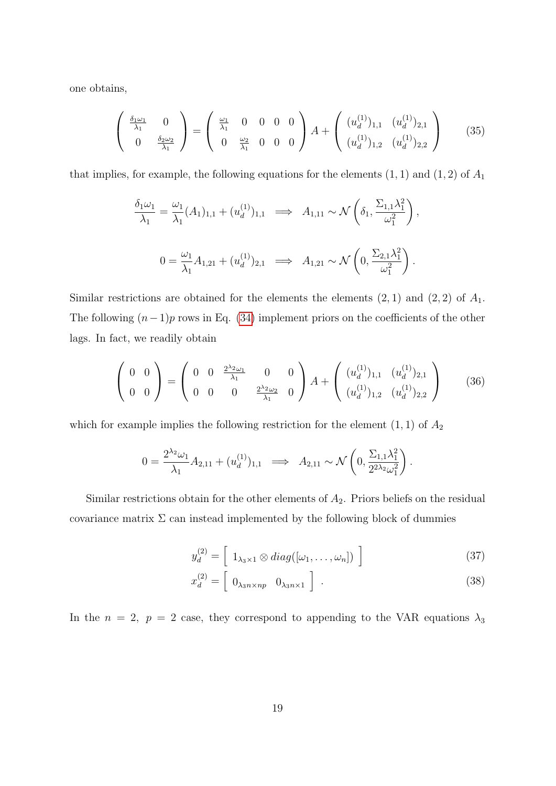one obtains,

$$
\begin{pmatrix}\n\frac{\delta_1 \omega_1}{\lambda_1} & 0 \\
0 & \frac{\delta_2 \omega_2}{\lambda_1}\n\end{pmatrix} = \begin{pmatrix}\n\frac{\omega_1}{\lambda_1} & 0 & 0 & 0 \\
0 & \frac{\omega_2}{\lambda_1} & 0 & 0\n\end{pmatrix} A + \begin{pmatrix}\n(u_d^{(1)})_{1,1} & (u_d^{(1)})_{2,1} \\
(u_d^{(1)})_{1,2} & (u_d^{(1)})_{2,2}\n\end{pmatrix}
$$
\n(35)

that implies, for example, the following equations for the elements  $(1, 1)$  and  $(1, 2)$  of  $A_1$ 

$$
\frac{\delta_1 \omega_1}{\lambda_1} = \frac{\omega_1}{\lambda_1} (A_1)_{1,1} + (u_d^{(1)})_{1,1} \implies A_{1,11} \sim \mathcal{N} \left( \delta_1, \frac{\Sigma_{1,1} \lambda_1^2}{\omega_1^2} \right),
$$
  

$$
0 = \frac{\omega_1}{\lambda_1} A_{1,21} + (u_d^{(1)})_{2,1} \implies A_{1,21} \sim \mathcal{N} \left( 0, \frac{\Sigma_{2,1} \lambda_1^2}{\omega_1^2} \right).
$$

Similar restrictions are obtained for the elements the elements  $(2, 1)$  and  $(2, 2)$  of  $A_1$ . The following  $(n-1)p$  rows in Eq. (34) implement priors on the coefficients of the other lags. In fact, we readily obtain

$$
\begin{pmatrix} 0 & 0 \ 0 & 0 \end{pmatrix} = \begin{pmatrix} 0 & 0 & \frac{2^{\lambda_2} \omega_1}{\lambda_1} & 0 & 0 \\ 0 & 0 & 0 & \frac{2^{\lambda_2} \omega_2}{\lambda_1} & 0 \end{pmatrix} A + \begin{pmatrix} (u_d^{(1)})_{1,1} & (u_d^{(1)})_{2,1} \\ (u_d^{(1)})_{1,2} & (u_d^{(1)})_{2,2} \end{pmatrix}
$$
(36)

which for example implies the following restriction for the element  $(1, 1)$  of  $A_2$ 

$$
0 = \frac{2^{\lambda_2} \omega_1}{\lambda_1} A_{2,11} + (u_d^{(1)})_{1,1} \implies A_{2,11} \sim \mathcal{N}\left(0, \frac{\Sigma_{1,1} \lambda_1^2}{2^{2\lambda_2} \omega_1^2}\right).
$$

Similar restrictions obtain for the other elements of  $A_2$ . Priors beliefs on the residual covariance matrix  $\Sigma$  can instead implemented by the following block of dummies

$$
y_d^{(2)} = \left[ 1_{\lambda_3 \times 1} \otimes diag([\omega_1, \dots, \omega_n]) \right]
$$
 (37)

$$
x_d^{(2)} = \left[ 0_{\lambda_3 n \times n p} \quad 0_{\lambda_3 n \times 1} \right] \tag{38}
$$

In the  $n = 2$ ,  $p = 2$  case, they correspond to appending to the VAR equations  $\lambda_3$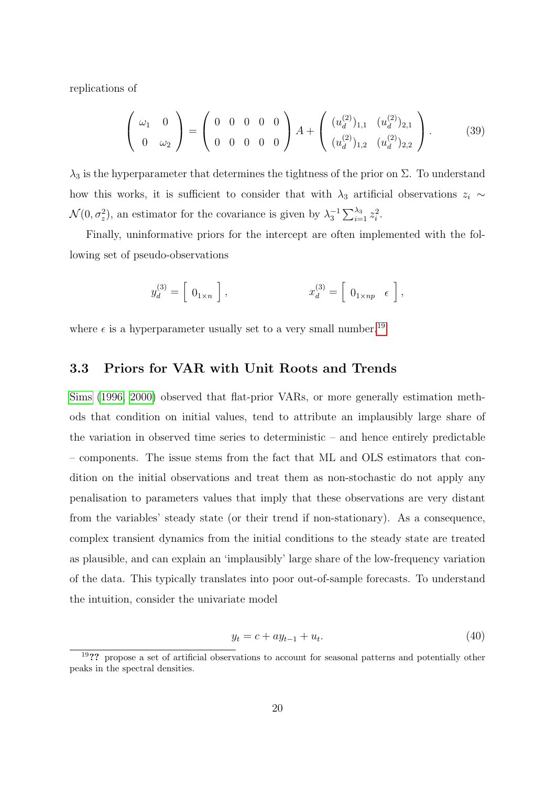replications of

$$
\left(\begin{array}{cc}\n\omega_1 & 0 \\
0 & \omega_2\n\end{array}\right) = \left(\begin{array}{cccc}\n0 & 0 & 0 & 0 \\
0 & 0 & 0 & 0\n\end{array}\right) A + \left(\begin{array}{cc}\n(u_d^{(2)})_{1,1} & (u_d^{(2)})_{2,1} \\
(u_d^{(2)})_{1,2} & (u_d^{(2)})_{2,2}\n\end{array}\right). \tag{39}
$$

 $\lambda_3$  is the hyperparameter that determines the tightness of the prior on  $\Sigma$ . To understand how this works, it is sufficient to consider that with  $\lambda_3$  artificial observations  $z_i \sim$  $\mathcal{N}(0, \sigma_z^2)$ , an estimator for the covariance is given by  $\lambda_3^{-1} \sum_{i=1}^{\lambda_3} z_i^2$ .

Finally, uninformative priors for the intercept are often implemented with the following set of pseudo-observations

$$
y_d^{(3)} = \left[ \begin{array}{c} 0_{1 \times n} \end{array} \right], \qquad x_d^{(3)} = \left[ \begin{array}{c} 0_{1 \times np} & \epsilon \end{array} \right],
$$

where  $\epsilon$  is a hyperparameter usually set to a very small number.<sup>19</sup>

#### 3.3 Priors for VAR with Unit Roots and Trends

Sims (1996, 2000) observed that flat-prior VARs, or more generally estimation methods that condition on initial values, tend to attribute an implausibly large share of the variation in observed time series to deterministic – and hence entirely predictable – components. The issue stems from the fact that ML and OLS estimators that condition on the initial observations and treat them as non-stochastic do not apply any penalisation to parameters values that imply that these observations are very distant from the variables' steady state (or their trend if non-stationary). As a consequence, complex transient dynamics from the initial conditions to the steady state are treated as plausible, and can explain an 'implausibly' large share of the low-frequency variation of the data. This typically translates into poor out-of-sample forecasts. To understand the intuition, consider the univariate model

$$
y_t = c + ay_{t-1} + u_t. \t\t(40)
$$

<sup>&</sup>lt;sup>19</sup>?? propose a set of artificial observations to account for seasonal patterns and potentially other peaks in the spectral densities.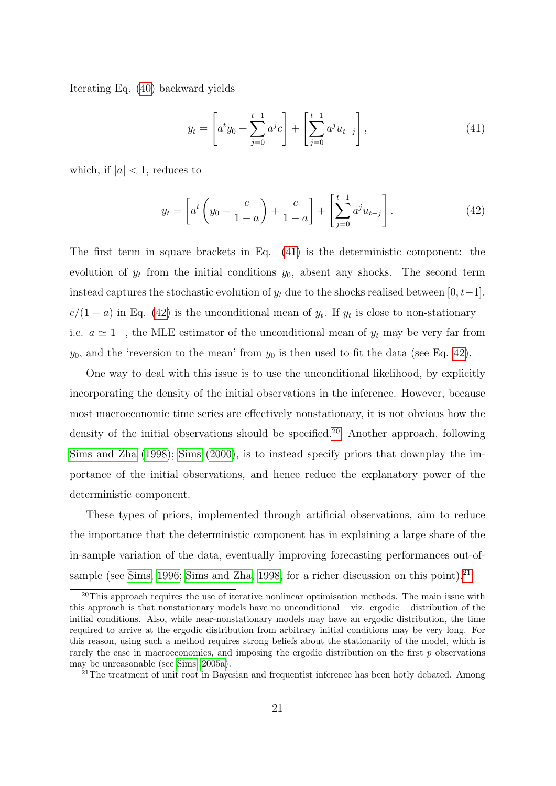Iterating Eq. (40) backward yields

$$
y_t = \left[ a^t y_0 + \sum_{j=0}^{t-1} a^j c \right] + \left[ \sum_{j=0}^{t-1} a^j u_{t-j} \right],\tag{41}
$$

which, if  $|a| < 1$ , reduces to

$$
y_t = \left[ a^t \left( y_0 - \frac{c}{1-a} \right) + \frac{c}{1-a} \right] + \left[ \sum_{j=0}^{t-1} a^j u_{t-j} \right]. \tag{42}
$$

The first term in square brackets in Eq. (41) is the deterministic component: the evolution of  $y_t$  from the initial conditions  $y_0$ , absent any shocks. The second term instead captures the stochastic evolution of  $y_t$  due to the shocks realised between [0, t–1].  $c/(1-a)$  in Eq. (42) is the unconditional mean of  $y_t$ . If  $y_t$  is close to non-stationary – i.e.  $a \approx 1$ , the MLE estimator of the unconditional mean of  $y_t$  may be very far from  $y_0$ , and the 'reversion to the mean' from  $y_0$  is then used to fit the data (see Eq. 42).

One way to deal with this issue is to use the unconditional likelihood, by explicitly incorporating the density of the initial observations in the inference. However, because most macroeconomic time series are effectively nonstationary, it is not obvious how the density of the initial observations should be specified.<sup>20</sup> Another approach, following Sims and Zha (1998); Sims (2000), is to instead specify priors that downplay the importance of the initial observations, and hence reduce the explanatory power of the deterministic component.

These types of priors, implemented through artificial observations, aim to reduce the importance that the deterministic component has in explaining a large share of the in-sample variation of the data, eventually improving forecasting performances out-ofsample (see Sims, 1996; Sims and Zha, 1998, for a richer discussion on this point).<sup>21</sup>

 $20$ This approach requires the use of iterative nonlinear optimisation methods. The main issue with this approach is that nonstationary models have no unconditional – viz. ergodic – distribution of the initial conditions. Also, while near-nonstationary models may have an ergodic distribution, the time required to arrive at the ergodic distribution from arbitrary initial conditions may be very long. For this reason, using such a method requires strong beliefs about the stationarity of the model, which is rarely the case in macroeconomics, and imposing the ergodic distribution on the first  $p$  observations may be unreasonable (see Sims, 2005a).

<sup>&</sup>lt;sup>21</sup>The treatment of unit root in Bayesian and frequentist inference has been hotly debated. Among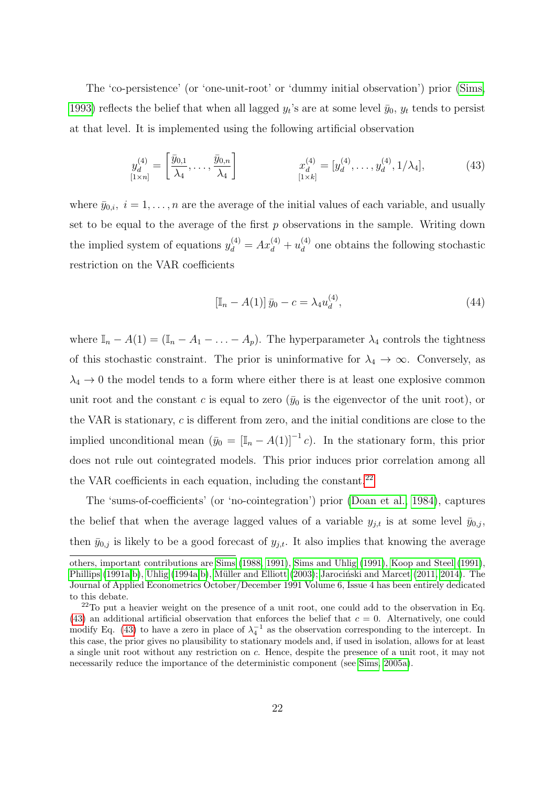The 'co-persistence' (or 'one-unit-root' or 'dummy initial observation') prior (Sims, 1993) reflects the belief that when all lagged  $y_t$ 's are at some level  $\bar{y}_0$ ,  $y_t$  tends to persist at that level. It is implemented using the following artificial observation

$$
y_d^{(4)} = \left[\frac{\bar{y}_{0,1}}{\lambda_4}, \dots, \frac{\bar{y}_{0,n}}{\lambda_4}\right] \qquad x_d^{(4)} = [y_d^{(4)}, \dots, y_d^{(4)}, 1/\lambda_4], \qquad (43)
$$

where  $\bar{y}_{0,i}, i = 1, \ldots, n$  are the average of the initial values of each variable, and usually set to be equal to the average of the first  $p$  observations in the sample. Writing down the implied system of equations  $y_d^{(4)} = Ax_d^{(4)} + u_d^{(4)}$  $\frac{d^{(4)}}{d}$  one obtains the following stochastic restriction on the VAR coefficients

$$
[\mathbb{I}_n - A(1)] \bar{y}_0 - c = \lambda_4 u_d^{(4)}, \qquad (44)
$$

where  $\mathbb{I}_n - A(1) = (\mathbb{I}_n - A_1 - \ldots - A_p)$ . The hyperparameter  $\lambda_4$  controls the tightness of this stochastic constraint. The prior is uninformative for  $\lambda_4 \to \infty$ . Conversely, as  $\lambda_4 \rightarrow 0$  the model tends to a form where either there is at least one explosive common unit root and the constant c is equal to zero  $(\bar{y}_0)$  is the eigenvector of the unit root), or the VAR is stationary, c is different from zero, and the initial conditions are close to the implied unconditional mean  $(\bar{y}_0 = [\mathbb{I}_n - A(1)]^{-1} c)$ . In the stationary form, this prior does not rule out cointegrated models. This prior induces prior correlation among all the VAR coefficients in each equation, including the constant. $^{22}$ 

The 'sums-of-coefficients' (or 'no-cointegration') prior (Doan et al., 1984), captures the belief that when the average lagged values of a variable  $y_{j,t}$  is at some level  $\bar{y}_{0,j}$ , then  $\bar{y}_{0,j}$  is likely to be a good forecast of  $y_{j,t}$ . It also implies that knowing the average

others, important contributions are Sims (1988, 1991), Sims and Uhlig (1991), Koop and Steel (1991), Phillips (1991a,b), Uhlig (1994a,b), Müller and Elliott (2003); Jarociński and Marcet (2011, 2014). The Journal of Applied Econometrics October/December 1991 Volume 6, Issue 4 has been entirely dedicated to this debate.

<sup>&</sup>lt;sup>22</sup>To put a heavier weight on the presence of a unit root, one could add to the observation in Eq. (43) an additional artificial observation that enforces the belief that  $c = 0$ . Alternatively, one could modify Eq. (43) to have a zero in place of  $\lambda_4^{-1}$  as the observation corresponding to the intercept. In this case, the prior gives no plausibility to stationary models and, if used in isolation, allows for at least a single unit root without any restriction on c. Hence, despite the presence of a unit root, it may not necessarily reduce the importance of the deterministic component (see Sims, 2005a).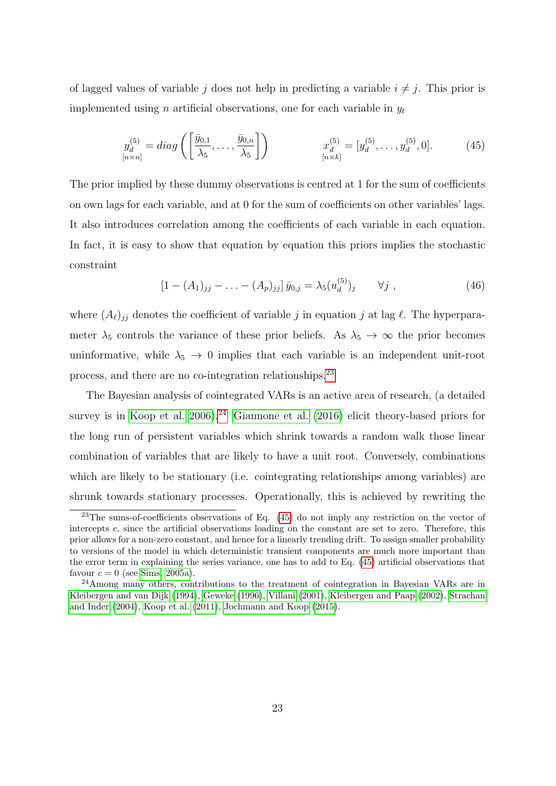of lagged values of variable j does not help in predicting a variable  $i \neq j$ . This prior is implemented using n artificial observations, one for each variable in  $y_t$ 

$$
y_d^{(5)} = diag\left(\left[\frac{\bar{y}_{0,1}}{\lambda_5}, \dots, \frac{\bar{y}_{0,n}}{\lambda_5}\right]\right) \qquad x_d^{(5)} = [y_d^{(5)}, \dots, y_d^{(5)}, 0]. \tag{45}
$$

The prior implied by these dummy observations is centred at 1 for the sum of coefficients on own lags for each variable, and at 0 for the sum of coefficients on other variables' lags. It also introduces correlation among the coefficients of each variable in each equation. In fact, it is easy to show that equation by equation this priors implies the stochastic constraint

$$
[1 - (A_1)_{jj} - \ldots - (A_p)_{jj}] \bar{y}_{0,j} = \lambda_5 (u_d^{(5)})_j \qquad \forall j , \qquad (46)
$$

where  $(A_{\ell})_{jj}$  denotes the coefficient of variable j in equation j at lag  $\ell$ . The hyperparameter  $\lambda_5$  controls the variance of these prior beliefs. As  $\lambda_5 \to \infty$  the prior becomes uninformative, while  $\lambda_5 \rightarrow 0$  implies that each variable is an independent unit-root process, and there are no co-integration relationships.23

The Bayesian analysis of cointegrated VARs is an active area of research, (a detailed survey is in Koop et al.  $2006$ .<sup>24</sup> Giannone et al.  $(2016)$  elicit theory-based priors for the long run of persistent variables which shrink towards a random walk those linear combination of variables that are likely to have a unit root. Conversely, combinations which are likely to be stationary (i.e. cointegrating relationships among variables) are shrunk towards stationary processes. Operationally, this is achieved by rewriting the

 $23$ The sums-of-coefficients observations of Eq.  $(45)$  do not imply any restriction on the vector of intercepts c, since the artificial observations loading on the constant are set to zero. Therefore, this prior allows for a non-zero constant, and hence for a linearly trending drift. To assign smaller probability to versions of the model in which deterministic transient components are much more important than the error term in explaining the series variance, one has to add to Eq. (45) artificial observations that favour  $c = 0$  (see Sims, 2005a).

 $^{24}$ Among many others, contributions to the treatment of cointegration in Bayesian VARs are in Kleibergen and van Dijk (1994), Geweke (1996), Villani (2001), Kleibergen and Paap (2002), Strachan and Inder (2004), Koop et al. (2011), Jochmann and Koop (2015).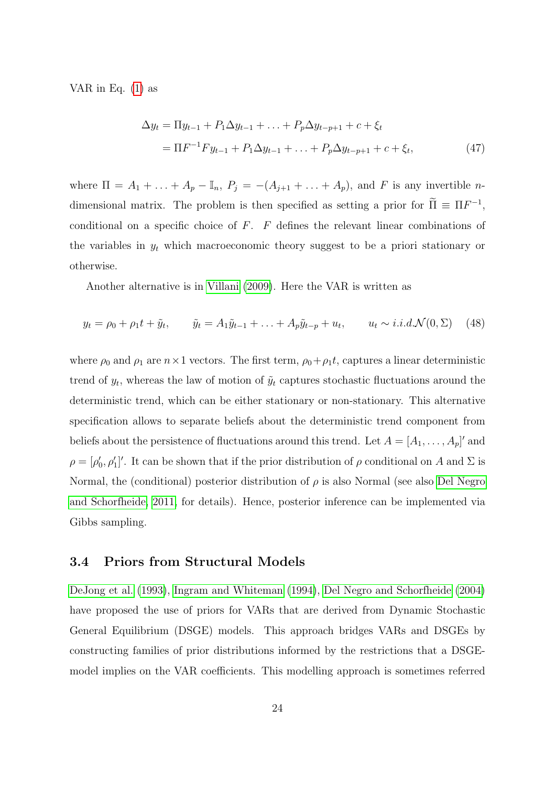VAR in Eq.  $(1)$  as

$$
\Delta y_t = \Pi y_{t-1} + P_1 \Delta y_{t-1} + \ldots + P_p \Delta y_{t-p+1} + c + \xi_t
$$
  
=  $\Pi F^{-1} F y_{t-1} + P_1 \Delta y_{t-1} + \ldots + P_p \Delta y_{t-p+1} + c + \xi_t,$  (47)

where  $\Pi = A_1 + \ldots + A_p - \mathbb{I}_n$ ,  $P_j = -(A_{j+1} + \ldots + A_p)$ , and F is any invertible ndimensional matrix. The problem is then specified as setting a prior for  $\tilde{\Pi} \equiv \Pi F^{-1}$ , conditional on a specific choice of  $F$ .  $F$  defines the relevant linear combinations of the variables in  $y_t$  which macroeconomic theory suggest to be a priori stationary or otherwise.

Another alternative is in Villani (2009). Here the VAR is written as

$$
y_t = \rho_0 + \rho_1 t + \tilde{y}_t, \qquad \tilde{y}_t = A_1 \tilde{y}_{t-1} + \ldots + A_p \tilde{y}_{t-p} + u_t, \qquad u_t \sim i.i.d.\mathcal{N}(0, \Sigma) \tag{48}
$$

where  $\rho_0$  and  $\rho_1$  are  $n \times 1$  vectors. The first term,  $\rho_0 + \rho_1 t$ , captures a linear deterministic trend of  $y_t$ , whereas the law of motion of  $\tilde{y}_t$  captures stochastic fluctuations around the deterministic trend, which can be either stationary or non-stationary. This alternative specification allows to separate beliefs about the deterministic trend component from beliefs about the persistence of fluctuations around this trend. Let  $A = [A_1, \ldots, A_p]'$  and  $\rho = [\rho'_0, \rho'_1]'$ . It can be shown that if the prior distribution of  $\rho$  conditional on A and  $\Sigma$  is Normal, the (conditional) posterior distribution of  $\rho$  is also Normal (see also Del Negro and Schorfheide, 2011, for details). Hence, posterior inference can be implemented via Gibbs sampling.

#### 3.4 Priors from Structural Models

DeJong et al. (1993), Ingram and Whiteman (1994), Del Negro and Schorfheide (2004) have proposed the use of priors for VARs that are derived from Dynamic Stochastic General Equilibrium (DSGE) models. This approach bridges VARs and DSGEs by constructing families of prior distributions informed by the restrictions that a DSGEmodel implies on the VAR coefficients. This modelling approach is sometimes referred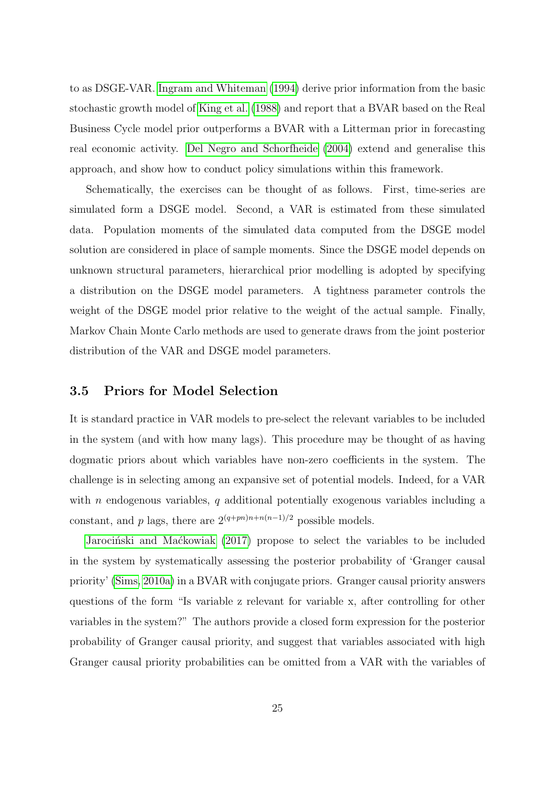to as DSGE-VAR. Ingram and Whiteman (1994) derive prior information from the basic stochastic growth model of King et al. (1988) and report that a BVAR based on the Real Business Cycle model prior outperforms a BVAR with a Litterman prior in forecasting real economic activity. Del Negro and Schorfheide (2004) extend and generalise this approach, and show how to conduct policy simulations within this framework.

Schematically, the exercises can be thought of as follows. First, time-series are simulated form a DSGE model. Second, a VAR is estimated from these simulated data. Population moments of the simulated data computed from the DSGE model solution are considered in place of sample moments. Since the DSGE model depends on unknown structural parameters, hierarchical prior modelling is adopted by specifying a distribution on the DSGE model parameters. A tightness parameter controls the weight of the DSGE model prior relative to the weight of the actual sample. Finally, Markov Chain Monte Carlo methods are used to generate draws from the joint posterior distribution of the VAR and DSGE model parameters.

#### 3.5 Priors for Model Selection

It is standard practice in VAR models to pre-select the relevant variables to be included in the system (and with how many lags). This procedure may be thought of as having dogmatic priors about which variables have non-zero coefficients in the system. The challenge is in selecting among an expansive set of potential models. Indeed, for a VAR with n endogenous variables, q additional potentially exogenous variables including a constant, and p lags, there are  $2^{(q+pn)n+n(n-1)/2}$  possible models.

Jarociński and Maćkowiak (2017) propose to select the variables to be included in the system by systematically assessing the posterior probability of 'Granger causal priority' (Sims, 2010a) in a BVAR with conjugate priors. Granger causal priority answers questions of the form "Is variable z relevant for variable x, after controlling for other variables in the system?" The authors provide a closed form expression for the posterior probability of Granger causal priority, and suggest that variables associated with high Granger causal priority probabilities can be omitted from a VAR with the variables of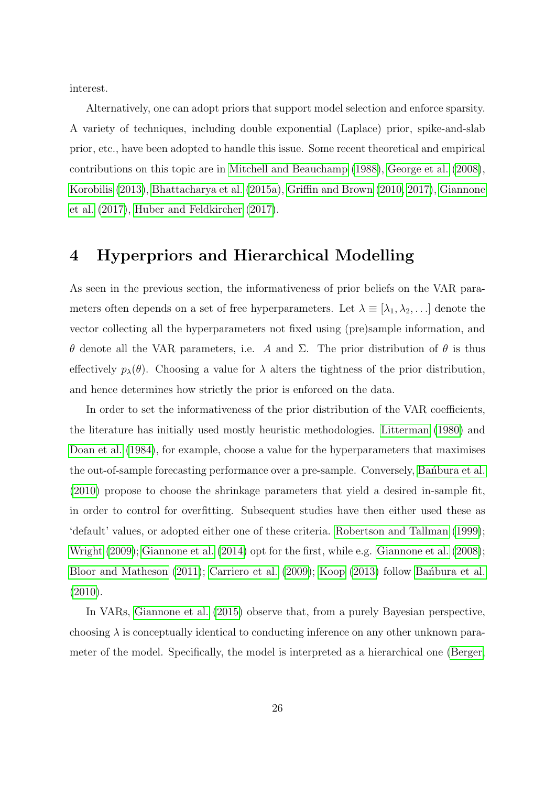interest.

Alternatively, one can adopt priors that support model selection and enforce sparsity. A variety of techniques, including double exponential (Laplace) prior, spike-and-slab prior, etc., have been adopted to handle this issue. Some recent theoretical and empirical contributions on this topic are in Mitchell and Beauchamp (1988), George et al. (2008), Korobilis (2013), Bhattacharya et al. (2015a), Griffin and Brown (2010, 2017), Giannone et al. (2017), Huber and Feldkircher (2017).

### 4 Hyperpriors and Hierarchical Modelling

As seen in the previous section, the informativeness of prior beliefs on the VAR parameters often depends on a set of free hyperparameters. Let  $\lambda \equiv [\lambda_1, \lambda_2, \ldots]$  denote the vector collecting all the hyperparameters not fixed using (pre)sample information, and θ denote all the VAR parameters, i.e. A and Σ. The prior distribution of θ is thus effectively  $p_{\lambda}(\theta)$ . Choosing a value for  $\lambda$  alters the tightness of the prior distribution, and hence determines how strictly the prior is enforced on the data.

In order to set the informativeness of the prior distribution of the VAR coefficients, the literature has initially used mostly heuristic methodologies. Litterman (1980) and Doan et al. (1984), for example, choose a value for the hyperparameters that maximises the out-of-sample forecasting performance over a pre-sample. Conversely, Bandbura et al. (2010) propose to choose the shrinkage parameters that yield a desired in-sample fit, in order to control for overfitting. Subsequent studies have then either used these as 'default' values, or adopted either one of these criteria. Robertson and Tallman (1999); Wright (2009); Giannone et al. (2014) opt for the first, while e.g. Giannone et al. (2008); Bloor and Matheson (2011); Carriero et al. (2009); Koop (2013) follow Bandbura et al. (2010).

In VARs, Giannone et al. (2015) observe that, from a purely Bayesian perspective, choosing  $\lambda$  is conceptually identical to conducting inference on any other unknown parameter of the model. Specifically, the model is interpreted as a hierarchical one (Berger,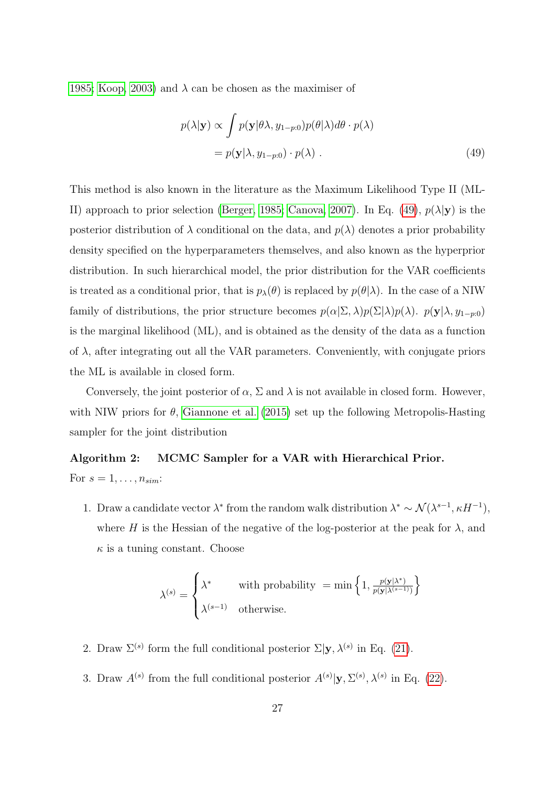1985; Koop, 2003) and  $\lambda$  can be chosen as the maximiser of

$$
p(\lambda|\mathbf{y}) \propto \int p(\mathbf{y}|\theta\lambda, y_{1-p:0}) p(\theta|\lambda) d\theta \cdot p(\lambda)
$$
  
=  $p(\mathbf{y}|\lambda, y_{1-p:0}) \cdot p(\lambda)$ . (49)

This method is also known in the literature as the Maximum Likelihood Type II (ML-II) approach to prior selection (Berger, 1985; Canova, 2007). In Eq. (49),  $p(\lambda|\mathbf{y})$  is the posterior distribution of  $\lambda$  conditional on the data, and  $p(\lambda)$  denotes a prior probability density specified on the hyperparameters themselves, and also known as the hyperprior distribution. In such hierarchical model, the prior distribution for the VAR coefficients is treated as a conditional prior, that is  $p_{\lambda}(\theta)$  is replaced by  $p(\theta|\lambda)$ . In the case of a NIW family of distributions, the prior structure becomes  $p(\alpha|\Sigma,\lambda)p(\Sigma|\lambda)p(\lambda)$ .  $p(\mathbf{y}|\lambda, y_{1-p:0})$ is the marginal likelihood (ML), and is obtained as the density of the data as a function of  $\lambda$ , after integrating out all the VAR parameters. Conveniently, with conjugate priors the ML is available in closed form.

Conversely, the joint posterior of  $\alpha$ ,  $\Sigma$  and  $\lambda$  is not available in closed form. However, with NIW priors for  $\theta$ , Giannone et al. (2015) set up the following Metropolis-Hasting sampler for the joint distribution

## Algorithm 2: MCMC Sampler for a VAR with Hierarchical Prior. For  $s = 1, \ldots, n_{sim}$ :

1. Draw a candidate vector  $\lambda^*$  from the random walk distribution  $\lambda^* \sim \mathcal{N}(\lambda^{s-1}, \kappa H^{-1}),$ where H is the Hessian of the negative of the log-posterior at the peak for  $\lambda$ , and  $\kappa$  is a tuning constant. Choose

$$
\lambda^{(s)} = \begin{cases} \lambda^* & \text{with probability } = \min\left\{1, \frac{p(\mathbf{y}|\lambda^*)}{p(\mathbf{y}|\lambda^{(s-1)})}\right\} \\ \lambda^{(s-1)} & \text{otherwise.} \end{cases}
$$

- 2. Draw  $\Sigma^{(s)}$  form the full conditional posterior  $\Sigma|\mathbf{y},\lambda^{(s)}\rangle$  in Eq. (21).
- 3. Draw  $A^{(s)}$  from the full conditional posterior  $A^{(s)}|y, \Sigma^{(s)}, \lambda^{(s)}$  in Eq. (22).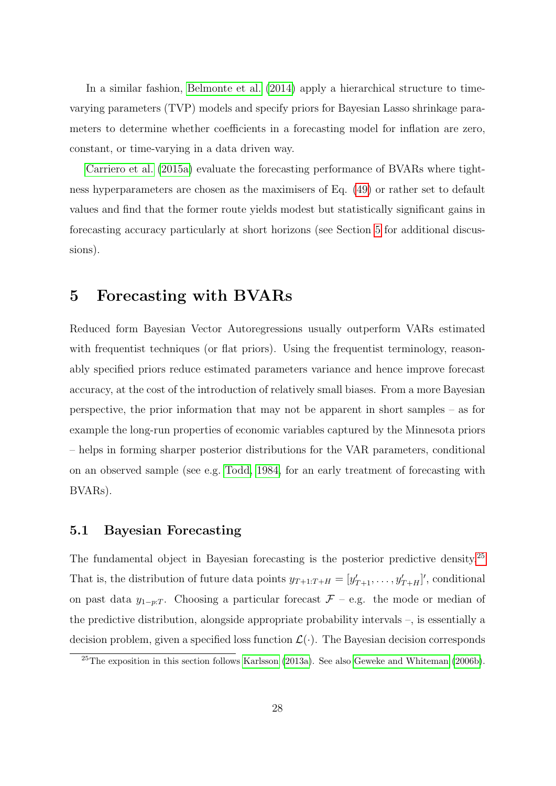In a similar fashion, Belmonte et al. (2014) apply a hierarchical structure to timevarying parameters (TVP) models and specify priors for Bayesian Lasso shrinkage parameters to determine whether coefficients in a forecasting model for inflation are zero, constant, or time-varying in a data driven way.

Carriero et al. (2015a) evaluate the forecasting performance of BVARs where tightness hyperparameters are chosen as the maximisers of Eq. (49) or rather set to default values and find that the former route yields modest but statistically significant gains in forecasting accuracy particularly at short horizons (see Section 5 for additional discussions).

## 5 Forecasting with BVARs

Reduced form Bayesian Vector Autoregressions usually outperform VARs estimated with frequentist techniques (or flat priors). Using the frequentist terminology, reasonably specified priors reduce estimated parameters variance and hence improve forecast accuracy, at the cost of the introduction of relatively small biases. From a more Bayesian perspective, the prior information that may not be apparent in short samples – as for example the long-run properties of economic variables captured by the Minnesota priors – helps in forming sharper posterior distributions for the VAR parameters, conditional on an observed sample (see e.g. Todd, 1984, for an early treatment of forecasting with BVARs).

#### 5.1 Bayesian Forecasting

The fundamental object in Bayesian forecasting is the posterior predictive density.<sup>25</sup> That is, the distribution of future data points  $y_{T+1:T+H} = [y'_{T+1}, \ldots, y'_{T+H}]'$ , conditional on past data  $y_{1-p:T}$ . Choosing a particular forecast  $\mathcal{F}$  – e.g. the mode or median of the predictive distribution, alongside appropriate probability intervals –, is essentially a decision problem, given a specified loss function  $\mathcal{L}(\cdot)$ . The Bayesian decision corresponds

<sup>&</sup>lt;sup>25</sup>The exposition in this section follows Karlsson (2013a). See also Geweke and Whiteman (2006b).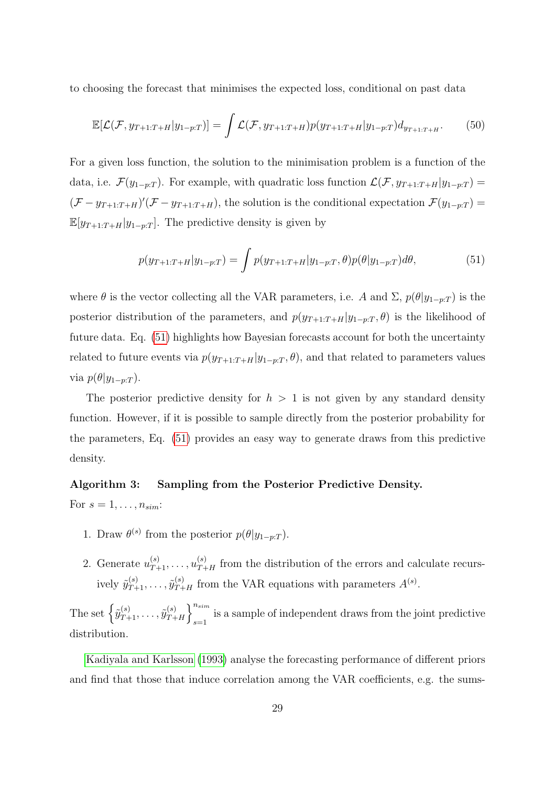to choosing the forecast that minimises the expected loss, conditional on past data

$$
\mathbb{E}[\mathcal{L}(\mathcal{F}, y_{T+1:T+H}|y_{1-p:T})] = \int \mathcal{L}(\mathcal{F}, y_{T+1:T+H}) p(y_{T+1:T+H}|y_{1-p:T}) d_{y_{T+1:T+H}}.
$$
(50)

For a given loss function, the solution to the minimisation problem is a function of the data, i.e.  $\mathcal{F}(y_{1-p:T})$ . For example, with quadratic loss function  $\mathcal{L}(\mathcal{F}, y_{T+1:T+H}|y_{1-p:T}) =$  $(\mathcal{F} - y_{T+1:T+H})'(\mathcal{F} - y_{T+1:T+H})$ , the solution is the conditional expectation  $\mathcal{F}(y_{1-p:T})$  $\mathbb{E}[y_{T+1:T+H}|y_{1-p:T}]$ . The predictive density is given by

$$
p(y_{T+1:T+H}|y_{1-p:T}) = \int p(y_{T+1:T+H}|y_{1-p:T}, \theta) p(\theta|y_{1-p:T}) d\theta,
$$
\n(51)

where  $\theta$  is the vector collecting all the VAR parameters, i.e. A and  $\Sigma$ ,  $p(\theta | y_{1-p:T})$  is the posterior distribution of the parameters, and  $p(y_{T+1:T+H}|y_{1-p:T}, \theta)$  is the likelihood of future data. Eq. (51) highlights how Bayesian forecasts account for both the uncertainty related to future events via  $p(y_{T+1:T+H}|y_{1-p:T}, \theta)$ , and that related to parameters values via  $p(\theta | y_{1-p:T})$ .

The posterior predictive density for  $h > 1$  is not given by any standard density function. However, if it is possible to sample directly from the posterior probability for the parameters, Eq. (51) provides an easy way to generate draws from this predictive density.

#### Algorithm 3: Sampling from the Posterior Predictive Density.

For  $s = 1, \ldots, n_{sim}$ :

- 1. Draw  $\theta^{(s)}$  from the posterior  $p(\theta | y_{1-p:T})$ .
- 2. Generate  $u_{T+1}^{(s)}, \ldots, u_{T+H}^{(s)}$  from the distribution of the errors and calculate recursively  $\tilde{y}_{T+1}^{(s)}, \ldots, \tilde{y}_{T+H}^{(s)}$  from the VAR equations with parameters  $A^{(s)}$ .

The set  $\left\{ \tilde{y}_{T+1}^{(s)}, \ldots, \tilde{y}_{T+}^{(s)} \right\}$  $\binom{s}{T+H}$ <sup>n<sub>sim</sub></sup> is a sample of independent draws from the joint predictive  $s=1$ distribution.

Kadiyala and Karlsson (1993) analyse the forecasting performance of different priors and find that those that induce correlation among the VAR coefficients, e.g. the sums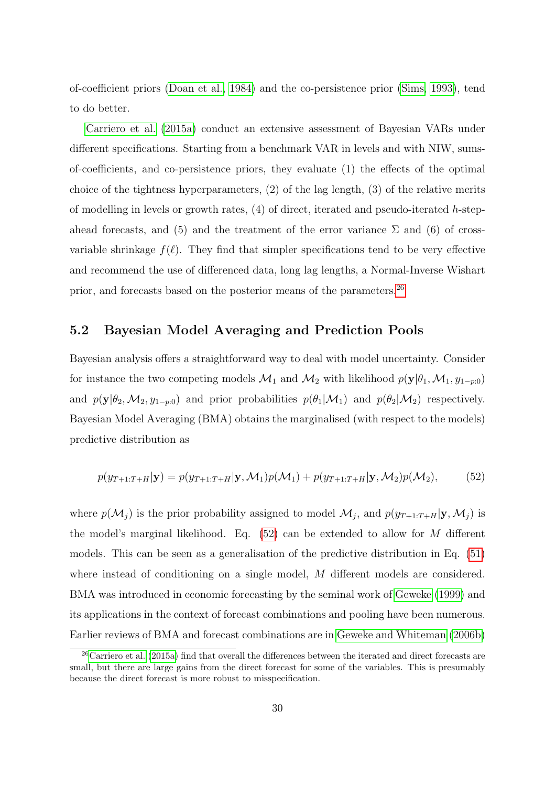of-coefficient priors (Doan et al., 1984) and the co-persistence prior (Sims, 1993), tend to do better.

Carriero et al. (2015a) conduct an extensive assessment of Bayesian VARs under different specifications. Starting from a benchmark VAR in levels and with NIW, sumsof-coefficients, and co-persistence priors, they evaluate (1) the effects of the optimal choice of the tightness hyperparameters,  $(2)$  of the lag length,  $(3)$  of the relative merits of modelling in levels or growth rates,  $(4)$  of direct, iterated and pseudo-iterated h-stepahead forecasts, and (5) and the treatment of the error variance  $\Sigma$  and (6) of crossvariable shrinkage  $f(\ell)$ . They find that simpler specifications tend to be very effective and recommend the use of differenced data, long lag lengths, a Normal-Inverse Wishart prior, and forecasts based on the posterior means of the parameters.26

#### 5.2 Bayesian Model Averaging and Prediction Pools

Bayesian analysis offers a straightforward way to deal with model uncertainty. Consider for instance the two competing models  $\mathcal{M}_1$  and  $\mathcal{M}_2$  with likelihood  $p(\mathbf{y}|\theta_1,\mathcal{M}_1,y_{1-p:0})$ and  $p(\mathbf{y}|\theta_2, M_2, y_{1-p:0})$  and prior probabilities  $p(\theta_1|\mathcal{M}_1)$  and  $p(\theta_2|\mathcal{M}_2)$  respectively. Bayesian Model Averaging (BMA) obtains the marginalised (with respect to the models) predictive distribution as

$$
p(y_{T+1:T+H}|\mathbf{y}) = p(y_{T+1:T+H}|\mathbf{y}, \mathcal{M}_1)p(\mathcal{M}_1) + p(y_{T+1:T+H}|\mathbf{y}, \mathcal{M}_2)p(\mathcal{M}_2),
$$
(52)

where  $p(\mathcal{M}_j)$  is the prior probability assigned to model  $\mathcal{M}_j$ , and  $p(y_{T+1:T+H}|\mathbf{y}, \mathcal{M}_j)$  is the model's marginal likelihood. Eq.  $(52)$  can be extended to allow for M different models. This can be seen as a generalisation of the predictive distribution in Eq. (51) where instead of conditioning on a single model, M different models are considered. BMA was introduced in economic forecasting by the seminal work of Geweke (1999) and its applications in the context of forecast combinations and pooling have been numerous. Earlier reviews of BMA and forecast combinations are in Geweke and Whiteman (2006b)

 $26$ Carriero et al. (2015a) find that overall the differences between the iterated and direct forecasts are small, but there are large gains from the direct forecast for some of the variables. This is presumably because the direct forecast is more robust to misspecification.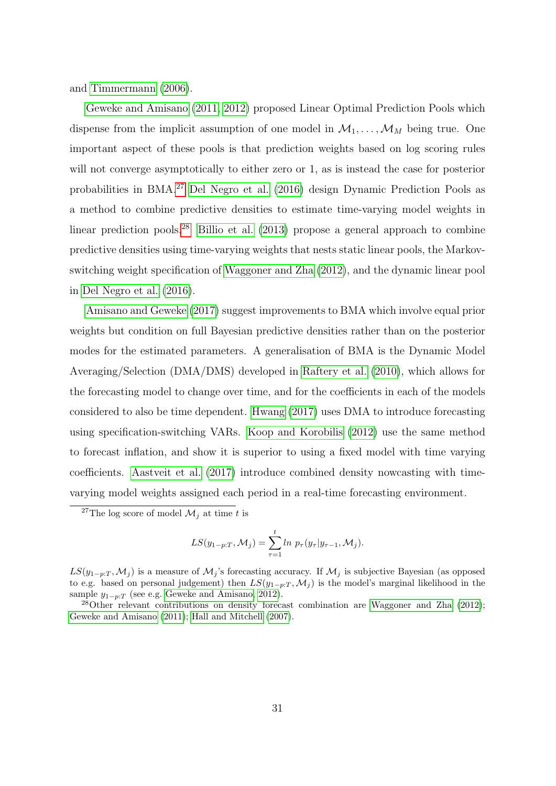and Timmermann (2006).

Geweke and Amisano (2011, 2012) proposed Linear Optimal Prediction Pools which dispense from the implicit assumption of one model in  $\mathcal{M}_1, \ldots, \mathcal{M}_M$  being true. One important aspect of these pools is that prediction weights based on log scoring rules will not converge asymptotically to either zero or 1, as is instead the case for posterior probabilities in BMA.27 Del Negro et al. (2016) design Dynamic Prediction Pools as a method to combine predictive densities to estimate time-varying model weights in linear prediction pools.28 Billio et al. (2013) propose a general approach to combine predictive densities using time-varying weights that nests static linear pools, the Markovswitching weight specification of Waggoner and Zha (2012), and the dynamic linear pool in Del Negro et al. (2016).

Amisano and Geweke (2017) suggest improvements to BMA which involve equal prior weights but condition on full Bayesian predictive densities rather than on the posterior modes for the estimated parameters. A generalisation of BMA is the Dynamic Model Averaging/Selection (DMA/DMS) developed in Raftery et al. (2010), which allows for the forecasting model to change over time, and for the coefficients in each of the models considered to also be time dependent. Hwang (2017) uses DMA to introduce forecasting using specification-switching VARs. Koop and Korobilis (2012) use the same method to forecast inflation, and show it is superior to using a fixed model with time varying coefficients. Aastveit et al. (2017) introduce combined density nowcasting with timevarying model weights assigned each period in a real-time forecasting environment.

$$
LS(y_{1-p:T}, \mathcal{M}_j) = \sum_{\tau=1}^{t} \ln p_{\tau}(y_{\tau}|y_{\tau-1}, \mathcal{M}_j).
$$

<sup>&</sup>lt;sup>27</sup>The log score of model  $M_j$  at time t is

 $LS(y_{1-p:T}, \mathcal{M}_j)$  is a measure of  $\mathcal{M}_j$ 's forecasting accuracy. If  $\mathcal{M}_j$  is subjective Bayesian (as opposed to e.g. based on personal judgement) then  $LS(y_{1-p:T}, \mathcal{M}_i)$  is the model's marginal likelihood in the sample  $y_{1-p:T}$  (see e.g. Geweke and Amisano, 2012).

<sup>28</sup>Other relevant contributions on density forecast combination are Waggoner and Zha (2012); Geweke and Amisano (2011); Hall and Mitchell (2007).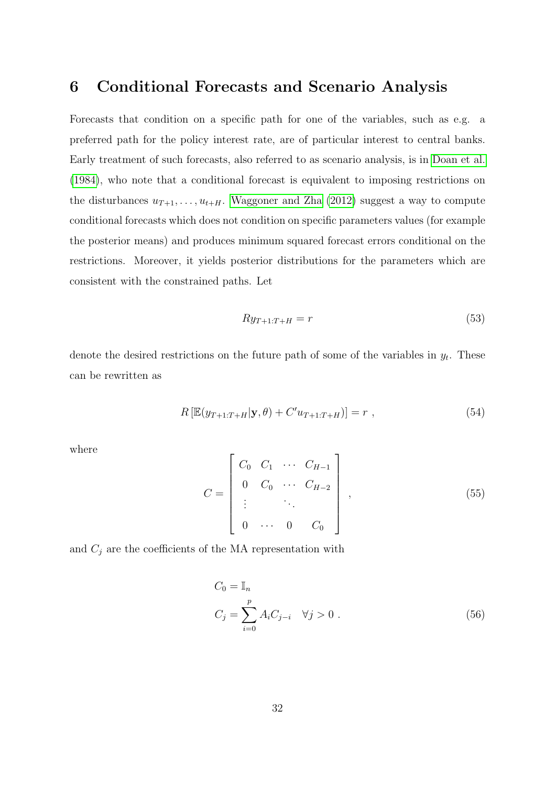### 6 Conditional Forecasts and Scenario Analysis

Forecasts that condition on a specific path for one of the variables, such as e.g. a preferred path for the policy interest rate, are of particular interest to central banks. Early treatment of such forecasts, also referred to as scenario analysis, is in Doan et al. (1984), who note that a conditional forecast is equivalent to imposing restrictions on the disturbances  $u_{T+1}, \ldots, u_{t+H}$ . Waggoner and Zha (2012) suggest a way to compute conditional forecasts which does not condition on specific parameters values (for example the posterior means) and produces minimum squared forecast errors conditional on the restrictions. Moreover, it yields posterior distributions for the parameters which are consistent with the constrained paths. Let

$$
Ry_{T+1:T+H} = r \tag{53}
$$

denote the desired restrictions on the future path of some of the variables in  $y_t$ . These can be rewritten as

$$
R\left[\mathbb{E}(y_{T+1:T+H}|\mathbf{y},\theta) + C'u_{T+1:T+H}\right]\right] = r \tag{54}
$$

where

$$
C = \begin{bmatrix} C_0 & C_1 & \cdots & C_{H-1} \\ 0 & C_0 & \cdots & C_{H-2} \\ \vdots & & \ddots & \\ 0 & \cdots & 0 & C_0 \end{bmatrix},
$$
 (55)

and  $C_j$  are the coefficients of the MA representation with

$$
C_0 = \mathbb{I}_n
$$
  
\n
$$
C_j = \sum_{i=0}^p A_i C_{j-i} \quad \forall j > 0.
$$
\n(56)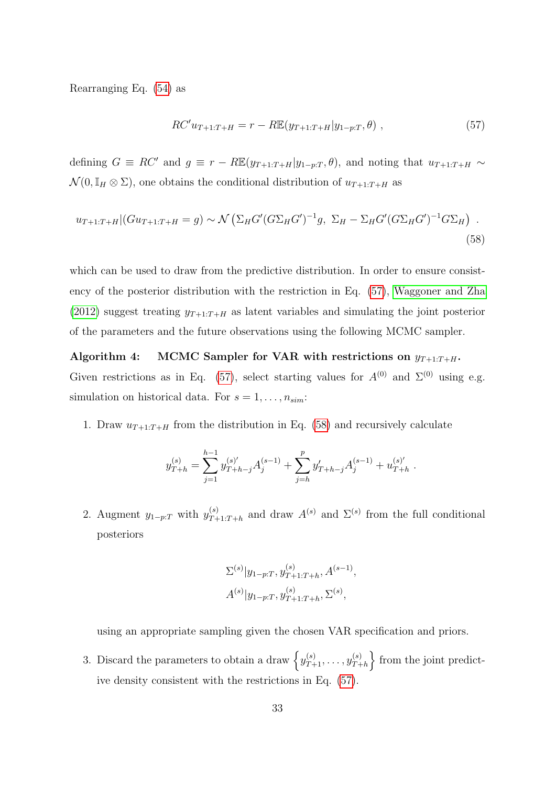Rearranging Eq. (54) as

$$
RC'u_{T+1:T+H} = r - R\mathbb{E}(y_{T+1:T+H}|y_{1-p:T}, \theta) ,
$$
\n(57)

defining  $G \equiv RC'$  and  $g \equiv r - RE(y_{T+1:T+H}|y_{1-p:T}, \theta)$ , and noting that  $u_{T+1:T+H} \sim$  $\mathcal{N}(0, \mathbb{I}_H \otimes \Sigma)$ , one obtains the conditional distribution of  $u_{T+1:T+H}$  as

$$
u_{T+1:T+H}|(Gu_{T+1:T+H} = g) \sim \mathcal{N}\left(\Sigma_H G'(G\Sigma_H G')^{-1}g, \ \Sigma_H - \Sigma_H G'(G\Sigma_H G')^{-1}G\Sigma_H\right) \ .
$$
\n(58)

which can be used to draw from the predictive distribution. In order to ensure consistency of the posterior distribution with the restriction in Eq. (57), Waggoner and Zha (2012) suggest treating  $y_{T+1:T+H}$  as latent variables and simulating the joint posterior of the parameters and the future observations using the following MCMC sampler.

Algorithm 4: MCMC Sampler for VAR with restrictions on  $y_{T+1:T+H}$ . Given restrictions as in Eq. (57), select starting values for  $A^{(0)}$  and  $\Sigma^{(0)}$  using e.g. simulation on historical data. For  $s = 1, \ldots, n_{sim}$ :

1. Draw  $u_{T+1:T+H}$  from the distribution in Eq. (58) and recursively calculate

$$
y_{T+h}^{(s)} = \sum_{j=1}^{h-1} y_{T+h-j}^{(s)'} A_j^{(s-1)} + \sum_{j=h}^{p} y_{T+h-j}' A_j^{(s-1)} + u_{T+h}^{(s)'}.
$$

2. Augment  $y_{1-p:T}$  with  $y_{T+}^{(s)}$  $T_{T+1:T+h}^{(s)}$  and draw  $A^{(s)}$  and  $\Sigma^{(s)}$  from the full conditional posteriors

$$
\Sigma^{(s)}|y_{1-p:T}, y_{T+1:T+h}^{(s)}, A^{(s-1)},
$$
  

$$
A^{(s)}|y_{1-p:T}, y_{T+1:T+h}^{(s)}, \Sigma^{(s)},
$$

using an appropriate sampling given the chosen VAR specification and priors.

3. Discard the parameters to obtain a draw  $\left\{y_{T+1}^{(s)}, \ldots, y_{T+1}^{(s)}\right\}$  $\binom{s}{T+h}$  from the joint predictive density consistent with the restrictions in Eq. (57).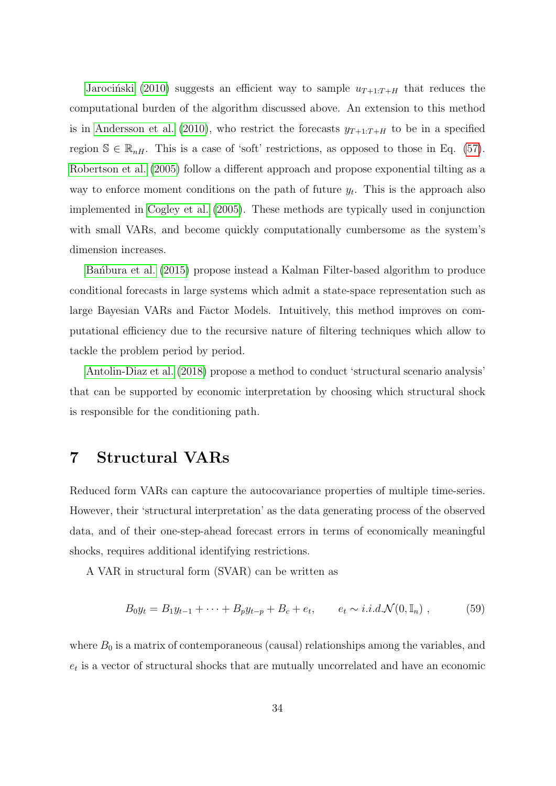Jarociński (2010) suggests an efficient way to sample  $u_{T+1:T+H}$  that reduces the computational burden of the algorithm discussed above. An extension to this method is in Andersson et al. (2010), who restrict the forecasts  $y_{T+1:T+H}$  to be in a specified region  $\mathbb{S} \in \mathbb{R}_{n}$ . This is a case of 'soft' restrictions, as opposed to those in Eq. (57). Robertson et al. (2005) follow a different approach and propose exponential tilting as a way to enforce moment conditions on the path of future  $y_t$ . This is the approach also implemented in Cogley et al. (2005). These methods are typically used in conjunction with small VARs, and become quickly computationally cumbersome as the system's dimension increases.

Ban´bura et al. (2015) propose instead a Kalman Filter-based algorithm to produce conditional forecasts in large systems which admit a state-space representation such as large Bayesian VARs and Factor Models. Intuitively, this method improves on computational efficiency due to the recursive nature of filtering techniques which allow to tackle the problem period by period.

Antolin-Diaz et al. (2018) propose a method to conduct 'structural scenario analysis' that can be supported by economic interpretation by choosing which structural shock is responsible for the conditioning path.

## 7 Structural VARs

Reduced form VARs can capture the autocovariance properties of multiple time-series. However, their 'structural interpretation' as the data generating process of the observed data, and of their one-step-ahead forecast errors in terms of economically meaningful shocks, requires additional identifying restrictions.

A VAR in structural form (SVAR) can be written as

$$
B_0 y_t = B_1 y_{t-1} + \dots + B_p y_{t-p} + B_c + e_t, \qquad e_t \sim i.i.d.\mathcal{N}(0, \mathbb{I}_n) , \qquad (59)
$$

where  $B_0$  is a matrix of contemporaneous (causal) relationships among the variables, and  $e_t$  is a vector of structural shocks that are mutually uncorrelated and have an economic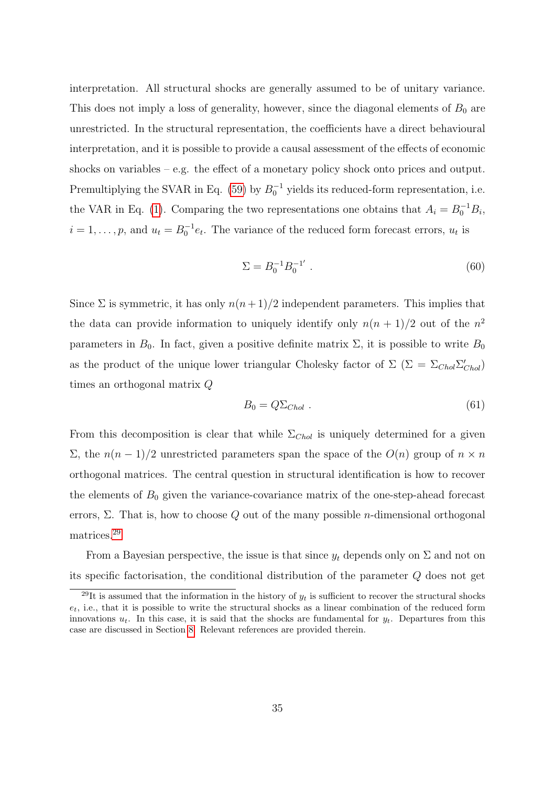interpretation. All structural shocks are generally assumed to be of unitary variance. This does not imply a loss of generality, however, since the diagonal elements of  $B_0$  are unrestricted. In the structural representation, the coefficients have a direct behavioural interpretation, and it is possible to provide a causal assessment of the effects of economic shocks on variables – e.g. the effect of a monetary policy shock onto prices and output. Premultiplying the SVAR in Eq. (59) by  $B_0^{-1}$  yields its reduced-form representation, i.e. the VAR in Eq. (1). Comparing the two representations one obtains that  $A_i = B_0^{-1}B_i$ ,  $i = 1, \ldots, p$ , and  $u_t = B_0^{-1} e_t$ . The variance of the reduced form forecast errors,  $u_t$  is

$$
\Sigma = B_0^{-1} B_0^{-1'} . \tag{60}
$$

Since  $\Sigma$  is symmetric, it has only  $n(n+1)/2$  independent parameters. This implies that the data can provide information to uniquely identify only  $n(n + 1)/2$  out of the  $n^2$ parameters in  $B_0$ . In fact, given a positive definite matrix  $\Sigma$ , it is possible to write  $B_0$ as the product of the unique lower triangular Cholesky factor of  $\Sigma$  ( $\Sigma = \Sigma_{Chol} \Sigma'_{Chol}$ ) times an orthogonal matrix Q

$$
B_0 = Q \Sigma_{Chol} . \tag{61}
$$

From this decomposition is clear that while  $\Sigma_{Chol}$  is uniquely determined for a given Σ, the  $n(n-1)/2$  unrestricted parameters span the space of the  $O(n)$  group of  $n \times n$ orthogonal matrices. The central question in structural identification is how to recover the elements of  $B_0$  given the variance-covariance matrix of the one-step-ahead forecast errors,  $\Sigma$ . That is, how to choose Q out of the many possible *n*-dimensional orthogonal matrices.29

From a Bayesian perspective, the issue is that since  $y_t$  depends only on  $\Sigma$  and not on its specific factorisation, the conditional distribution of the parameter Q does not get

<sup>&</sup>lt;sup>29</sup>It is assumed that the information in the history of  $y_t$  is sufficient to recover the structural shocks  $e_t$ , i.e., that it is possible to write the structural shocks as a linear combination of the reduced form innovations  $u_t$ . In this case, it is said that the shocks are fundamental for  $y_t$ . Departures from this case are discussed in Section 8. Relevant references are provided therein.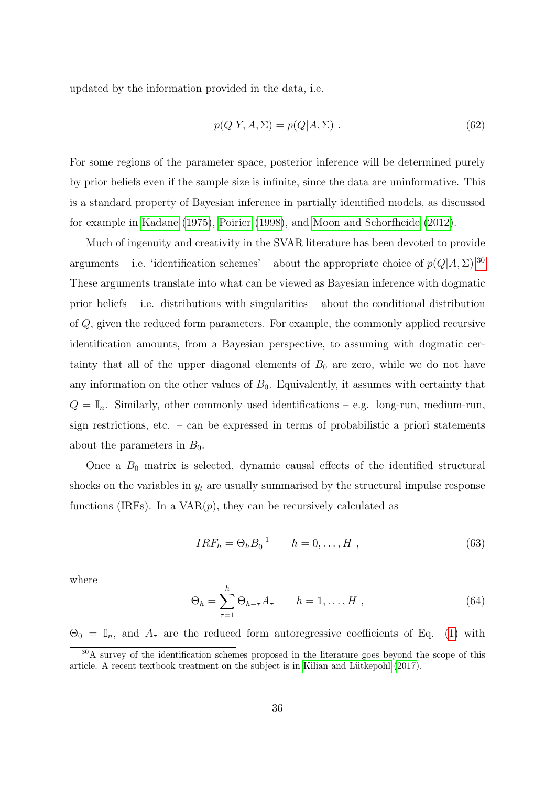updated by the information provided in the data, i.e.

$$
p(Q|Y, A, \Sigma) = p(Q|A, \Sigma) . \tag{62}
$$

For some regions of the parameter space, posterior inference will be determined purely by prior beliefs even if the sample size is infinite, since the data are uninformative. This is a standard property of Bayesian inference in partially identified models, as discussed for example in Kadane (1975), Poirier (1998), and Moon and Schorfheide (2012).

Much of ingenuity and creativity in the SVAR literature has been devoted to provide arguments – i.e. 'identification schemes' – about the appropriate choice of  $p(Q|A, \Sigma)$ .<sup>30</sup> These arguments translate into what can be viewed as Bayesian inference with dogmatic prior beliefs – i.e. distributions with singularities – about the conditional distribution of Q, given the reduced form parameters. For example, the commonly applied recursive identification amounts, from a Bayesian perspective, to assuming with dogmatic certainty that all of the upper diagonal elements of  $B_0$  are zero, while we do not have any information on the other values of  $B_0$ . Equivalently, it assumes with certainty that  $Q = \mathbb{I}_n$ . Similarly, other commonly used identifications – e.g. long-run, medium-run, sign restrictions, etc. – can be expressed in terms of probabilistic a priori statements about the parameters in  $B_0$ .

Once a  $B_0$  matrix is selected, dynamic causal effects of the identified structural shocks on the variables in  $y_t$  are usually summarised by the structural impulse response functions (IRFs). In a  $VAR(p)$ , they can be recursively calculated as

$$
IRF_h = \Theta_h B_0^{-1} \qquad h = 0, \dots, H \tag{63}
$$

where

$$
\Theta_h = \sum_{\tau=1}^h \Theta_{h-\tau} A_\tau \qquad h = 1, \dots, H \tag{64}
$$

 $\Theta_0 = \mathbb{I}_n$ , and  $A_\tau$  are the reduced form autoregressive coefficients of Eq. (1) with

<sup>&</sup>lt;sup>30</sup>A survey of the identification schemes proposed in the literature goes beyond the scope of this article. A recent textbook treatment on the subject is in Kilian and Lütkepohl (2017).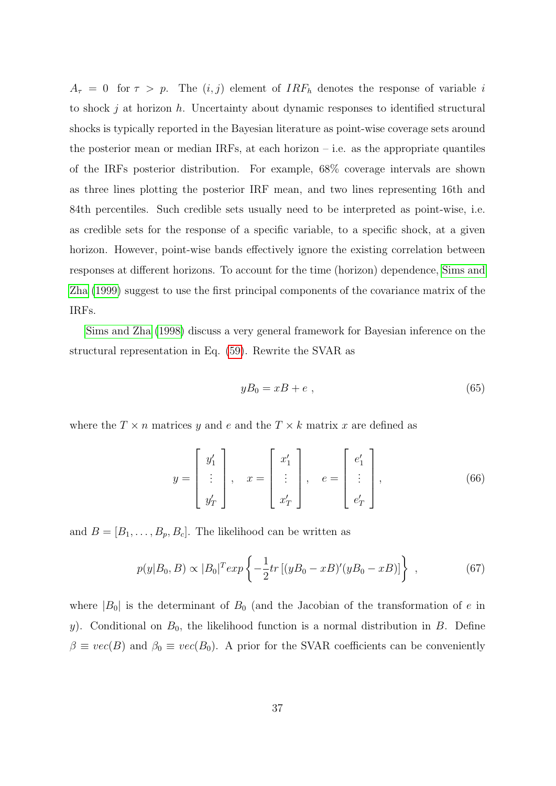$A_{\tau} = 0$  for  $\tau > p$ . The  $(i, j)$  element of  $IRF_h$  denotes the response of variable i to shock j at horizon h. Uncertainty about dynamic responses to identified structural shocks is typically reported in the Bayesian literature as point-wise coverage sets around the posterior mean or median IRFs, at each horizon  $-$  i.e. as the appropriate quantiles of the IRFs posterior distribution. For example, 68% coverage intervals are shown as three lines plotting the posterior IRF mean, and two lines representing 16th and 84th percentiles. Such credible sets usually need to be interpreted as point-wise, i.e. as credible sets for the response of a specific variable, to a specific shock, at a given horizon. However, point-wise bands effectively ignore the existing correlation between responses at different horizons. To account for the time (horizon) dependence, Sims and Zha (1999) suggest to use the first principal components of the covariance matrix of the IRFs.

Sims and Zha (1998) discuss a very general framework for Bayesian inference on the structural representation in Eq. (59). Rewrite the SVAR as

$$
yB_0 = xB + e \t{65}
$$

where the  $T \times n$  matrices y and e and the  $T \times k$  matrix x are defined as

$$
y = \begin{bmatrix} y'_1 \\ \vdots \\ y'_T \end{bmatrix}, \quad x = \begin{bmatrix} x'_1 \\ \vdots \\ x'_T \end{bmatrix}, \quad e = \begin{bmatrix} e'_1 \\ \vdots \\ e'_T \end{bmatrix}, \tag{66}
$$

and  $B = [B_1, \ldots, B_p, B_c]$ . The likelihood can be written as

$$
p(y|B_0, B) \propto |B_0|^T exp\left\{-\frac{1}{2}tr\left[ (yB_0 - xB)'(yB_0 - xB) \right] \right\} ,\qquad (67)
$$

where  $|B_0|$  is the determinant of  $B_0$  (and the Jacobian of the transformation of e in y). Conditional on  $B_0$ , the likelihood function is a normal distribution in B. Define  $\beta \equiv vec(B)$  and  $\beta_0 \equiv vec(B_0)$ . A prior for the SVAR coefficients can be conveniently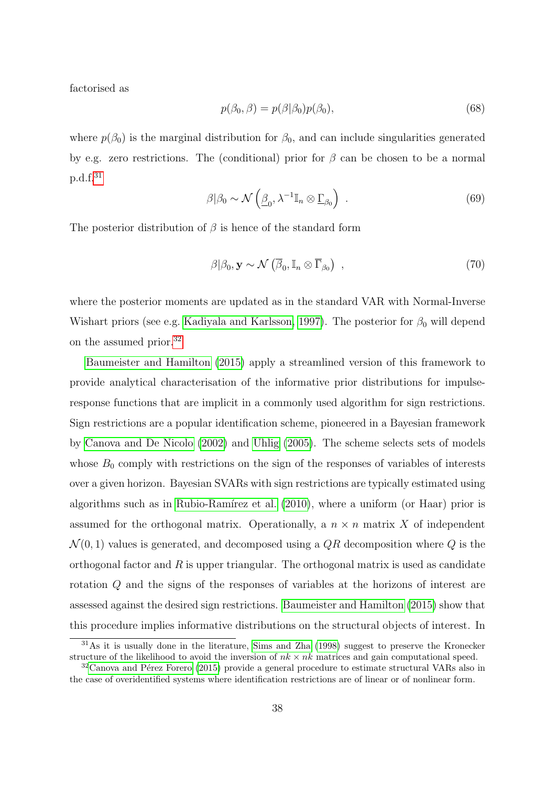factorised as

$$
p(\beta_0, \beta) = p(\beta|\beta_0)p(\beta_0),\tag{68}
$$

where  $p(\beta_0)$  is the marginal distribution for  $\beta_0$ , and can include singularities generated by e.g. zero restrictions. The (conditional) prior for  $\beta$  can be chosen to be a normal p.d.f.31

$$
\beta|\beta_0 \sim \mathcal{N}\left(\underline{\beta}_0, \lambda^{-1}\mathbb{I}_n \otimes \underline{\Gamma}_{\beta_0}\right) \tag{69}
$$

The posterior distribution of  $\beta$  is hence of the standard form

$$
\beta|\beta_0, \mathbf{y} \sim \mathcal{N}\left(\overline{\beta}_0, \mathbb{I}_n \otimes \overline{\Gamma}_{\beta_0}\right) \tag{70}
$$

where the posterior moments are updated as in the standard VAR with Normal-Inverse Wishart priors (see e.g. Kadiyala and Karlsson, 1997). The posterior for  $\beta_0$  will depend on the assumed prior.32

Baumeister and Hamilton (2015) apply a streamlined version of this framework to provide analytical characterisation of the informative prior distributions for impulseresponse functions that are implicit in a commonly used algorithm for sign restrictions. Sign restrictions are a popular identification scheme, pioneered in a Bayesian framework by Canova and De Nicolo (2002) and Uhlig (2005). The scheme selects sets of models whose  $B_0$  comply with restrictions on the sign of the responses of variables of interests over a given horizon. Bayesian SVARs with sign restrictions are typically estimated using algorithms such as in Rubio-Ramírez et al.  $(2010)$ , where a uniform (or Haar) prior is assumed for the orthogonal matrix. Operationally, a  $n \times n$  matrix X of independent  $\mathcal{N}(0, 1)$  values is generated, and decomposed using a  $QR$  decomposition where Q is the orthogonal factor and  $R$  is upper triangular. The orthogonal matrix is used as candidate rotation Q and the signs of the responses of variables at the horizons of interest are assessed against the desired sign restrictions. Baumeister and Hamilton (2015) show that this procedure implies informative distributions on the structural objects of interest. In

<sup>31</sup>As it is usually done in the literature, Sims and Zha (1998) suggest to preserve the Kronecker structure of the likelihood to avoid the inversion of  $nk \times nk$  matrices and gain computational speed.

 $32$ Canova and Pérez Forero (2015) provide a general procedure to estimate structural VARs also in the case of overidentified systems where identification restrictions are of linear or of nonlinear form.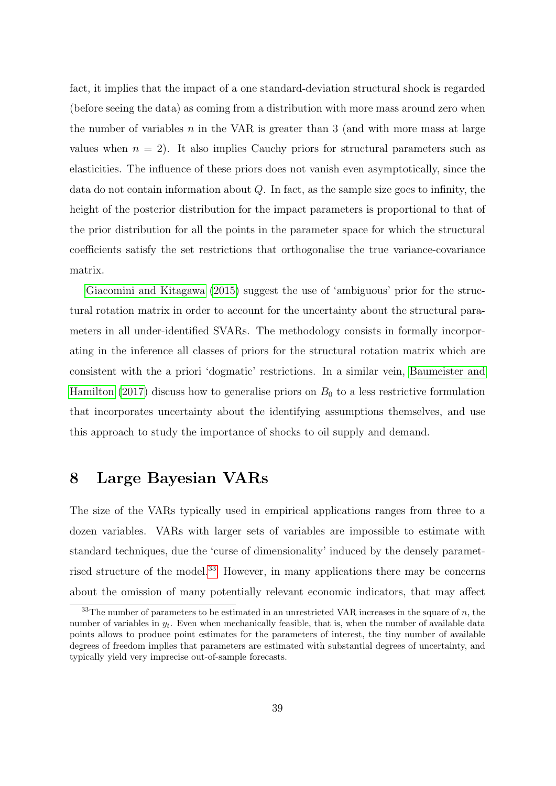fact, it implies that the impact of a one standard-deviation structural shock is regarded (before seeing the data) as coming from a distribution with more mass around zero when the number of variables  $n$  in the VAR is greater than 3 (and with more mass at large values when  $n = 2$ ). It also implies Cauchy priors for structural parameters such as elasticities. The influence of these priors does not vanish even asymptotically, since the data do not contain information about  $Q$ . In fact, as the sample size goes to infinity, the height of the posterior distribution for the impact parameters is proportional to that of the prior distribution for all the points in the parameter space for which the structural coefficients satisfy the set restrictions that orthogonalise the true variance-covariance matrix.

Giacomini and Kitagawa (2015) suggest the use of 'ambiguous' prior for the structural rotation matrix in order to account for the uncertainty about the structural parameters in all under-identified SVARs. The methodology consists in formally incorporating in the inference all classes of priors for the structural rotation matrix which are consistent with the a priori 'dogmatic' restrictions. In a similar vein, Baumeister and Hamilton (2017) discuss how to generalise priors on  $B_0$  to a less restrictive formulation that incorporates uncertainty about the identifying assumptions themselves, and use this approach to study the importance of shocks to oil supply and demand.

## 8 Large Bayesian VARs

The size of the VARs typically used in empirical applications ranges from three to a dozen variables. VARs with larger sets of variables are impossible to estimate with standard techniques, due the 'curse of dimensionality' induced by the densely parametrised structure of the model.33 However, in many applications there may be concerns about the omission of many potentially relevant economic indicators, that may affect

 $33$ The number of parameters to be estimated in an unrestricted VAR increases in the square of n, the number of variables in  $y_t$ . Even when mechanically feasible, that is, when the number of available data points allows to produce point estimates for the parameters of interest, the tiny number of available degrees of freedom implies that parameters are estimated with substantial degrees of uncertainty, and typically yield very imprecise out-of-sample forecasts.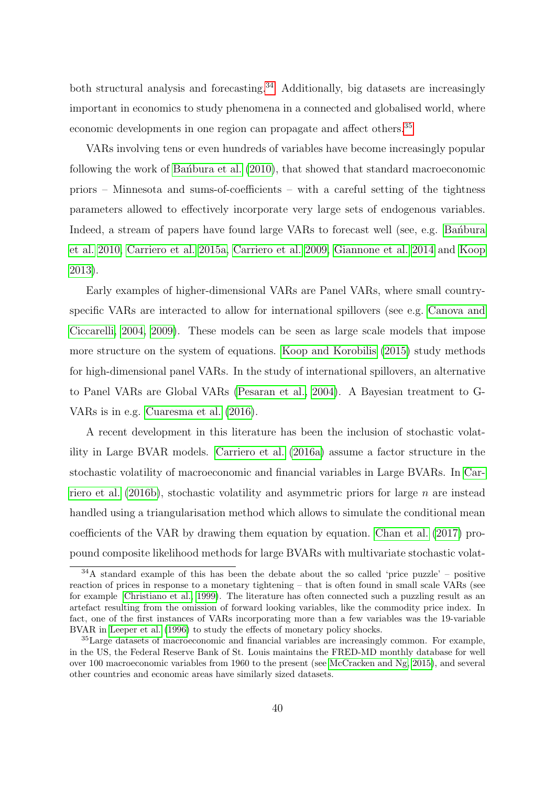both structural analysis and forecasting.<sup>34</sup> Additionally, big datasets are increasingly important in economics to study phenomena in a connected and globalised world, where economic developments in one region can propagate and affect others.<sup>35</sup>

VARs involving tens or even hundreds of variables have become increasingly popular following the work of Ban $\alpha$ bura et al. (2010), that showed that standard macroeconomic priors – Minnesota and sums-of-coefficients – with a careful setting of the tightness parameters allowed to effectively incorporate very large sets of endogenous variables. Indeed, a stream of papers have found large VARs to forecast well (see, e.g. Bandbura et al. 2010, Carriero et al. 2015a, Carriero et al. 2009, Giannone et al. 2014 and Koop 2013).

Early examples of higher-dimensional VARs are Panel VARs, where small countryspecific VARs are interacted to allow for international spillovers (see e.g. Canova and Ciccarelli, 2004, 2009). These models can be seen as large scale models that impose more structure on the system of equations. Koop and Korobilis (2015) study methods for high-dimensional panel VARs. In the study of international spillovers, an alternative to Panel VARs are Global VARs (Pesaran et al., 2004). A Bayesian treatment to G-VARs is in e.g. Cuaresma et al. (2016).

A recent development in this literature has been the inclusion of stochastic volatility in Large BVAR models. Carriero et al. (2016a) assume a factor structure in the stochastic volatility of macroeconomic and financial variables in Large BVARs. In Carriero et al.  $(2016b)$ , stochastic volatility and asymmetric priors for large *n* are instead handled using a triangularisation method which allows to simulate the conditional mean coefficients of the VAR by drawing them equation by equation. Chan et al. (2017) propound composite likelihood methods for large BVARs with multivariate stochastic volat-

 $34A$  standard example of this has been the debate about the so called 'price puzzle' – positive reaction of prices in response to a monetary tightening – that is often found in small scale VARs (see for example Christiano et al., 1999). The literature has often connected such a puzzling result as an artefact resulting from the omission of forward looking variables, like the commodity price index. In fact, one of the first instances of VARs incorporating more than a few variables was the 19-variable BVAR in Leeper et al. (1996) to study the effects of monetary policy shocks.

<sup>&</sup>lt;sup>35</sup>Large datasets of macroeconomic and financial variables are increasingly common. For example, in the US, the Federal Reserve Bank of St. Louis maintains the FRED-MD monthly database for well over 100 macroeconomic variables from 1960 to the present (see McCracken and Ng, 2015), and several other countries and economic areas have similarly sized datasets.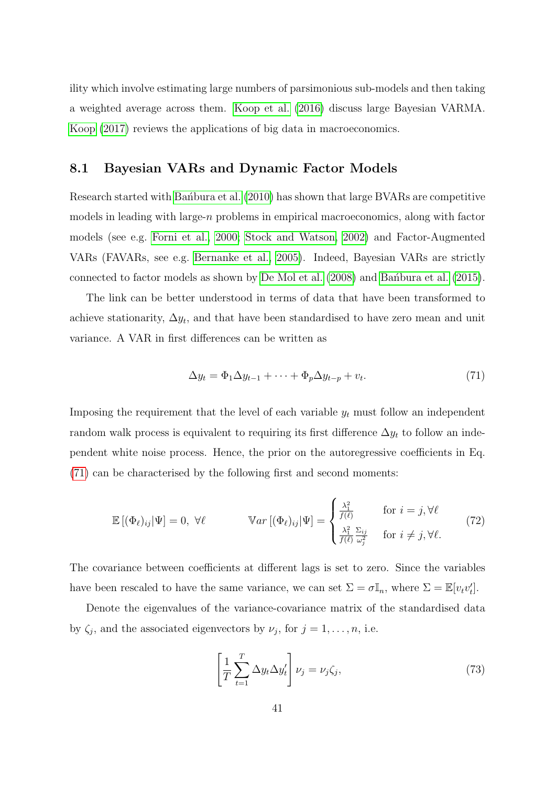ility which involve estimating large numbers of parsimonious sub-models and then taking a weighted average across them. Koop et al. (2016) discuss large Bayesian VARMA. Koop (2017) reviews the applications of big data in macroeconomics.

#### 8.1 Bayesian VARs and Dynamic Factor Models

Research started with Ban´bura et al. (2010) has shown that large BVARs are competitive models in leading with large-n problems in empirical macroeconomics, along with factor models (see e.g. Forni et al., 2000; Stock and Watson, 2002) and Factor-Augmented VARs (FAVARs, see e.g. Bernanke et al., 2005). Indeed, Bayesian VARs are strictly connected to factor models as shown by De Mol et al. (2008) and Bansbura et al. (2015).

The link can be better understood in terms of data that have been transformed to achieve stationarity,  $\Delta y_t$ , and that have been standardised to have zero mean and unit variance. A VAR in first differences can be written as

$$
\Delta y_t = \Phi_1 \Delta y_{t-1} + \dots + \Phi_p \Delta y_{t-p} + v_t. \tag{71}
$$

Imposing the requirement that the level of each variable  $y_t$  must follow an independent random walk process is equivalent to requiring its first difference  $\Delta y_t$  to follow an independent white noise process. Hence, the prior on the autoregressive coefficients in Eq. (71) can be characterised by the following first and second moments:

$$
\mathbb{E}\left[ (\Phi_{\ell})_{ij} | \Psi \right] = 0, \ \forall \ell \qquad \text{Var}\left[ (\Phi_{\ell})_{ij} | \Psi \right] = \begin{cases} \frac{\lambda_1^2}{f(\ell)} & \text{for } i = j, \forall \ell \\ \frac{\lambda_1^2}{f(\ell)} \frac{\Sigma_{ij}}{\omega_j^2} & \text{for } i \neq j, \forall \ell. \end{cases} \tag{72}
$$

The covariance between coefficients at different lags is set to zero. Since the variables have been rescaled to have the same variance, we can set  $\Sigma = \sigma \mathbb{I}_n$ , where  $\Sigma = \mathbb{E}[v_t v_t']$ .

Denote the eigenvalues of the variance-covariance matrix of the standardised data by  $\zeta_j$ , and the associated eigenvectors by  $\nu_j$ , for  $j = 1, \ldots, n$ , i.e.

$$
\left[\frac{1}{T}\sum_{t=1}^{T}\Delta y_{t}\Delta y_{t}'\right]\nu_{j}=\nu_{j}\zeta_{j},\qquad(73)
$$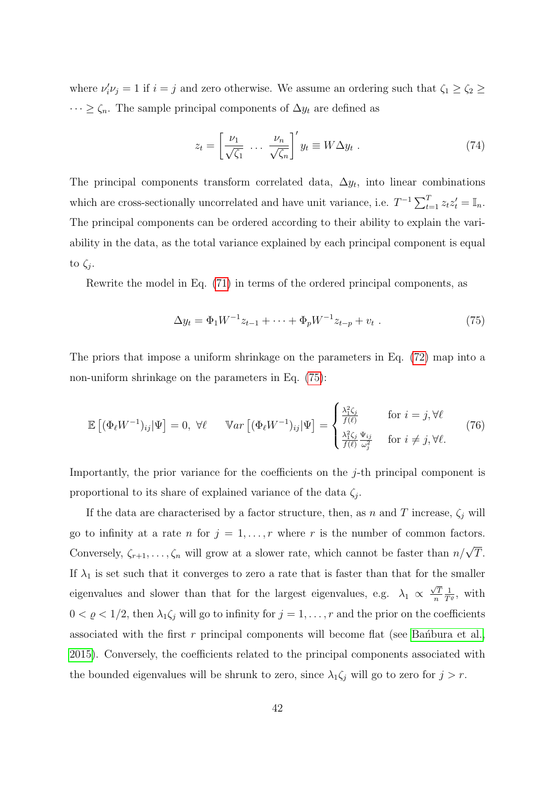where  $\nu'_i \nu_j = 1$  if  $i = j$  and zero otherwise. We assume an ordering such that  $\zeta_1 \geq \zeta_2 \geq$  $\cdots \ge \zeta_n$ . The sample principal components of  $\Delta y_t$  are defined as

$$
z_t = \left[\frac{\nu_1}{\sqrt{\zeta_1}} \ \dots \ \frac{\nu_n}{\sqrt{\zeta_n}}\right]' y_t \equiv W \Delta y_t \ . \tag{74}
$$

The principal components transform correlated data,  $\Delta y_t$ , into linear combinations which are cross-sectionally uncorrelated and have unit variance, i.e.  $T^{-1} \sum_{t=1}^{T} z_t z_t' = \mathbb{I}_n$ . The principal components can be ordered according to their ability to explain the variability in the data, as the total variance explained by each principal component is equal to  $\zeta_j$ .

Rewrite the model in Eq. (71) in terms of the ordered principal components, as

$$
\Delta y_t = \Phi_1 W^{-1} z_{t-1} + \dots + \Phi_p W^{-1} z_{t-p} + v_t \tag{75}
$$

The priors that impose a uniform shrinkage on the parameters in Eq. (72) map into a non-uniform shrinkage on the parameters in Eq. (75):

$$
\mathbb{E}\left[ (\Phi_{\ell}W^{-1})_{ij}|\Psi\right] = 0, \ \forall \ell \qquad \mathbb{V}ar\left[ (\Phi_{\ell}W^{-1})_{ij}|\Psi\right] = \begin{cases} \frac{\lambda_1^2 \zeta_j}{f(\ell)} & \text{for } i = j, \forall \ell\\ \frac{\lambda_1^2 \zeta_j}{f(\ell)} \frac{\Psi_{ij}}{\omega_j^2} & \text{for } i \neq j, \forall \ell. \end{cases}
$$
(76)

Importantly, the prior variance for the coefficients on the j-th principal component is proportional to its share of explained variance of the data  $\zeta_i$ .

If the data are characterised by a factor structure, then, as n and T increase,  $\zeta_j$  will go to infinity at a rate n for  $j = 1, ..., r$  where r is the number of common factors. Conversely,  $\zeta_{r+1}, \ldots, \zeta_n$  will grow at a slower rate, which cannot be faster than  $n/\sqrt{T}$ . If  $\lambda_1$  is set such that it converges to zero a rate that is faster than that for the smaller eigenvalues and slower than that for the largest eigenvalues, e.g.  $\lambda_1 \propto$  $\sqrt{7}$ n  $\frac{1}{T^{\varrho}}$ , with  $0 < \varrho < 1/2$ , then  $\lambda_1 \zeta_j$  will go to infinity for  $j = 1, \ldots, r$  and the prior on the coefficients associated with the first  $r$  principal components will become flat (see Bandbura et al., 2015). Conversely, the coefficients related to the principal components associated with the bounded eigenvalues will be shrunk to zero, since  $\lambda_1 \zeta_j$  will go to zero for  $j > r$ .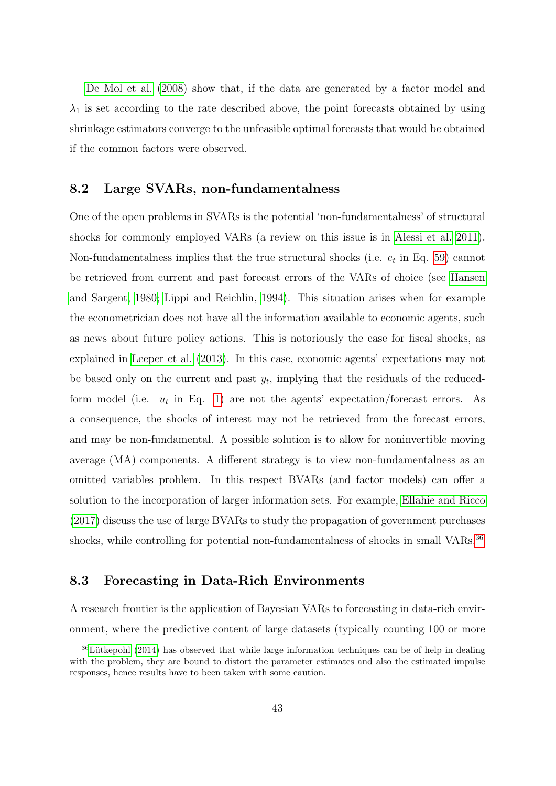De Mol et al. (2008) show that, if the data are generated by a factor model and  $\lambda_1$  is set according to the rate described above, the point forecasts obtained by using shrinkage estimators converge to the unfeasible optimal forecasts that would be obtained if the common factors were observed.

#### 8.2 Large SVARs, non-fundamentalness

One of the open problems in SVARs is the potential 'non-fundamentalness' of structural shocks for commonly employed VARs (a review on this issue is in Alessi et al. 2011). Non-fundamentalness implies that the true structural shocks (i.e.  $e_t$  in Eq. 59) cannot be retrieved from current and past forecast errors of the VARs of choice (see Hansen and Sargent, 1980; Lippi and Reichlin, 1994). This situation arises when for example the econometrician does not have all the information available to economic agents, such as news about future policy actions. This is notoriously the case for fiscal shocks, as explained in Leeper et al. (2013). In this case, economic agents' expectations may not be based only on the current and past  $y_t$ , implying that the residuals of the reducedform model (i.e.  $u_t$  in Eq. 1) are not the agents' expectation/forecast errors. As a consequence, the shocks of interest may not be retrieved from the forecast errors, and may be non-fundamental. A possible solution is to allow for noninvertible moving average (MA) components. A different strategy is to view non-fundamentalness as an omitted variables problem. In this respect BVARs (and factor models) can offer a solution to the incorporation of larger information sets. For example, Ellahie and Ricco (2017) discuss the use of large BVARs to study the propagation of government purchases shocks, while controlling for potential non-fundamentalness of shocks in small VARs.<sup>36</sup>

#### 8.3 Forecasting in Data-Rich Environments

A research frontier is the application of Bayesian VARs to forecasting in data-rich environment, where the predictive content of large datasets (typically counting 100 or more

 $36$ Lütkepohl (2014) has observed that while large information techniques can be of help in dealing with the problem, they are bound to distort the parameter estimates and also the estimated impulse responses, hence results have to been taken with some caution.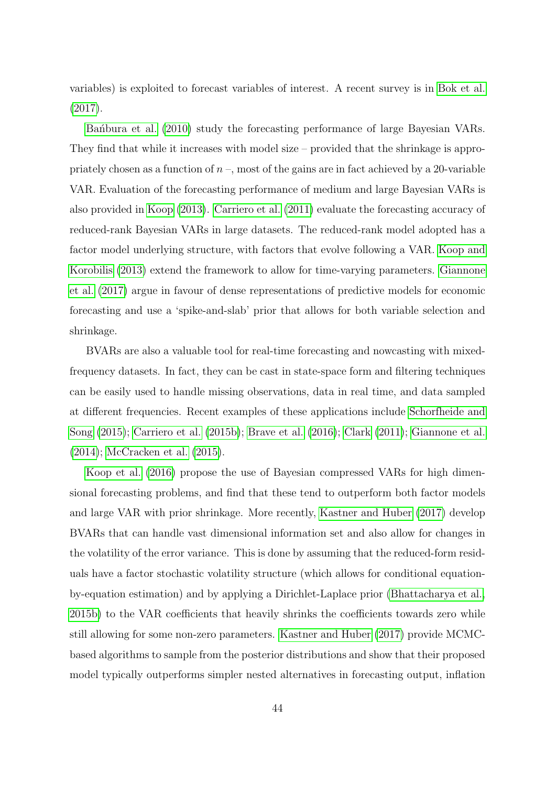variables) is exploited to forecast variables of interest. A recent survey is in Bok et al. (2017).

Ban<sup>ot</sup>bura et al. (2010) study the forecasting performance of large Bayesian VARs. They find that while it increases with model size – provided that the shrinkage is appropriately chosen as a function of  $n-$ , most of the gains are in fact achieved by a 20-variable VAR. Evaluation of the forecasting performance of medium and large Bayesian VARs is also provided in Koop (2013). Carriero et al. (2011) evaluate the forecasting accuracy of reduced-rank Bayesian VARs in large datasets. The reduced-rank model adopted has a factor model underlying structure, with factors that evolve following a VAR. Koop and Korobilis (2013) extend the framework to allow for time-varying parameters. Giannone et al. (2017) argue in favour of dense representations of predictive models for economic forecasting and use a 'spike-and-slab' prior that allows for both variable selection and shrinkage.

BVARs are also a valuable tool for real-time forecasting and nowcasting with mixedfrequency datasets. In fact, they can be cast in state-space form and filtering techniques can be easily used to handle missing observations, data in real time, and data sampled at different frequencies. Recent examples of these applications include Schorfheide and Song (2015); Carriero et al. (2015b); Brave et al. (2016); Clark (2011); Giannone et al. (2014); McCracken et al. (2015).

Koop et al. (2016) propose the use of Bayesian compressed VARs for high dimensional forecasting problems, and find that these tend to outperform both factor models and large VAR with prior shrinkage. More recently, Kastner and Huber (2017) develop BVARs that can handle vast dimensional information set and also allow for changes in the volatility of the error variance. This is done by assuming that the reduced-form residuals have a factor stochastic volatility structure (which allows for conditional equationby-equation estimation) and by applying a Dirichlet-Laplace prior (Bhattacharya et al., 2015b) to the VAR coefficients that heavily shrinks the coefficients towards zero while still allowing for some non-zero parameters. Kastner and Huber (2017) provide MCMCbased algorithms to sample from the posterior distributions and show that their proposed model typically outperforms simpler nested alternatives in forecasting output, inflation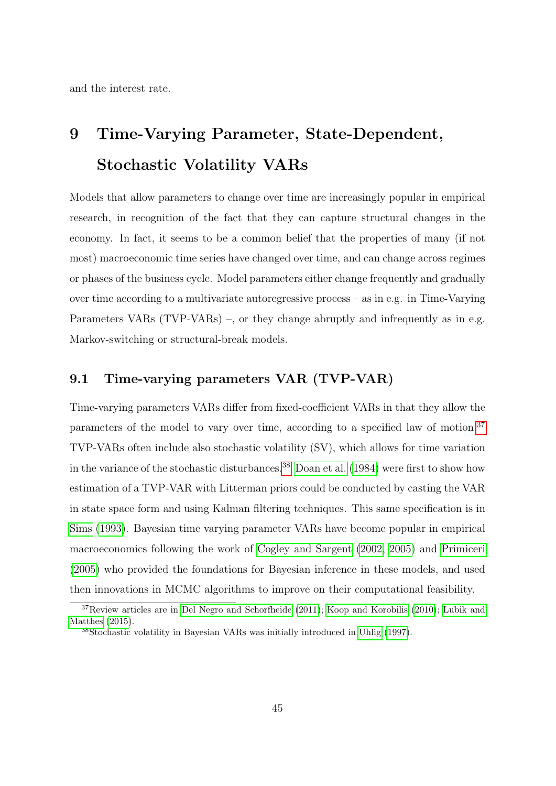and the interest rate.

## 9 Time-Varying Parameter, State-Dependent, Stochastic Volatility VARs

Models that allow parameters to change over time are increasingly popular in empirical research, in recognition of the fact that they can capture structural changes in the economy. In fact, it seems to be a common belief that the properties of many (if not most) macroeconomic time series have changed over time, and can change across regimes or phases of the business cycle. Model parameters either change frequently and gradually over time according to a multivariate autoregressive process – as in e.g. in Time-Varying Parameters VARs (TVP-VARs) –, or they change abruptly and infrequently as in e.g. Markov-switching or structural-break models.

#### 9.1 Time-varying parameters VAR (TVP-VAR)

Time-varying parameters VARs differ from fixed-coefficient VARs in that they allow the parameters of the model to vary over time, according to a specified law of motion.37 TVP-VARs often include also stochastic volatility (SV), which allows for time variation in the variance of the stochastic disturbances.<sup>38</sup> Doan et al. (1984) were first to show how estimation of a TVP-VAR with Litterman priors could be conducted by casting the VAR in state space form and using Kalman filtering techniques. This same specification is in Sims (1993). Bayesian time varying parameter VARs have become popular in empirical macroeconomics following the work of Cogley and Sargent (2002, 2005) and Primiceri (2005) who provided the foundations for Bayesian inference in these models, and used then innovations in MCMC algorithms to improve on their computational feasibility.

<sup>37</sup>Review articles are in Del Negro and Schorfheide (2011); Koop and Korobilis (2010); Lubik and Matthes (2015).

<sup>38</sup>Stochastic volatility in Bayesian VARs was initially introduced in Uhlig (1997).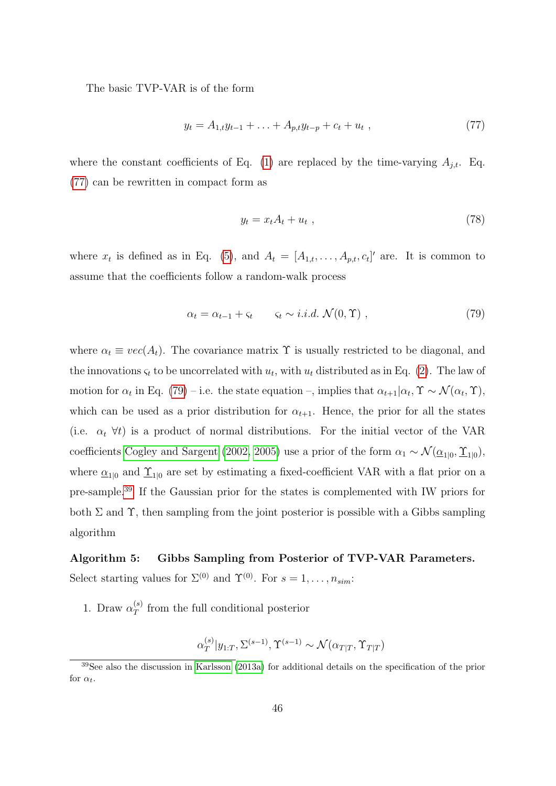The basic TVP-VAR is of the form

$$
y_t = A_{1,t}y_{t-1} + \ldots + A_{p,t}y_{t-p} + c_t + u_t , \qquad (77)
$$

where the constant coefficients of Eq. (1) are replaced by the time-varying  $A_{j,t}$ . Eq. (77) can be rewritten in compact form as

$$
y_t = x_t A_t + u_t \t\t(78)
$$

where  $x_t$  is defined as in Eq. (5), and  $A_t = [A_{1,t}, \ldots, A_{p,t}, c_t]'$  are. It is common to assume that the coefficients follow a random-walk process

$$
\alpha_t = \alpha_{t-1} + \varsigma_t \qquad \varsigma_t \sim i.i.d. \mathcal{N}(0, \Upsilon) \tag{79}
$$

where  $\alpha_t \equiv vec(A_t)$ . The covariance matrix  $\Upsilon$  is usually restricted to be diagonal, and the innovations  $\varsigma_t$  to be uncorrelated with  $u_t$ , with  $u_t$  distributed as in Eq. (2). The law of motion for  $\alpha_t$  in Eq. (79) – i.e. the state equation –, implies that  $\alpha_{t+1} | \alpha_t$ ,  $\Upsilon \sim \mathcal{N}(\alpha_t, \Upsilon)$ , which can be used as a prior distribution for  $\alpha_{t+1}$ . Hence, the prior for all the states (i.e.  $\alpha_t$   $\forall t$ ) is a product of normal distributions. For the initial vector of the VAR coefficients Cogley and Sargent (2002, 2005) use a prior of the form  $\alpha_1 \sim \mathcal{N}(\underline{\alpha}_{1|0}, \underline{\Upsilon}_{1|0})$ , where  $\underline{\alpha}_{1|0}$  and  $\underline{\Upsilon}_{1|0}$  are set by estimating a fixed-coefficient VAR with a flat prior on a pre-sample.39 If the Gaussian prior for the states is complemented with IW priors for both  $\Sigma$  and  $\Upsilon$ , then sampling from the joint posterior is possible with a Gibbs sampling algorithm

## Algorithm 5: Gibbs Sampling from Posterior of TVP-VAR Parameters. Select starting values for  $\Sigma^{(0)}$  and  $\Upsilon^{(0)}$ . For  $s = 1, \ldots, n_{sim}$ :

1. Draw  $\alpha_T^{(s)}$  $T<sup>(s)</sup>$  from the full conditional posterior

$$
\alpha_T^{(s)}|y_{1:T}, \Sigma^{(s-1)}, \Upsilon^{(s-1)} \sim \mathcal{N}(\alpha_{T|T}, \Upsilon_{T|T})
$$

<sup>39</sup>See also the discussion in Karlsson (2013a) for additional details on the specification of the prior for  $\alpha_t$ .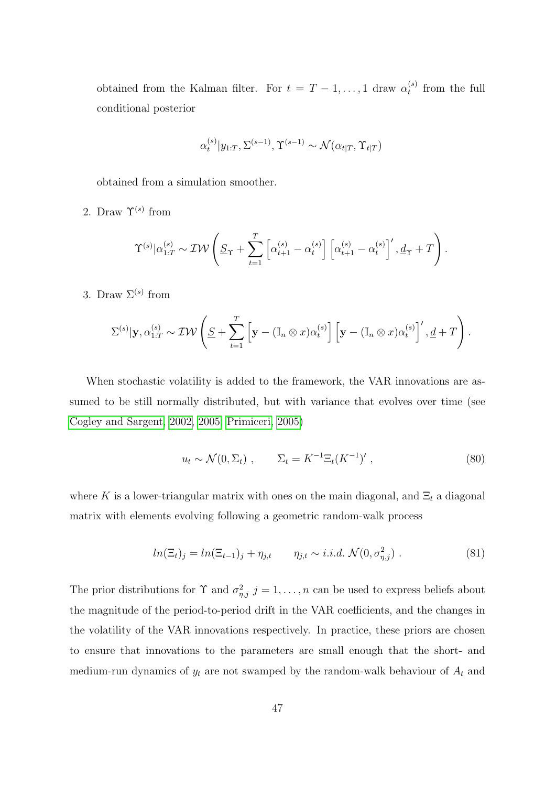obtained from the Kalman filter. For  $t = T - 1, \ldots, 1$  draw  $\alpha_t^{(s)}$  $t_t^{(s)}$  from the full conditional posterior

$$
\alpha_t^{(s)}|y_{1:T}, \Sigma^{(s-1)}, \Upsilon^{(s-1)} \sim \mathcal{N}(\alpha_{t|T}, \Upsilon_{t|T})
$$

obtained from a simulation smoother.

2. Draw  $\Upsilon^{(s)}$  from

$$
\Upsilon^{(s)}|\alpha_{1:T}^{(s)} \sim \mathcal{IW}\left(\underline{S}_{\Upsilon} + \sum_{t=1}^T \left[\alpha_{t+1}^{(s)} - \alpha_t^{(s)}\right] \left[\alpha_{t+1}^{(s)} - \alpha_t^{(s)}\right]', \underline{d}_{\Upsilon} + T\right).
$$

3. Draw  $\Sigma^{(s)}$  from

$$
\Sigma^{(s)}|\mathbf{y},\alpha_{1:T}^{(s)} \sim \mathcal{IW}\left(\underline{S} + \sum_{t=1}^T \left[\mathbf{y} - (\mathbb{I}_n \otimes x)\alpha_t^{(s)}\right] \left[\mathbf{y} - (\mathbb{I}_n \otimes x)\alpha_t^{(s)}\right]', \underline{d} + T\right).
$$

When stochastic volatility is added to the framework, the VAR innovations are assumed to be still normally distributed, but with variance that evolves over time (see Cogley and Sargent, 2002, 2005; Primiceri, 2005)

$$
u_t \sim \mathcal{N}(0, \Sigma_t) , \qquad \Sigma_t = K^{-1} \Xi_t (K^{-1})' , \qquad (80)
$$

where K is a lower-triangular matrix with ones on the main diagonal, and  $\Xi_t$  a diagonal matrix with elements evolving following a geometric random-walk process

$$
ln(\Xi_t)_j = ln(\Xi_{t-1})_j + \eta_{j,t} \qquad \eta_{j,t} \sim i.i.d. \mathcal{N}(0, \sigma_{\eta,j}^2) \ . \tag{81}
$$

The prior distributions for  $\Upsilon$  and  $\sigma_{\eta,j}^2$   $j = 1, \ldots, n$  can be used to express beliefs about the magnitude of the period-to-period drift in the VAR coefficients, and the changes in the volatility of the VAR innovations respectively. In practice, these priors are chosen to ensure that innovations to the parameters are small enough that the short- and medium-run dynamics of  $y_t$  are not swamped by the random-walk behaviour of  $A_t$  and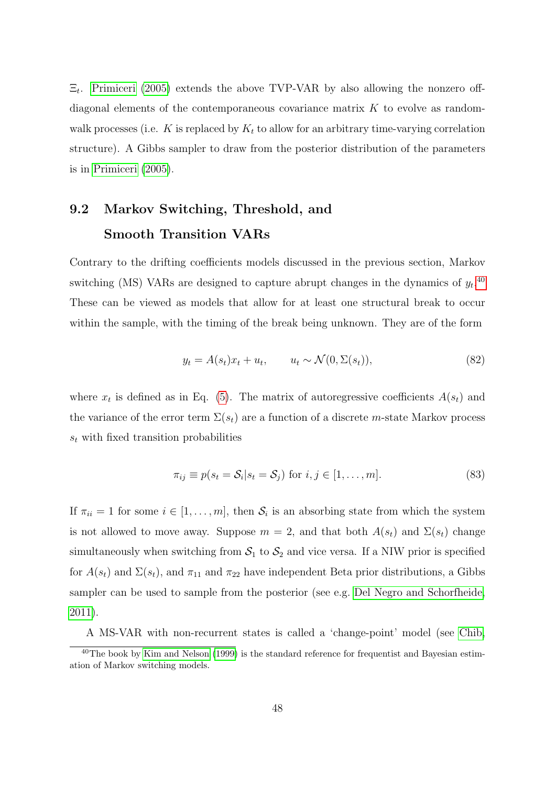$\Xi_t$ . Primiceri (2005) extends the above TVP-VAR by also allowing the nonzero offdiagonal elements of the contemporaneous covariance matrix  $K$  to evolve as randomwalk processes (i.e. K is replaced by  $K_t$  to allow for an arbitrary time-varying correlation structure). A Gibbs sampler to draw from the posterior distribution of the parameters is in Primiceri (2005).

## 9.2 Markov Switching, Threshold, and Smooth Transition VARs

Contrary to the drifting coefficients models discussed in the previous section, Markov switching (MS) VARs are designed to capture abrupt changes in the dynamics of  $y_t$ .<sup>40</sup> These can be viewed as models that allow for at least one structural break to occur within the sample, with the timing of the break being unknown. They are of the form

$$
y_t = A(s_t)x_t + u_t, \qquad u_t \sim \mathcal{N}(0, \Sigma(s_t)), \tag{82}
$$

where  $x_t$  is defined as in Eq. (5). The matrix of autoregressive coefficients  $A(s_t)$  and the variance of the error term  $\Sigma(s_t)$  are a function of a discrete m-state Markov process  $s_t$  with fixed transition probabilities

$$
\pi_{ij} \equiv p(s_t = \mathcal{S}_i | s_t = \mathcal{S}_j) \text{ for } i, j \in [1, \dots, m]. \tag{83}
$$

If  $\pi_{ii} = 1$  for some  $i \in [1, \ldots, m]$ , then  $S_i$  is an absorbing state from which the system is not allowed to move away. Suppose  $m = 2$ , and that both  $A(s_t)$  and  $\Sigma(s_t)$  change simultaneously when switching from  $S_1$  to  $S_2$  and vice versa. If a NIW prior is specified for  $A(s_t)$  and  $\Sigma(s_t)$ , and  $\pi_{11}$  and  $\pi_{22}$  have independent Beta prior distributions, a Gibbs sampler can be used to sample from the posterior (see e.g. Del Negro and Schorfheide, 2011).

A MS-VAR with non-recurrent states is called a 'change-point' model (see Chib,

 $40$ The book by Kim and Nelson (1999) is the standard reference for frequentist and Bayesian estimation of Markov switching models.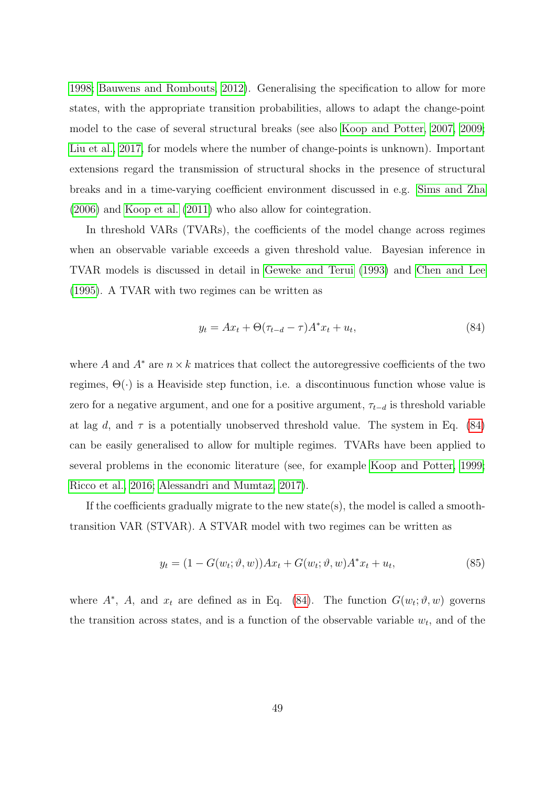1998; Bauwens and Rombouts, 2012). Generalising the specification to allow for more states, with the appropriate transition probabilities, allows to adapt the change-point model to the case of several structural breaks (see also Koop and Potter, 2007, 2009; Liu et al., 2017, for models where the number of change-points is unknown). Important extensions regard the transmission of structural shocks in the presence of structural breaks and in a time-varying coefficient environment discussed in e.g. Sims and Zha (2006) and Koop et al. (2011) who also allow for cointegration.

In threshold VARs (TVARs), the coefficients of the model change across regimes when an observable variable exceeds a given threshold value. Bayesian inference in TVAR models is discussed in detail in Geweke and Terui (1993) and Chen and Lee (1995). A TVAR with two regimes can be written as

$$
y_t = Ax_t + \Theta(\tau_{t-d} - \tau)A^*x_t + u_t, \tag{84}
$$

where A and  $A^*$  are  $n \times k$  matrices that collect the autoregressive coefficients of the two regimes,  $\Theta(\cdot)$  is a Heaviside step function, i.e. a discontinuous function whose value is zero for a negative argument, and one for a positive argument,  $\tau_{t-d}$  is threshold variable at lag d, and  $\tau$  is a potentially unobserved threshold value. The system in Eq. (84) can be easily generalised to allow for multiple regimes. TVARs have been applied to several problems in the economic literature (see, for example Koop and Potter, 1999; Ricco et al., 2016; Alessandri and Mumtaz, 2017).

If the coefficients gradually migrate to the new state(s), the model is called a smoothtransition VAR (STVAR). A STVAR model with two regimes can be written as

$$
y_t = (1 - G(w_t; \vartheta, w))Ax_t + G(w_t; \vartheta, w)A^*x_t + u_t,
$$
\n(85)

where  $A^*$ , A, and  $x_t$  are defined as in Eq. (84). The function  $G(w_t; \vartheta, w)$  governs the transition across states, and is a function of the observable variable  $w_t$ , and of the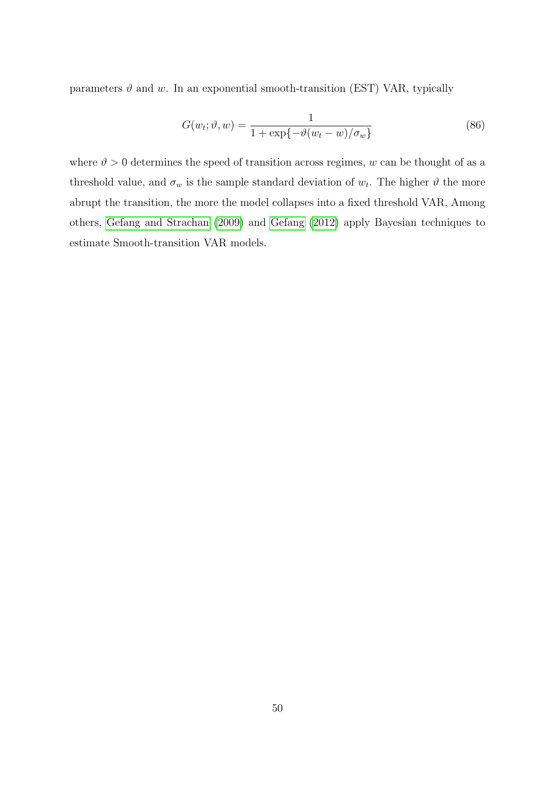parameters  $\vartheta$  and w. In an exponential smooth-transition (EST) VAR, typically

$$
G(w_t; \vartheta, w) = \frac{1}{1 + \exp\{-\vartheta(w_t - w)/\sigma_w\}}\tag{86}
$$

where  $\vartheta > 0$  determines the speed of transition across regimes, w can be thought of as a threshold value, and  $\sigma_w$  is the sample standard deviation of  $w_t$ . The higher  $\vartheta$  the more abrupt the transition, the more the model collapses into a fixed threshold VAR. Among others, Gefang and Strachan (2009) and Gefang (2012) apply Bayesian techniques to estimate Smooth-transition VAR models.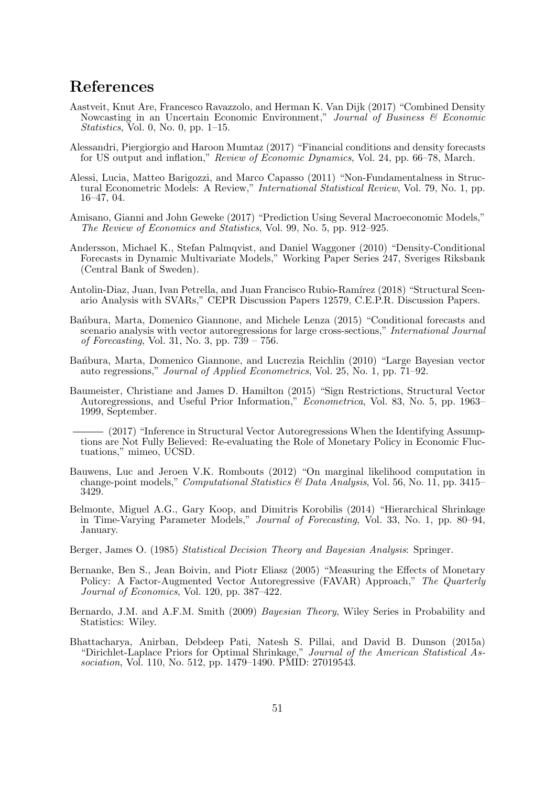## References

- Aastveit, Knut Are, Francesco Ravazzolo, and Herman K. Van Dijk (2017) "Combined Density Nowcasting in an Uncertain Economic Environment," Journal of Business & Economic Statistics, Vol. 0, No. 0, pp.  $1-15$ .
- Alessandri, Piergiorgio and Haroon Mumtaz (2017) "Financial conditions and density forecasts for US output and inflation," Review of Economic Dynamics, Vol. 24, pp. 66–78, March.
- Alessi, Lucia, Matteo Barigozzi, and Marco Capasso (2011) "Non-Fundamentalness in Structural Econometric Models: A Review," International Statistical Review, Vol. 79, No. 1, pp. 16–47, 04.
- Amisano, Gianni and John Geweke (2017) "Prediction Using Several Macroeconomic Models," The Review of Economics and Statistics, Vol. 99, No. 5, pp. 912–925.
- Andersson, Michael K., Stefan Palmqvist, and Daniel Waggoner (2010) "Density-Conditional Forecasts in Dynamic Multivariate Models," Working Paper Series 247, Sveriges Riksbank (Central Bank of Sweden).
- Antolin-Diaz, Juan, Ivan Petrella, and Juan Francisco Rubio-Ramírez (2018) "Structural Scenario Analysis with SVARs," CEPR Discussion Papers 12579, C.E.P.R. Discussion Papers.
- Bańbura, Marta, Domenico Giannone, and Michele Lenza (2015) "Conditional forecasts and scenario analysis with vector autoregressions for large cross-sections," International Journal *of Forecasting*, Vol. 31, No. 3, pp.  $7\bar{3}9 - 756$ .
- Bantbura, Marta, Domenico Giannone, and Lucrezia Reichlin (2010) "Large Bayesian vector auto regressions," Journal of Applied Econometrics, Vol. 25, No. 1, pp. 71–92.
- Baumeister, Christiane and James D. Hamilton (2015) "Sign Restrictions, Structural Vector Autoregressions, and Useful Prior Information," Econometrica, Vol. 83, No. 5, pp. 1963– 1999, September.
	- (2017) "Inference in Structural Vector Autoregressions When the Identifying Assumptions are Not Fully Believed: Re-evaluating the Role of Monetary Policy in Economic Fluctuations," mimeo, UCSD.
- Bauwens, Luc and Jeroen V.K. Rombouts (2012) "On marginal likelihood computation in change-point models," *Computational Statistics & Data Analysis*, Vol. 56, No. 11, pp. 3415– 3429.
- Belmonte, Miguel A.G., Gary Koop, and Dimitris Korobilis (2014) "Hierarchical Shrinkage in Time-Varying Parameter Models," Journal of Forecasting, Vol. 33, No. 1, pp. 80–94, January.
- Berger, James O. (1985) Statistical Decision Theory and Bayesian Analysis: Springer.
- Bernanke, Ben S., Jean Boivin, and Piotr Eliasz (2005) "Measuring the Effects of Monetary Policy: A Factor-Augmented Vector Autoregressive (FAVAR) Approach," The Quarterly Journal of Economics, Vol. 120, pp. 387–422.
- Bernardo, J.M. and A.F.M. Smith (2009) *Bayesian Theory*, Wiley Series in Probability and Statistics: Wiley.
- Bhattacharya, Anirban, Debdeep Pati, Natesh S. Pillai, and David B. Dunson (2015a) "Dirichlet-Laplace Priors for Optimal Shrinkage," Journal of the American Statistical Association, Vol. 110, No. 512, pp. 1479–1490. PMID: 27019543.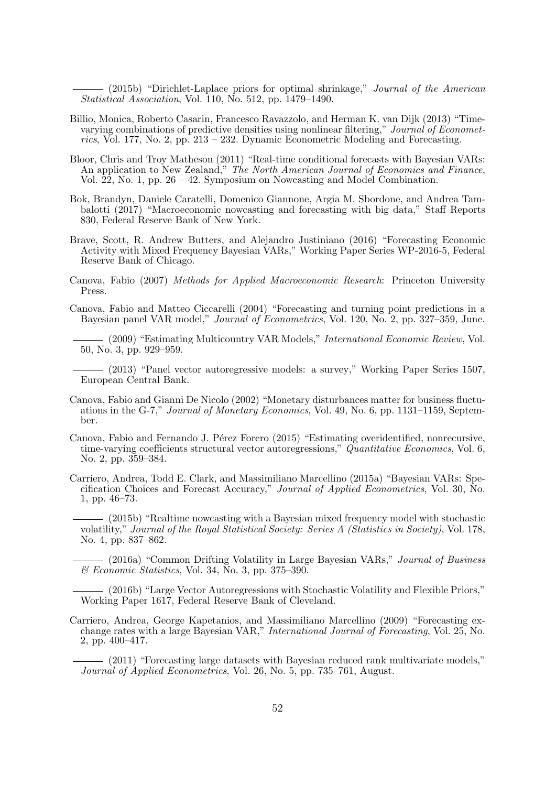$-$  (2015b) "Dirichlet-Laplace priors for optimal shrinkage," *Journal of the American* Statistical Association, Vol. 110, No. 512, pp. 1479–1490.

- Billio, Monica, Roberto Casarin, Francesco Ravazzolo, and Herman K. van Dijk (2013) "Timevarying combinations of predictive densities using nonlinear filtering," Journal of Econometrics, Vol. 177, No. 2, pp.  $213 - 232$ . Dynamic Econometric Modeling and Forecasting.
- Bloor, Chris and Troy Matheson (2011) "Real-time conditional forecasts with Bayesian VARs: An application to New Zealand," The North American Journal of Economics and Finance, Vol.  $\hat{22}$ , No. 1, pp. 26 – 42. Symposium on Nowcasting and Model Combination.
- Bok, Brandyn, Daniele Caratelli, Domenico Giannone, Argia M. Sbordone, and Andrea Tambalotti (2017) "Macroeconomic nowcasting and forecasting with big data," Staff Reports 830, Federal Reserve Bank of New York.
- Brave, Scott, R. Andrew Butters, and Alejandro Justiniano (2016) "Forecasting Economic Activity with Mixed Frequency Bayesian VARs," Working Paper Series WP-2016-5, Federal Reserve Bank of Chicago.
- Canova, Fabio (2007) Methods for Applied Macroeconomic Research: Princeton University Press.
- Canova, Fabio and Matteo Ciccarelli (2004) "Forecasting and turning point predictions in a Bayesian panel VAR model," Journal of Econometrics, Vol. 120, No. 2, pp. 327–359, June.
	- (2009) "Estimating Multicountry VAR Models," *International Economic Review*, Vol. 50, No. 3, pp. 929–959.
	- (2013) "Panel vector autoregressive models: a survey," Working Paper Series 1507, European Central Bank.
- Canova, Fabio and Gianni De Nicolo (2002) "Monetary disturbances matter for business fluctuations in the G-7," Journal of Monetary Economics, Vol. 49, No. 6, pp. 1131–1159, September.
- Canova, Fabio and Fernando J. Pérez Forero (2015) "Estimating overidentified, nonrecursive, time-varying coefficients structural vector autoregressions," Quantitative Economics, Vol. 6, No. 2, pp. 359–384.
- Carriero, Andrea, Todd E. Clark, and Massimiliano Marcellino (2015a) "Bayesian VARs: Specification Choices and Forecast Accuracy," Journal of Applied Econometrics, Vol. 30, No. 1, pp. 46–73.
	- (2015b) "Realtime nowcasting with a Bayesian mixed frequency model with stochastic volatility," Journal of the Royal Statistical Society: Series A (Statistics in Society), Vol. 178, No. 4, pp. 837–862.

(2016a) "Common Drifting Volatility in Large Bayesian VARs," Journal of Business  $\mathcal C$  Economic Statistics, Vol. 34, No. 3, pp. 375–390.

(2016b) "Large Vector Autoregressions with Stochastic Volatility and Flexible Priors," Working Paper 1617, Federal Reserve Bank of Cleveland.

Carriero, Andrea, George Kapetanios, and Massimiliano Marcellino (2009) "Forecasting exchange rates with a large Bayesian VAR," International Journal of Forecasting, Vol. 25, No. 2, pp. 400–417.

(2011) "Forecasting large datasets with Bayesian reduced rank multivariate models," Journal of Applied Econometrics, Vol. 26, No. 5, pp. 735–761, August.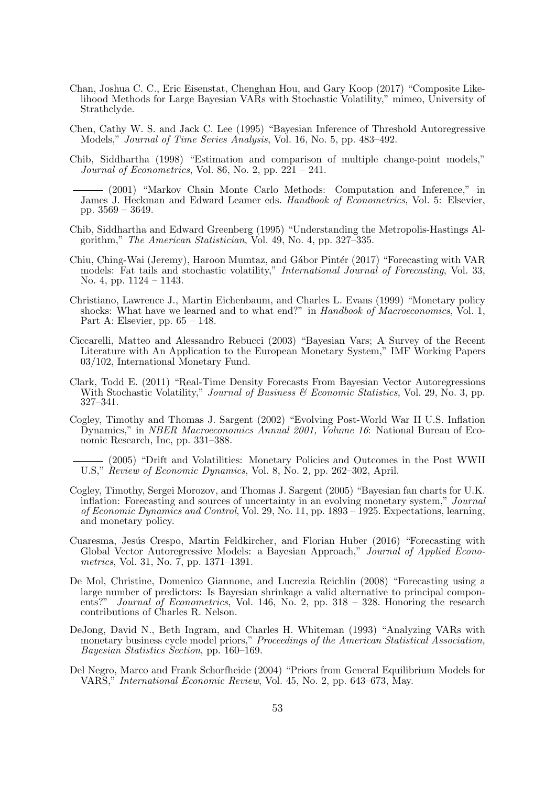- Chan, Joshua C. C., Eric Eisenstat, Chenghan Hou, and Gary Koop (2017) "Composite Likelihood Methods for Large Bayesian VARs with Stochastic Volatility," mimeo, University of Strathclyde.
- Chen, Cathy W. S. and Jack C. Lee (1995) "Bayesian Inference of Threshold Autoregressive Models," Journal of Time Series Analysis, Vol. 16, No. 5, pp. 483–492.
- Chib, Siddhartha (1998) "Estimation and comparison of multiple change-point models," Journal of Econometrics, Vol. 86, No. 2, pp.  $221 - 241$ .
	- (2001) "Markov Chain Monte Carlo Methods: Computation and Inference," in James J. Heckman and Edward Leamer eds. Handbook of Econometrics, Vol. 5: Elsevier, pp. 3569 – 3649.
- Chib, Siddhartha and Edward Greenberg (1995) "Understanding the Metropolis-Hastings Algorithm," The American Statistician, Vol. 49, No. 4, pp. 327–335.
- Chiu, Ching-Wai (Jeremy), Haroon Mumtaz, and Gábor Pintér (2017) "Forecasting with VAR models: Fat tails and stochastic volatility," International Journal of Forecasting, Vol. 33, No. 4, pp. 1124 – 1143.
- Christiano, Lawrence J., Martin Eichenbaum, and Charles L. Evans (1999) "Monetary policy shocks: What have we learned and to what end?" in Handbook of Macroeconomics, Vol. 1, Part A: Elsevier, pp. 65 – 148.
- Ciccarelli, Matteo and Alessandro Rebucci (2003) "Bayesian Vars; A Survey of the Recent Literature with An Application to the European Monetary System," IMF Working Papers 03/102, International Monetary Fund.
- Clark, Todd E. (2011) "Real-Time Density Forecasts From Bayesian Vector Autoregressions With Stochastic Volatility," Journal of Business & Economic Statistics, Vol. 29, No. 3, pp. 327–341.
- Cogley, Timothy and Thomas J. Sargent (2002) "Evolving Post-World War II U.S. Inflation Dynamics," in NBER Macroeconomics Annual 2001, Volume 16: National Bureau of Economic Research, Inc, pp. 331–388.
- (2005) "Drift and Volatilities: Monetary Policies and Outcomes in the Post WWII U.S," Review of Economic Dynamics, Vol. 8, No. 2, pp. 262–302, April.
- Cogley, Timothy, Sergei Morozov, and Thomas J. Sargent (2005) "Bayesian fan charts for U.K. inflation: Forecasting and sources of uncertainty in an evolving monetary system," Journal of Economic Dynamics and Control, Vol. 29, No. 11, pp. 1893 – 1925. Expectations, learning, and monetary policy.
- Cuaresma, Jesús Crespo, Martin Feldkircher, and Florian Huber (2016) "Forecasting with Global Vector Autoregressive Models: a Bayesian Approach," Journal of Applied Econometrics, Vol. 31, No. 7, pp. 1371–1391.
- De Mol, Christine, Domenico Giannone, and Lucrezia Reichlin (2008) "Forecasting using a large number of predictors: Is Bayesian shrinkage a valid alternative to principal components?" Journal of Econometrics, Vol. 146, No. 2, pp. 318 – 328. Honoring the research contributions of Charles R. Nelson.
- DeJong, David N., Beth Ingram, and Charles H. Whiteman (1993) "Analyzing VARs with monetary business cycle model priors," Proceedings of the American Statistical Association, Bayesian Statistics Section, pp. 160–169.
- Del Negro, Marco and Frank Schorfheide (2004) "Priors from General Equilibrium Models for VARS," International Economic Review, Vol. 45, No. 2, pp. 643–673, May.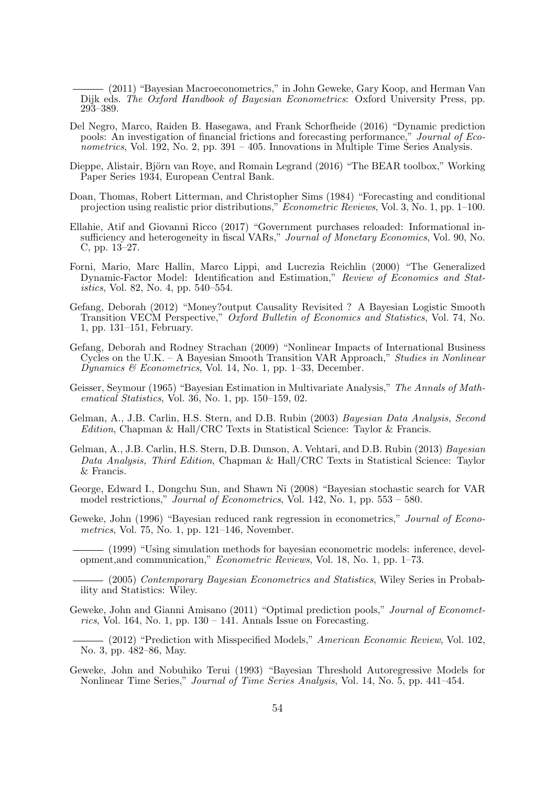(2011) "Bayesian Macroeconometrics," in John Geweke, Gary Koop, and Herman Van Dijk eds. The Oxford Handbook of Bayesian Econometrics: Oxford University Press, pp. 293–389.

- Del Negro, Marco, Raiden B. Hasegawa, and Frank Schorfheide (2016) "Dynamic prediction pools: An investigation of financial frictions and forecasting performance," Journal of Econometrics, Vol. 192, No. 2, pp. 391 – 405. Innovations in Multiple Time Series Analysis.
- Dieppe, Alistair, Björn van Roye, and Romain Legrand (2016) "The BEAR toolbox," Working Paper Series 1934, European Central Bank.
- Doan, Thomas, Robert Litterman, and Christopher Sims (1984) "Forecasting and conditional projection using realistic prior distributions," Econometric Reviews, Vol. 3, No. 1, pp. 1–100.
- Ellahie, Atif and Giovanni Ricco (2017) "Government purchases reloaded: Informational insufficiency and heterogeneity in fiscal VARs," Journal of Monetary Economics, Vol. 90, No. C, pp. 13–27.
- Forni, Mario, Marc Hallin, Marco Lippi, and Lucrezia Reichlin (2000) "The Generalized Dynamic-Factor Model: Identification and Estimation," Review of Economics and Statistics, Vol. 82, No. 4, pp. 540–554.
- Gefang, Deborah (2012) "Money?output Causality Revisited ? A Bayesian Logistic Smooth Transition VECM Perspective," Oxford Bulletin of Economics and Statistics, Vol. 74, No. 1, pp. 131–151, February.
- Gefang, Deborah and Rodney Strachan (2009) "Nonlinear Impacts of International Business Cycles on the U.K. – A Bayesian Smooth Transition VAR Approach," Studies in Nonlinear Dynamics & Econometrics, Vol. 14, No. 1, pp. 1–33, December.
- Geisser, Seymour (1965) "Bayesian Estimation in Multivariate Analysis," The Annals of Mathematical Statistics, Vol. 36, No. 1, pp. 150–159, 02.
- Gelman, A., J.B. Carlin, H.S. Stern, and D.B. Rubin (2003) Bayesian Data Analysis, Second Edition, Chapman & Hall/CRC Texts in Statistical Science: Taylor & Francis.
- Gelman, A., J.B. Carlin, H.S. Stern, D.B. Dunson, A. Vehtari, and D.B. Rubin (2013) Bayesian Data Analysis, Third Edition, Chapman & Hall/CRC Texts in Statistical Science: Taylor & Francis.
- George, Edward I., Dongchu Sun, and Shawn Ni (2008) "Bayesian stochastic search for VAR model restrictions," *Journal of Econometrics*, Vol. 142, No. 1, pp.  $553 - 580$ .
- Geweke, John (1996) "Bayesian reduced rank regression in econometrics," Journal of Econometrics, Vol. 75, No. 1, pp. 121–146, November.

(1999) "Using simulation methods for bayesian econometric models: inference, development,and communication," Econometric Reviews, Vol. 18, No. 1, pp. 1–73.

(2005) Contemporary Bayesian Econometrics and Statistics, Wiley Series in Probability and Statistics: Wiley.

Geweke, John and Gianni Amisano (2011) "Optimal prediction pools," Journal of Econometrics, Vol. 164, No. 1, pp.  $130 - 141$ . Annals Issue on Forecasting.

- (2012) "Prediction with Misspecified Models," American Economic Review, Vol. 102, No. 3, pp. 482–86, May.

Geweke, John and Nobuhiko Terui (1993) "Bayesian Threshold Autoregressive Models for Nonlinear Time Series," Journal of Time Series Analysis, Vol. 14, No. 5, pp. 441–454.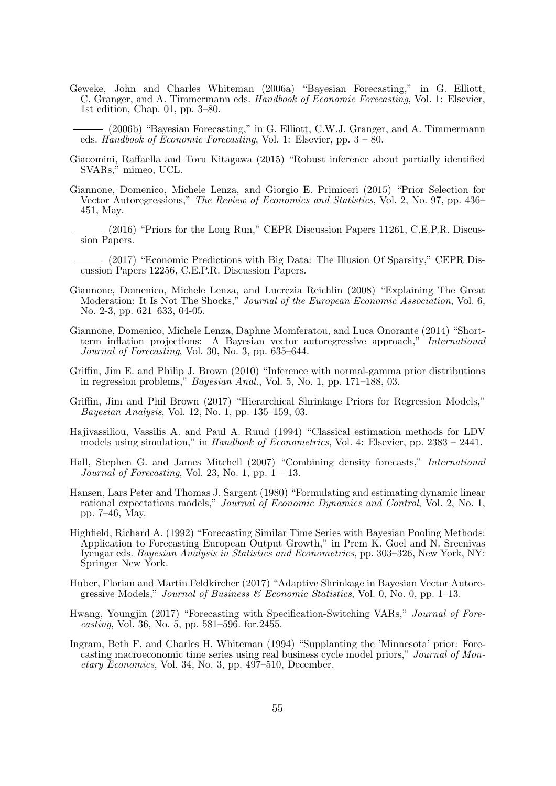Geweke, John and Charles Whiteman (2006a) "Bayesian Forecasting," in G. Elliott, C. Granger, and A. Timmermann eds. Handbook of Economic Forecasting, Vol. 1: Elsevier, 1st edition, Chap. 01, pp. 3–80.

(2006b) "Bayesian Forecasting," in G. Elliott, C.W.J. Granger, and A. Timmermann eds. Handbook of Economic Forecasting, Vol. 1: Elsevier, pp. 3 – 80.

- Giacomini, Raffaella and Toru Kitagawa (2015) "Robust inference about partially identified SVARs," mimeo, UCL.
- Giannone, Domenico, Michele Lenza, and Giorgio E. Primiceri (2015) "Prior Selection for Vector Autoregressions," The Review of Economics and Statistics, Vol. 2, No. 97, pp. 436– 451, May.
- (2016) "Priors for the Long Run," CEPR Discussion Papers 11261, C.E.P.R. Discussion Papers.
- (2017) "Economic Predictions with Big Data: The Illusion Of Sparsity," CEPR Discussion Papers 12256, C.E.P.R. Discussion Papers.
- Giannone, Domenico, Michele Lenza, and Lucrezia Reichlin (2008) "Explaining The Great Moderation: It Is Not The Shocks," Journal of the European Economic Association, Vol. 6, No. 2-3, pp. 621–633, 04-05.
- Giannone, Domenico, Michele Lenza, Daphne Momferatou, and Luca Onorante (2014) "Shortterm inflation projections: A Bayesian vector autoregressive approach," International Journal of Forecasting, Vol. 30, No. 3, pp. 635–644.
- Griffin, Jim E. and Philip J. Brown (2010) "Inference with normal-gamma prior distributions in regression problems," Bayesian Anal., Vol. 5, No. 1, pp. 171–188, 03.
- Griffin, Jim and Phil Brown (2017) "Hierarchical Shrinkage Priors for Regression Models," Bayesian Analysis, Vol. 12, No. 1, pp. 135–159, 03.
- Hajivassiliou, Vassilis A. and Paul A. Ruud (1994) "Classical estimation methods for LDV models using simulation," in Handbook of Econometrics, Vol. 4: Elsevier, pp. 2383 – 2441.
- Hall, Stephen G. and James Mitchell (2007) "Combining density forecasts," International Journal of Forecasting, Vol. 23, No. 1, pp.  $1 - 13$ .
- Hansen, Lars Peter and Thomas J. Sargent (1980) "Formulating and estimating dynamic linear rational expectations models," Journal of Economic Dynamics and Control, Vol. 2, No. 1, pp. 7–46, May.
- Highfield, Richard A. (1992) "Forecasting Similar Time Series with Bayesian Pooling Methods: Application to Forecasting European Output Growth," in Prem K. Goel and N. Sreenivas Iyengar eds. Bayesian Analysis in Statistics and Econometrics, pp. 303–326, New York, NY: Springer New York.
- Huber, Florian and Martin Feldkircher (2017) "Adaptive Shrinkage in Bayesian Vector Autoregressive Models," Journal of Business  $\mathcal C$  Economic Statistics, Vol. 0, No. 0, pp. 1–13.
- Hwang, Youngjin (2017) "Forecasting with Specification-Switching VARs," Journal of Forecasting, Vol. 36, No. 5, pp. 581–596. for.2455.
- Ingram, Beth F. and Charles H. Whiteman (1994) "Supplanting the 'Minnesota' prior: Forecasting macroeconomic time series using real business cycle model priors," Journal of Mon $etary~Economics,$  Vol. 34, No. 3, pp. 497–510, December.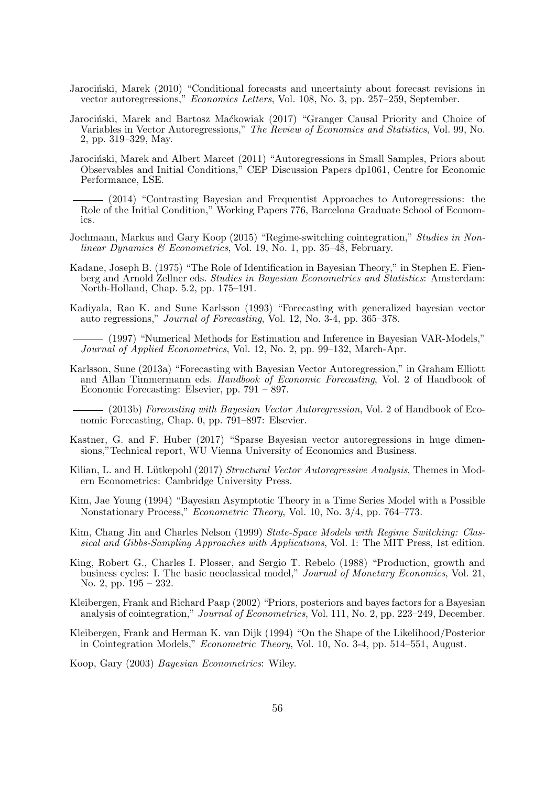- Jarociński, Marek (2010) "Conditional forecasts and uncertainty about forecast revisions in vector autoregressions," Economics Letters, Vol. 108, No. 3, pp. 257–259, September.
- Jarociński, Marek and Bartosz Maćkowiak (2017) "Granger Causal Priority and Choice of Variables in Vector Autoregressions," The Review of Economics and Statistics, Vol. 99, No. 2, pp. 319–329, May.
- Jarociński, Marek and Albert Marcet (2011) "Autoregressions in Small Samples, Priors about Observables and Initial Conditions," CEP Discussion Papers dp1061, Centre for Economic Performance, LSE.
- (2014) "Contrasting Bayesian and Frequentist Approaches to Autoregressions: the Role of the Initial Condition," Working Papers 776, Barcelona Graduate School of Economics.
- Jochmann, Markus and Gary Koop (2015) "Regime-switching cointegration," Studies in Nonlinear Dynamics & Econometrics, Vol. 19, No. 1, pp. 35–48, February.
- Kadane, Joseph B. (1975) "The Role of Identification in Bayesian Theory," in Stephen E. Fienberg and Arnold Zellner eds. Studies in Bayesian Econometrics and Statistics: Amsterdam: North-Holland, Chap. 5.2, pp. 175–191.
- Kadiyala, Rao K. and Sune Karlsson (1993) "Forecasting with generalized bayesian vector auto regressions," Journal of Forecasting, Vol. 12, No. 3-4, pp. 365–378.

(1997) "Numerical Methods for Estimation and Inference in Bayesian VAR-Models," Journal of Applied Econometrics, Vol. 12, No. 2, pp. 99–132, March-Apr.

Karlsson, Sune (2013a) "Forecasting with Bayesian Vector Autoregression," in Graham Elliott and Allan Timmermann eds. Handbook of Economic Forecasting, Vol. 2 of Handbook of Economic Forecasting: Elsevier, pp. 791 – 897.

(2013b) Forecasting with Bayesian Vector Autoregression, Vol. 2 of Handbook of Economic Forecasting, Chap. 0, pp. 791–897: Elsevier.

- Kastner, G. and F. Huber (2017) "Sparse Bayesian vector autoregressions in huge dimensions,"Technical report, WU Vienna University of Economics and Business.
- Kilian, L. and H. Lütkepohl (2017) Structural Vector Autoregressive Analysis, Themes in Modern Econometrics: Cambridge University Press.
- Kim, Jae Young (1994) "Bayesian Asymptotic Theory in a Time Series Model with a Possible Nonstationary Process," Econometric Theory, Vol. 10, No. 3/4, pp. 764–773.
- Kim, Chang Jin and Charles Nelson (1999) State-Space Models with Regime Switching: Classical and Gibbs-Sampling Approaches with Applications, Vol. 1: The MIT Press, 1st edition.
- King, Robert G., Charles I. Plosser, and Sergio T. Rebelo (1988) "Production, growth and business cycles: I. The basic neoclassical model," *Journal of Monetary Economics*, Vol. 21, No. 2, pp. 195 – 232.
- Kleibergen, Frank and Richard Paap (2002) "Priors, posteriors and bayes factors for a Bayesian analysis of cointegration," Journal of Econometrics, Vol. 111, No. 2, pp. 223–249, December.
- Kleibergen, Frank and Herman K. van Dijk (1994) "On the Shape of the Likelihood/Posterior in Cointegration Models," Econometric Theory, Vol. 10, No. 3-4, pp. 514–551, August.
- Koop, Gary (2003) Bayesian Econometrics: Wiley.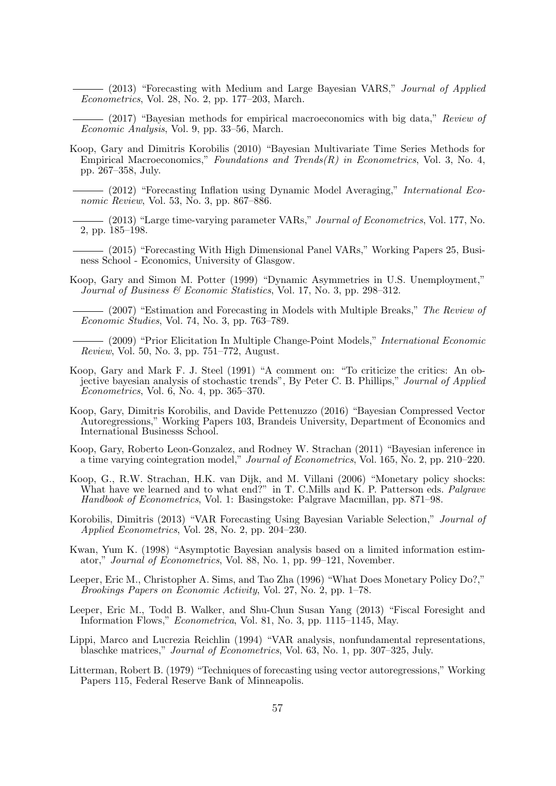- (2013) "Forecasting with Medium and Large Bayesian VARS," Journal of Applied Econometrics, Vol. 28, No. 2, pp. 177–203, March.

 $-$  (2017) "Bayesian methods for empirical macroeconomics with big data," Review of Economic Analysis, Vol. 9, pp. 33–56, March.

- Koop, Gary and Dimitris Korobilis (2010) "Bayesian Multivariate Time Series Methods for Empirical Macroeconomics," Foundations and Trends $(R)$  in Econometrics, Vol. 3, No. 4, pp. 267–358, July.
	- (2012) "Forecasting Inflation using Dynamic Model Averaging," International Economic Review, Vol. 53, No. 3, pp. 867–886.
	- (2013) "Large time-varying parameter VARs," Journal of Econometrics, Vol. 177, No. 2, pp. 185–198.
	- (2015) "Forecasting With High Dimensional Panel VARs," Working Papers 25, Business School - Economics, University of Glasgow.
- Koop, Gary and Simon M. Potter (1999) "Dynamic Asymmetries in U.S. Unemployment," Journal of Business & Economic Statistics, Vol. 17, No. 3, pp. 298–312.
	- (2007) "Estimation and Forecasting in Models with Multiple Breaks," The Review of Economic Studies, Vol. 74, No. 3, pp. 763–789.
	- (2009) "Prior Elicitation In Multiple Change-Point Models," International Economic Review, Vol. 50, No. 3, pp. 751–772, August.
- Koop, Gary and Mark F. J. Steel (1991) "A comment on: "To criticize the critics: An objective bayesian analysis of stochastic trends", By Peter C. B. Phillips," Journal of Applied  $Econometrics, Vol. 6, No. 4, pp. 365-370.$
- Koop, Gary, Dimitris Korobilis, and Davide Pettenuzzo (2016) "Bayesian Compressed Vector Autoregressions," Working Papers 103, Brandeis University, Department of Economics and International Businesss School.
- Koop, Gary, Roberto Leon-Gonzalez, and Rodney W. Strachan (2011) "Bayesian inference in a time varying cointegration model," Journal of Econometrics, Vol. 165, No. 2, pp. 210–220.
- Koop, G., R.W. Strachan, H.K. van Dijk, and M. Villani (2006) "Monetary policy shocks: What have we learned and to what end?" in T. C.Mills and K. P. Patterson eds. *Palgrave* Handbook of Econometrics, Vol. 1: Basingstoke: Palgrave Macmillan, pp. 871–98.
- Korobilis, Dimitris (2013) "VAR Forecasting Using Bayesian Variable Selection," Journal of Applied Econometrics, Vol. 28, No. 2, pp. 204–230.
- Kwan, Yum K. (1998) "Asymptotic Bayesian analysis based on a limited information estimator," Journal of Econometrics, Vol. 88, No. 1, pp. 99–121, November.
- Leeper, Eric M., Christopher A. Sims, and Tao Zha (1996) "What Does Monetary Policy Do?," Brookings Papers on Economic Activity, Vol. 27, No. 2, pp. 1–78.
- Leeper, Eric M., Todd B. Walker, and Shu-Chun Susan Yang (2013) "Fiscal Foresight and Information Flows," Econometrica, Vol. 81, No. 3, pp. 1115–1145, May.
- Lippi, Marco and Lucrezia Reichlin (1994) "VAR analysis, nonfundamental representations, blaschke matrices," Journal of Econometrics, Vol. 63, No. 1, pp. 307–325, July.
- Litterman, Robert B. (1979) "Techniques of forecasting using vector autoregressions," Working Papers 115, Federal Reserve Bank of Minneapolis.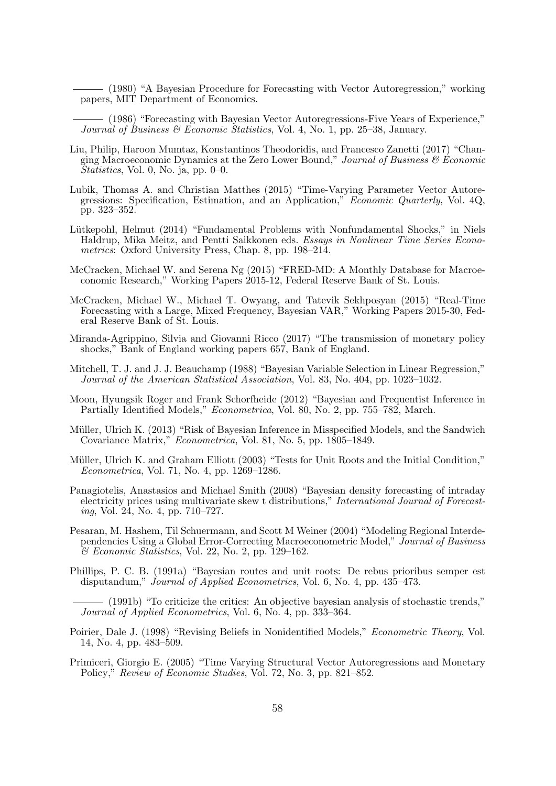(1980) "A Bayesian Procedure for Forecasting with Vector Autoregression," working papers, MIT Department of Economics.

(1986) "Forecasting with Bayesian Vector Autoregressions-Five Years of Experience," Journal of Business  $\mathcal C$  Economic Statistics, Vol. 4, No. 1, pp. 25–38, January.

- Liu, Philip, Haroon Mumtaz, Konstantinos Theodoridis, and Francesco Zanetti (2017) "Changing Macroeconomic Dynamics at the Zero Lower Bound," Journal of Business  $\mathcal C$  Economic  $\overline{Statistics}$ , Vol. 0, No. ja, pp. 0–0.
- Lubik, Thomas A. and Christian Matthes (2015) "Time-Varying Parameter Vector Autoregressions: Specification, Estimation, and an Application," Economic Quarterly, Vol. 4Q, pp. 323–352.
- Lütkepohl, Helmut (2014) "Fundamental Problems with Nonfundamental Shocks," in Niels Haldrup, Mika Meitz, and Pentti Saikkonen eds. Essays in Nonlinear Time Series Econometrics: Oxford University Press, Chap. 8, pp. 198–214.
- McCracken, Michael W. and Serena Ng (2015) "FRED-MD: A Monthly Database for Macroeconomic Research," Working Papers 2015-12, Federal Reserve Bank of St. Louis.
- McCracken, Michael W., Michael T. Owyang, and Tatevik Sekhposyan (2015) "Real-Time Forecasting with a Large, Mixed Frequency, Bayesian VAR," Working Papers 2015-30, Federal Reserve Bank of St. Louis.
- Miranda-Agrippino, Silvia and Giovanni Ricco (2017) "The transmission of monetary policy shocks," Bank of England working papers 657, Bank of England.
- Mitchell, T. J. and J. J. Beauchamp (1988) "Bayesian Variable Selection in Linear Regression," Journal of the American Statistical Association, Vol. 83, No. 404, pp. 1023–1032.
- Moon, Hyungsik Roger and Frank Schorfheide (2012) "Bayesian and Frequentist Inference in Partially Identified Models," Econometrica, Vol. 80, No. 2, pp. 755–782, March.
- Müller, Ulrich K. (2013) "Risk of Bayesian Inference in Misspecified Models, and the Sandwich Covariance Matrix," Econometrica, Vol. 81, No. 5, pp. 1805–1849.
- Müller, Ulrich K. and Graham Elliott (2003) "Tests for Unit Roots and the Initial Condition," Econometrica, Vol. 71, No. 4, pp. 1269–1286.
- Panagiotelis, Anastasios and Michael Smith (2008) "Bayesian density forecasting of intraday electricity prices using multivariate skew t distributions," International Journal of Forecasting, Vol. 24, No. 4, pp. 710–727.
- Pesaran, M. Hashem, Til Schuermann, and Scott M Weiner (2004) "Modeling Regional Interdependencies Using a Global Error-Correcting Macroeconometric Model," Journal of Business  $\mathcal C$  Economic Statistics, Vol. 22, No. 2, pp. 129–162.
- Phillips, P. C. B. (1991a) "Bayesian routes and unit roots: De rebus prioribus semper est disputandum," Journal of Applied Econometrics, Vol. 6, No. 4, pp. 435–473.

(1991b) "To criticize the critics: An objective bayesian analysis of stochastic trends," Journal of Applied Econometrics, Vol. 6, No. 4, pp. 333–364.

- Poirier, Dale J. (1998) "Revising Beliefs in Nonidentified Models," Econometric Theory, Vol. 14, No. 4, pp. 483–509.
- Primiceri, Giorgio E. (2005) "Time Varying Structural Vector Autoregressions and Monetary Policy," Review of Economic Studies, Vol. 72, No. 3, pp. 821–852.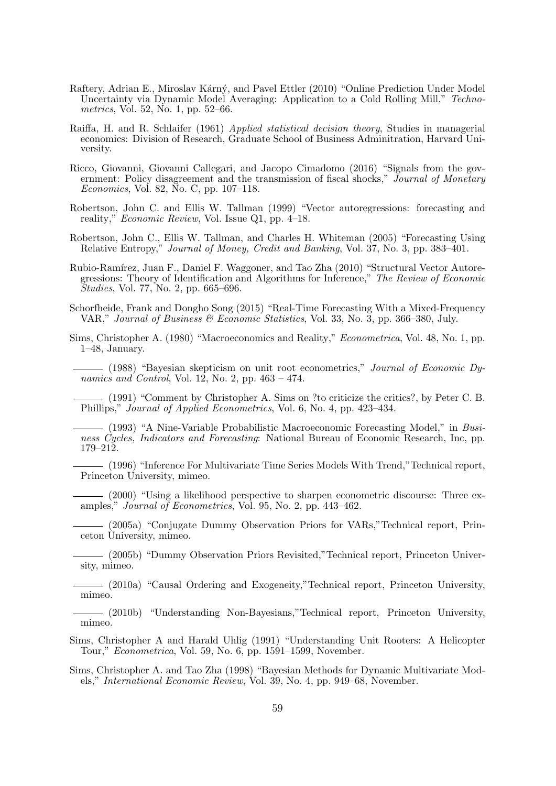- Raftery, Adrian E., Miroslav Kárný, and Pavel Ettler (2010) "Online Prediction Under Model Uncertainty via Dynamic Model Averaging: Application to a Cold Rolling Mill," Techno*metrics*, Vol. 52, No. 1, pp. 52–66.
- Raiffa, H. and R. Schlaifer (1961) Applied statistical decision theory, Studies in managerial economics: Division of Research, Graduate School of Business Adminitration, Harvard University.
- Ricco, Giovanni, Giovanni Callegari, and Jacopo Cimadomo (2016) "Signals from the government: Policy disagreement and the transmission of fiscal shocks," Journal of Monetary Economics, Vol. 82, No. C, pp. 107–118.
- Robertson, John C. and Ellis W. Tallman (1999) "Vector autoregressions: forecasting and reality," Economic Review, Vol. Issue Q1, pp. 4–18.
- Robertson, John C., Ellis W. Tallman, and Charles H. Whiteman (2005) "Forecasting Using Relative Entropy," Journal of Money, Credit and Banking, Vol. 37, No. 3, pp. 383–401.
- Rubio-Ramírez, Juan F., Daniel F. Waggoner, and Tao Zha (2010) "Structural Vector Autoregressions: Theory of Identification and Algorithms for Inference," The Review of Economic Studies, Vol. 77, No. 2, pp. 665–696.
- Schorfheide, Frank and Dongho Song (2015) "Real-Time Forecasting With a Mixed-Frequency VAR," Journal of Business & Economic Statistics, Vol. 33, No. 3, pp. 366–380, July.
- Sims, Christopher A. (1980) "Macroeconomics and Reality," Econometrica, Vol. 48, No. 1, pp. 1–48, January.
	- $-$  (1988) "Bayesian skepticism on unit root econometrics," *Journal of Economic Dy*namics and Control, Vol. 12, No. 2, pp.  $463 - 474$ .
	- (1991) "Comment by Christopher A. Sims on ?to criticize the critics?, by Peter C. B. Phillips," Journal of Applied Econometrics, Vol. 6, No. 4, pp. 423–434.
	- (1993) "A Nine-Variable Probabilistic Macroeconomic Forecasting Model," in Business Cycles, Indicators and Forecasting: National Bureau of Economic Research, Inc, pp. 179–212.
	- (1996) "Inference For Multivariate Time Series Models With Trend,"Technical report, Princeton University, mimeo.
	- (2000) "Using a likelihood perspective to sharpen econometric discourse: Three examples," Journal of Econometrics, Vol. 95, No. 2, pp. 443–462.
	- (2005a) "Conjugate Dummy Observation Priors for VARs,"Technical report, Princeton University, mimeo.
	- (2005b) "Dummy Observation Priors Revisited,"Technical report, Princeton University, mimeo.
	- (2010a) "Causal Ordering and Exogeneity,"Technical report, Princeton University, mimeo.
- (2010b) "Understanding Non-Bayesians,"Technical report, Princeton University, mimeo.
- Sims, Christopher A and Harald Uhlig (1991) "Understanding Unit Rooters: A Helicopter Tour," Econometrica, Vol. 59, No. 6, pp. 1591–1599, November.
- Sims, Christopher A. and Tao Zha (1998) "Bayesian Methods for Dynamic Multivariate Models," International Economic Review, Vol. 39, No. 4, pp. 949–68, November.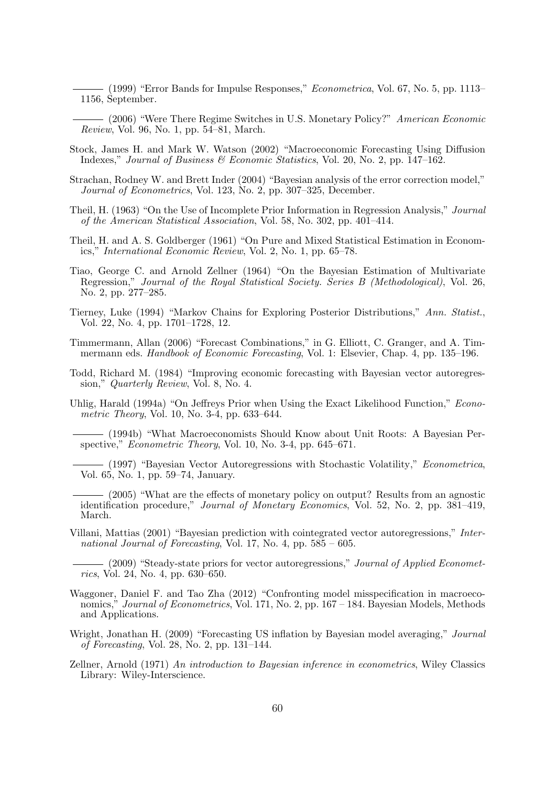$-$  (1999) "Error Bands for Impulse Responses," *Econometrica*, Vol. 67, No. 5, pp. 1113– 1156, September.

(2006) "Were There Regime Switches in U.S. Monetary Policy?" American Economic Review, Vol. 96, No. 1, pp. 54–81, March.

- Stock, James H. and Mark W. Watson (2002) "Macroeconomic Forecasting Using Diffusion Indexes," Journal of Business & Economic Statistics, Vol. 20, No. 2, pp. 147–162.
- Strachan, Rodney W. and Brett Inder (2004) "Bayesian analysis of the error correction model," Journal of Econometrics, Vol. 123, No. 2, pp. 307–325, December.
- Theil, H. (1963) "On the Use of Incomplete Prior Information in Regression Analysis," Journal of the American Statistical Association, Vol. 58, No. 302, pp. 401–414.
- Theil, H. and A. S. Goldberger (1961) "On Pure and Mixed Statistical Estimation in Economics," International Economic Review, Vol. 2, No. 1, pp. 65–78.
- Tiao, George C. and Arnold Zellner (1964) "On the Bayesian Estimation of Multivariate Regression," Journal of the Royal Statistical Society. Series B (Methodological), Vol. 26, No. 2, pp. 277–285.
- Tierney, Luke (1994) "Markov Chains for Exploring Posterior Distributions," Ann. Statist., Vol. 22, No. 4, pp. 1701–1728, 12.
- Timmermann, Allan (2006) "Forecast Combinations," in G. Elliott, C. Granger, and A. Timmermann eds. Handbook of Economic Forecasting, Vol. 1: Elsevier, Chap. 4, pp. 135–196.
- Todd, Richard M. (1984) "Improving economic forecasting with Bayesian vector autoregression," Quarterly Review, Vol. 8, No. 4.
- Uhlig, Harald (1994a) "On Jeffreys Prior when Using the Exact Likelihood Function," Econometric Theory, Vol. 10, No. 3-4, pp. 633–644.

(1994b) "What Macroeconomists Should Know about Unit Roots: A Bayesian Perspective," *Econometric Theory*, Vol. 10, No. 3-4, pp. 645–671.

- (1997) "Bayesian Vector Autoregressions with Stochastic Volatility," Econometrica, Vol. 65, No. 1, pp. 59–74, January.
- (2005) "What are the effects of monetary policy on output? Results from an agnostic identification procedure," Journal of Monetary Economics, Vol. 52, No. 2, pp. 381–419, March.
- Villani, Mattias (2001) "Bayesian prediction with cointegrated vector autoregressions," International Journal of Forecasting, Vol. 17, No. 4, pp.  $585 - 605$ .
	- (2009) "Steady-state priors for vector autoregressions," *Journal of Applied Economet*rics, Vol. 24, No. 4, pp. 630–650.
- Waggoner, Daniel F. and Tao Zha (2012) "Confronting model misspecification in macroeconomics," Journal of Econometrics, Vol. 171, No. 2, pp. 167 – 184. Bayesian Models, Methods and Applications.
- Wright, Jonathan H. (2009) "Forecasting US inflation by Bayesian model averaging," Journal of Forecasting, Vol. 28, No. 2, pp. 131–144.
- Zellner, Arnold (1971) An introduction to Bayesian inference in econometrics, Wiley Classics Library: Wiley-Interscience.